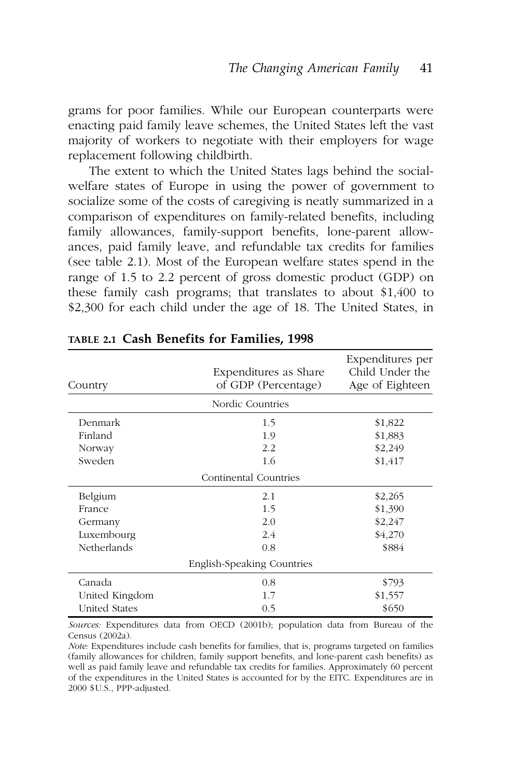| Country              | Expenditures as Share<br>of GDP (Percentage) | Expenditures per<br>Child Under the<br>Age of Eighteen |
|----------------------|----------------------------------------------|--------------------------------------------------------|
|                      | Nordic Countries                             |                                                        |
| Denmark              | 1.5                                          | \$1,822                                                |
| Finland              | 1.9                                          | \$1,883                                                |
| Norway               | 2.2                                          | \$2,249                                                |
| Sweden               | 1.6                                          | \$1,417                                                |
|                      | Continental Countries                        |                                                        |
| Belgium              | 2.1                                          | \$2,265                                                |
| France               | 1.5                                          | \$1,390                                                |
| Germany              | 2.0                                          | \$2,247                                                |
| Luxembourg           | 2.4                                          | \$4,270                                                |
| Netherlands          | 0.8                                          | \$884                                                  |
|                      | English-Speaking Countries                   |                                                        |
| Canada               | 0.8                                          | \$793                                                  |
| United Kingdom       | 1.7                                          | \$1,557                                                |
| <b>United States</b> | 0.5                                          | \$650                                                  |

#### **TABLE 2.1 Cash Benefits for Families, 1998**

*Sources:* Expenditures data from OECD (2001b); population data from Bureau of the Census (2002a).

*Note:* Expenditures include cash benefits for families, that is, programs targeted on families (family allowances for children, family support benefits, and lone-parent cash benefits) as well as paid family leave and refundable tax credits for families. Approximately 60 percent of the expenditures in the United States is accounted for by the EITC. Expenditures are in 2000 \$U.S., PPP-adjusted.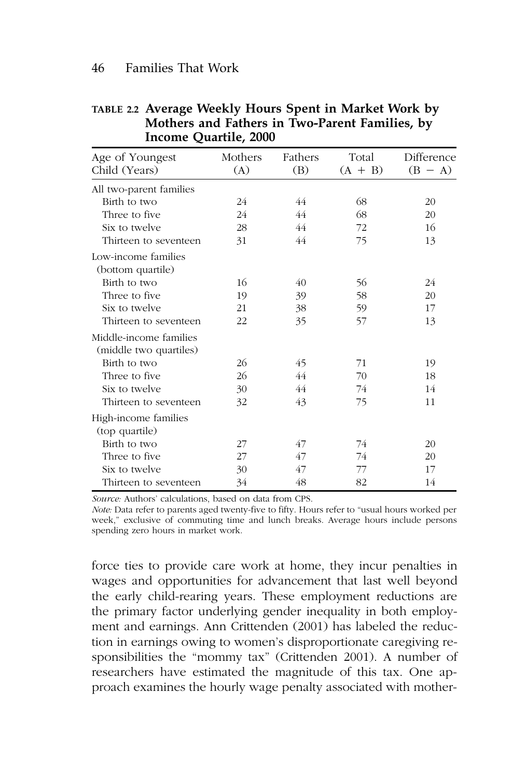| Age of Youngest         | Mothers | Fathers | Total     | Difference |
|-------------------------|---------|---------|-----------|------------|
| Child (Years)           | (A)     | (B)     | $(A + B)$ | $(B - A)$  |
| All two-parent families |         |         |           |            |
| Birth to two            | 24      | 44      | 68        | 20         |
| Three to five           | 24      | 44      | 68        | 20         |
| Six to twelve           | 28      | 44      | 72        | 16         |
| Thirteen to seventeen   | 31      | 44      | 75        | 13         |
| Low-income families     |         |         |           |            |
| (bottom quartile)       |         |         |           |            |
| Birth to two            | 16      | 40      | 56        | 24         |
| Three to five           | 19      | 39      | 58        | 20         |
| Six to twelve           | 21      | 38      | 59        | 17         |
| Thirteen to seventeen   | 22      | 35      | 57        | 13         |
| Middle-income families  |         |         |           |            |
| (middle two quartiles)  |         |         |           |            |
| Birth to two            | 26      | 45      | 71        | 19         |
| Three to five           | 26      | 44      | 70        | 18         |
| Six to twelve           | 30      | 44      | 74        | 14         |
| Thirteen to seventeen   | 32      | 43      | 75        | 11         |
| High-income families    |         |         |           |            |
| (top quartile)          |         |         |           |            |
| Birth to two            | 27      | 47      | 74        | 20         |
| Three to five           | 27      | 47      | 74        | 20         |
| Six to twelve           | 30      | 47      | 77        | 17         |
| Thirteen to seventeen   | 34      | 48      | 82        | 14         |

#### **TABLE 2.2 Average Weekly Hours Spent in Market Work by Mothers and Fathers in Two-Parent Families, by Income Quartile, 2000**

*Source:* Authors' calculations, based on data from CPS.

*Note:* Data refer to parents aged twenty-five to fifty. Hours refer to "usual hours worked per week," exclusive of commuting time and lunch breaks. Average hours include persons spending zero hours in market work.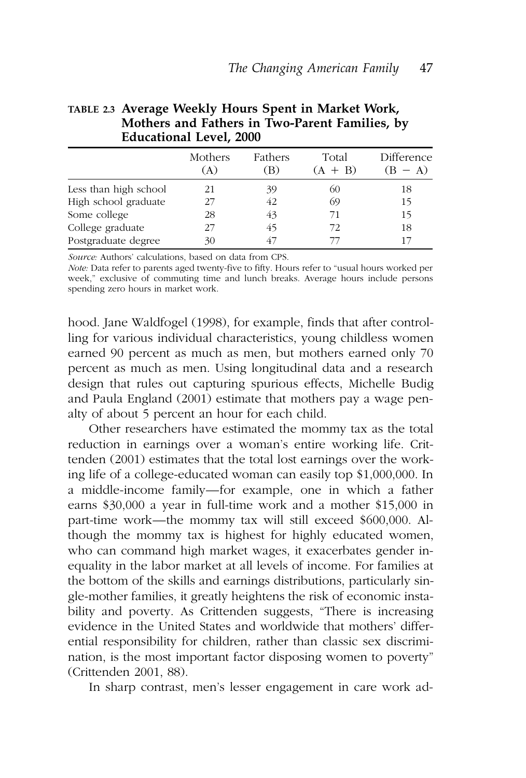#### **TABLE 2.3 Average Weekly Hours Spent in Market Work, Mothers and Fathers in Two-Parent Families, by Educational Level, 2000**

|                       | Mothers<br>(A) | Fathers<br>B) | Total<br>$(A + B)$ | Difference<br>$(B - A)$ |
|-----------------------|----------------|---------------|--------------------|-------------------------|
| Less than high school | 21             | 39            | 60                 | 18                      |
| High school graduate  | 27             | 42            | 69                 | 15                      |
| Some college          | 28             | 43            | 71                 | 15                      |
| College graduate      | 27             | 45            | 72                 | 18                      |
| Postgraduate degree   | 30             | 47            |                    |                         |

*Source:* Authors' calculations, based on data from CPS.

*Note:* Data refer to parents aged twenty-five to fifty. Hours refer to "usual hours worked per week," exclusive of commuting time and lunch breaks. Average hours include persons spending zero hours in market work.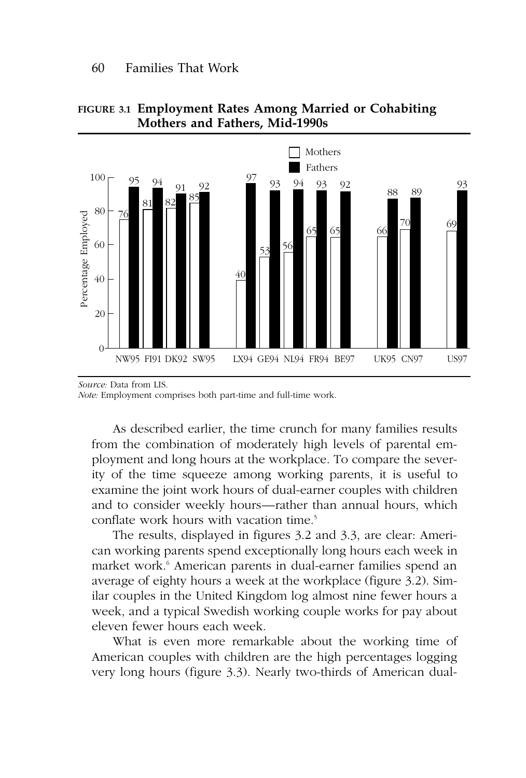#### **FIGURE 3.1 Employment Rates Among Married or Cohabiting Mothers and Fathers, Mid-1990s**



*Source:* Data from LIS.

*Note:* Employment comprises both part-time and full-time work.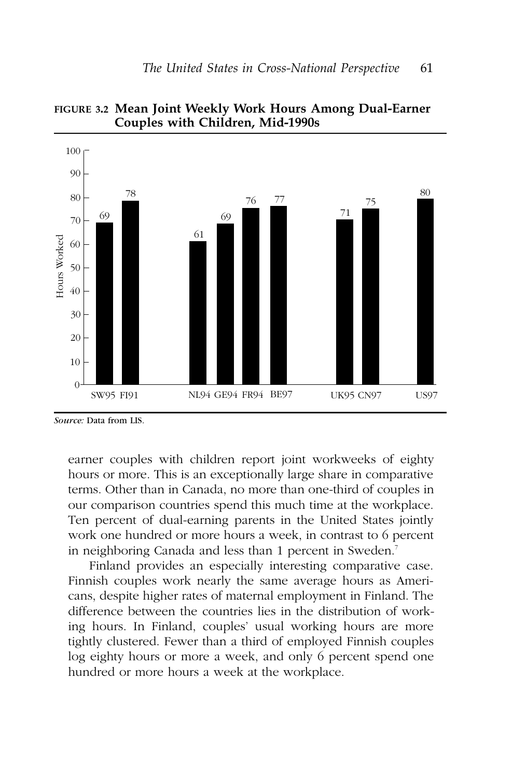

## **FIGURE 3.2 Mean Joint Weekly Work Hours Among Dual-Earner Couples with Children, Mid-1990s**

*Source:* Data from LIS.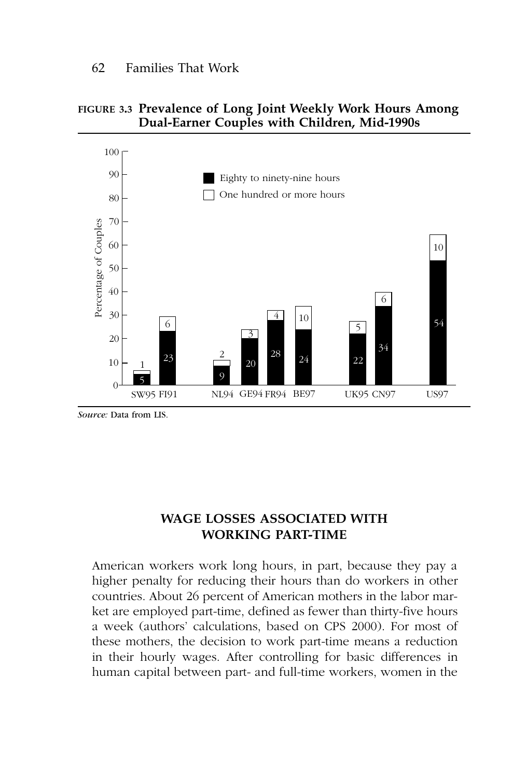#### **FIGURE 3.3 Prevalence of Long Joint Weekly Work Hours Among Dual-Earner Couples with Children, Mid-1990s**



*Source:* Data from LIS.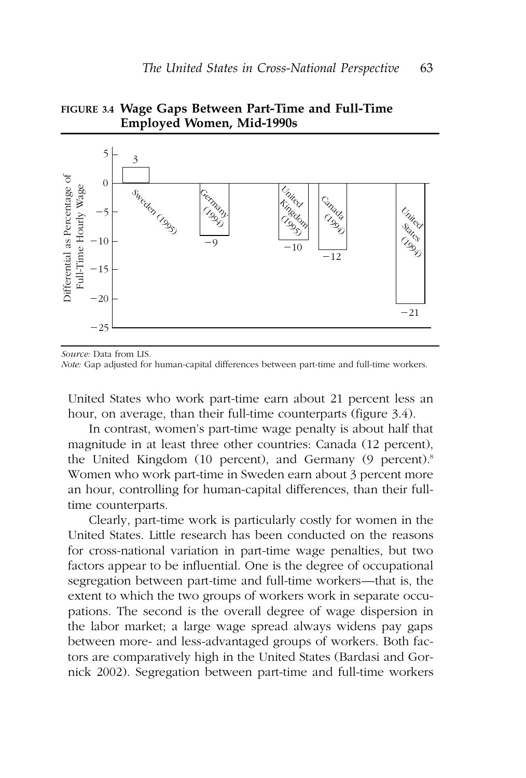#### **FIGURE 3.4 Wage Gaps Between Part-Time and Full-Time Employed Women, Mid-1990s**



*Source:* Data from LIS. *Note:* Gap adjusted for human-capital differences between part-time and full-time workers.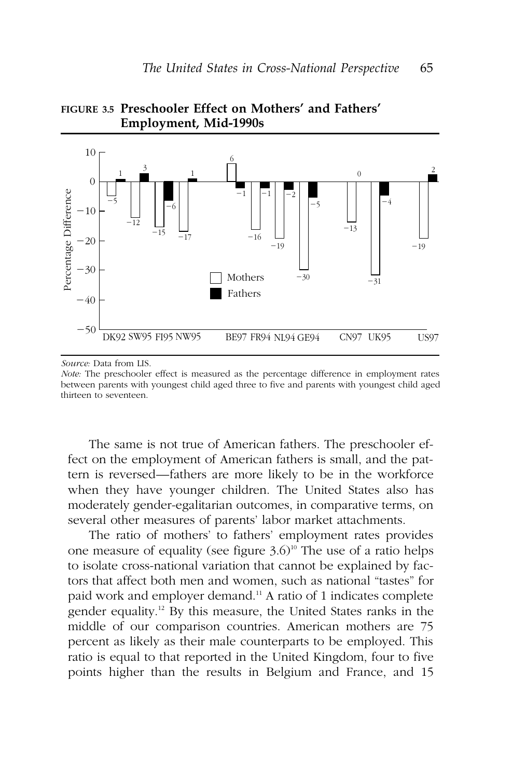## **FIGURE 3.5 Preschooler Effect on Mothers' and Fathers' Employment, Mid-1990s**



*Source:* Data from LIS.

*Note:* The preschooler effect is measured as the percentage difference in employment rates between parents with youngest child aged three to five and parents with youngest child aged thirteen to seventeen.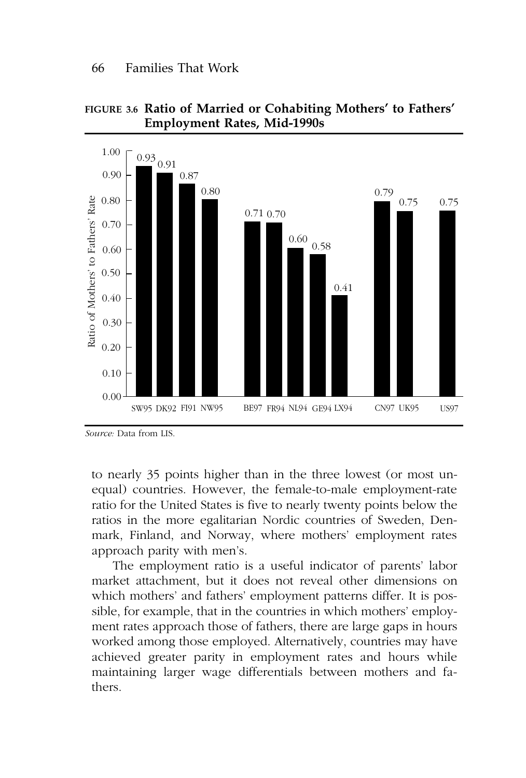#### **FIGURE 3.6 Ratio of Married or Cohabiting Mothers' to Fathers' Employment Rates, Mid-1990s**



*Source:* Data from LIS.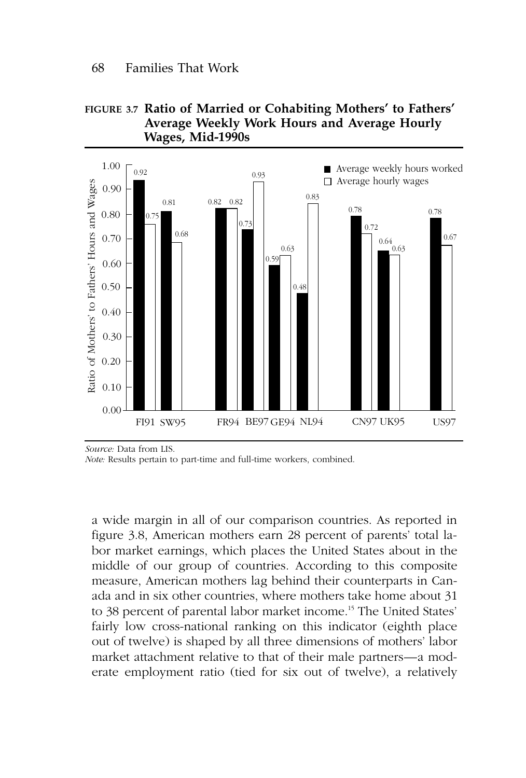**FIGURE 3.7 Ratio of Married or Cohabiting Mothers' to Fathers' Average Weekly Work Hours and Average Hourly Wages, Mid-1990s**



*Source:* Data from LIS. *Note:* Results pertain to part-time and full-time workers, combined.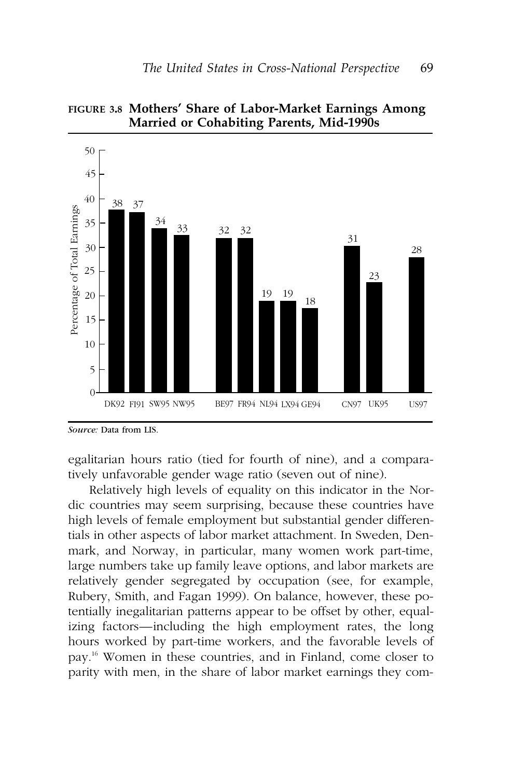

#### **FIGURE 3.8 Mothers' Share of Labor-Market Earnings Among Married or Cohabiting Parents, Mid-1990s**

*Source:* Data from LIS.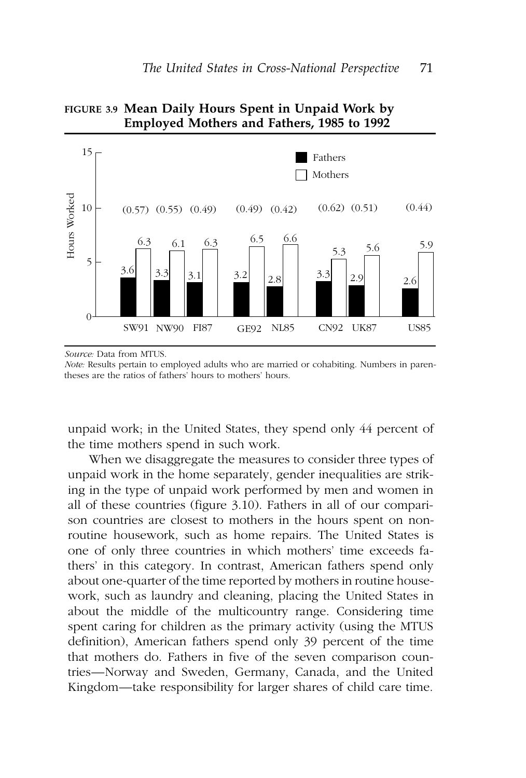#### **FIGURE 3.9 Mean Daily Hours Spent in Unpaid Work by Employed Mothers and Fathers, 1985 to 1992**



*Source:* Data from MTUS.

*Note:* Results pertain to employed adults who are married or cohabiting. Numbers in parentheses are the ratios of fathers' hours to mothers' hours.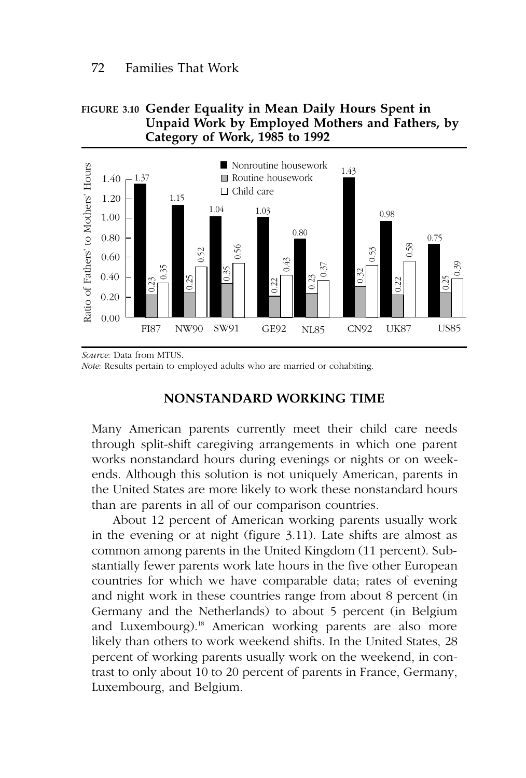### **FIGURE 3.10 Gender Equality in Mean Daily Hours Spent in Unpaid Work by Employed Mothers and Fathers, by Category of Work, 1985 to 1992**



*Source:* Data from MTUS.

*Note:* Results pertain to employed adults who are married or cohabiting.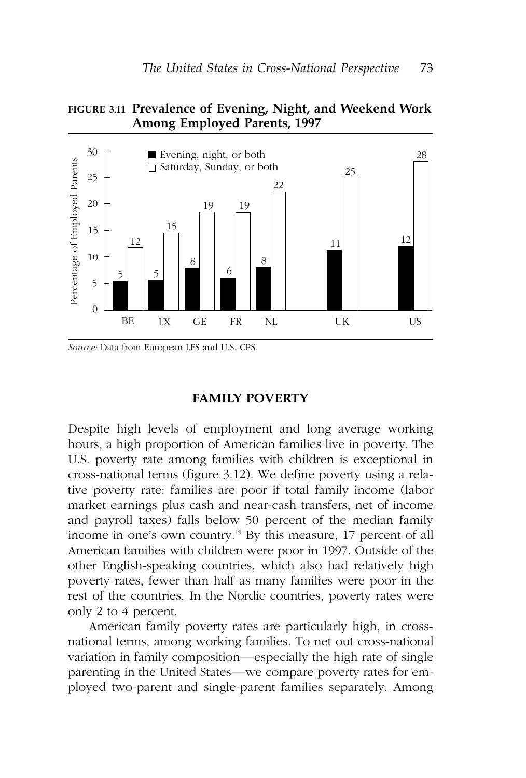### **FIGURE 3.11 Prevalence of Evening, Night, and Weekend Work Among Employed Parents, 1997**



*Source:* Data from European LFS and U.S. CPS.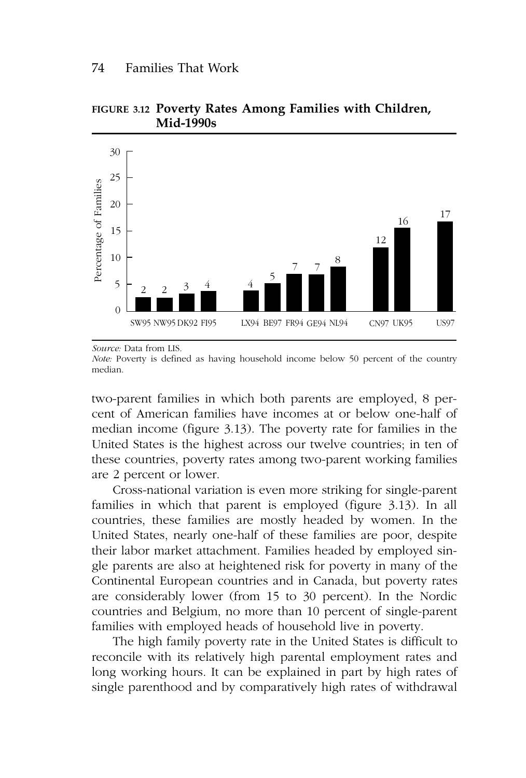#### **FIGURE 3.12 Poverty Rates Among Families with Children, Mid-1990s**



*Source:* Data from LIS.

*Note:* Poverty is defined as having household income below 50 percent of the country median.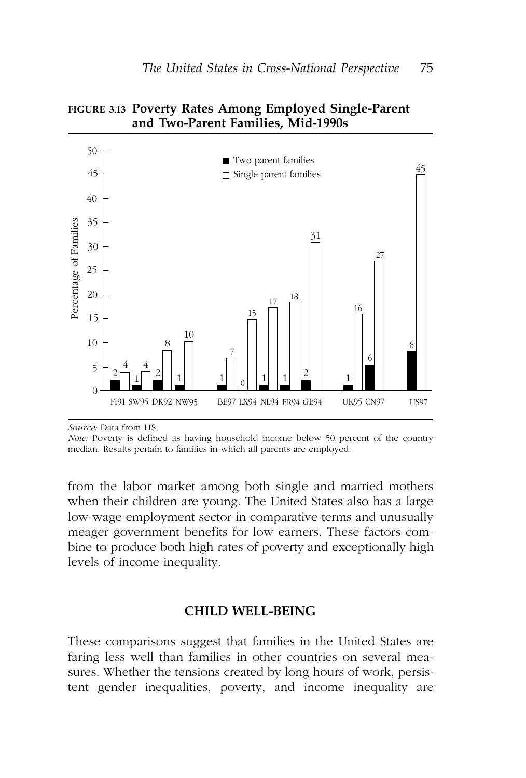#### **FIGURE 3.13 Poverty Rates Among Employed Single-Parent and Two-Parent Families, Mid-1990s**



*Source:* Data from LIS.

*Note:* Poverty is defined as having household income below 50 percent of the country median. Results pertain to families in which all parents are employed.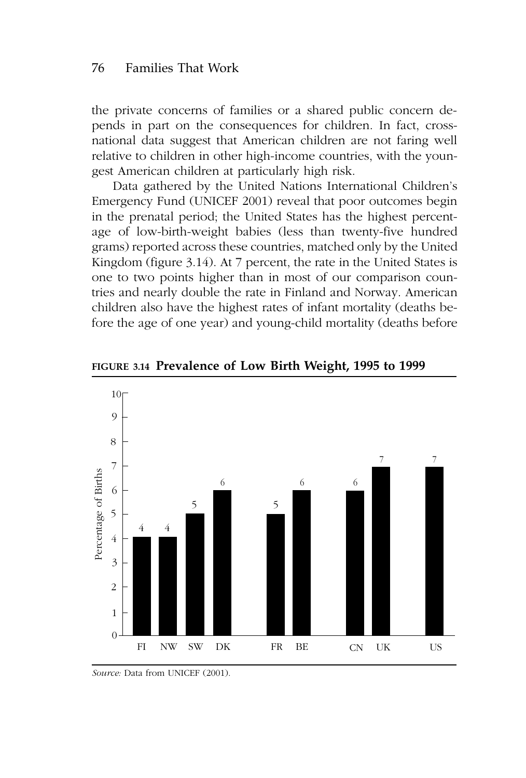

# **FIGURE 3.14 Prevalence of Low Birth Weight, 1995 to 1999**

*Source:* Data from UNICEF (2001).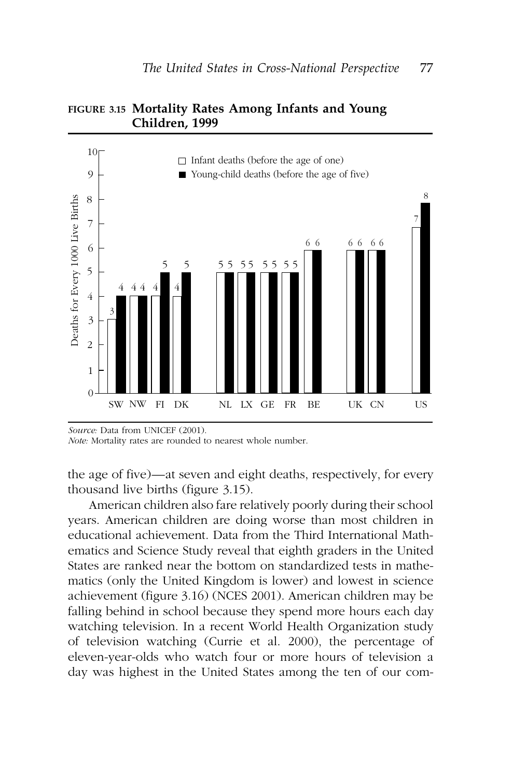#### **FIGURE 3.15 Mortality Rates Among Infants and Young Children, 1999**



*Source:* Data from UNICEF (2001).

*Note:* Mortality rates are rounded to nearest whole number.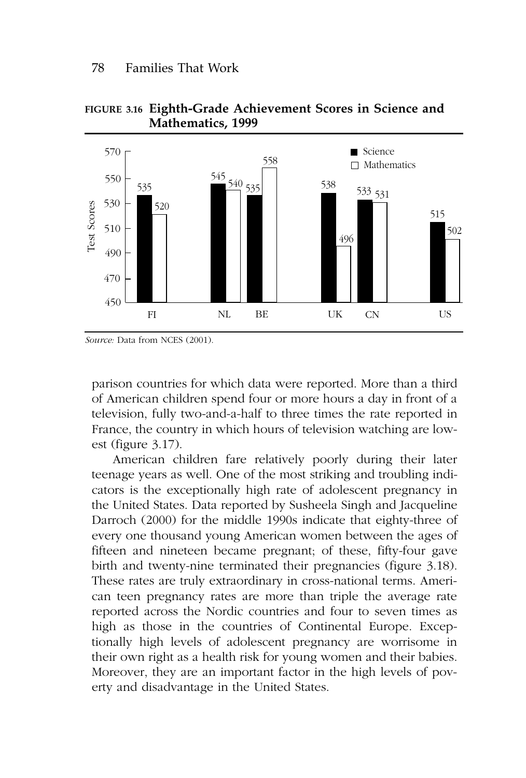#### **FIGURE 3.16 Eighth-Grade Achievement Scores in Science and Mathematics, 1999**



*Source:* Data from NCES (2001).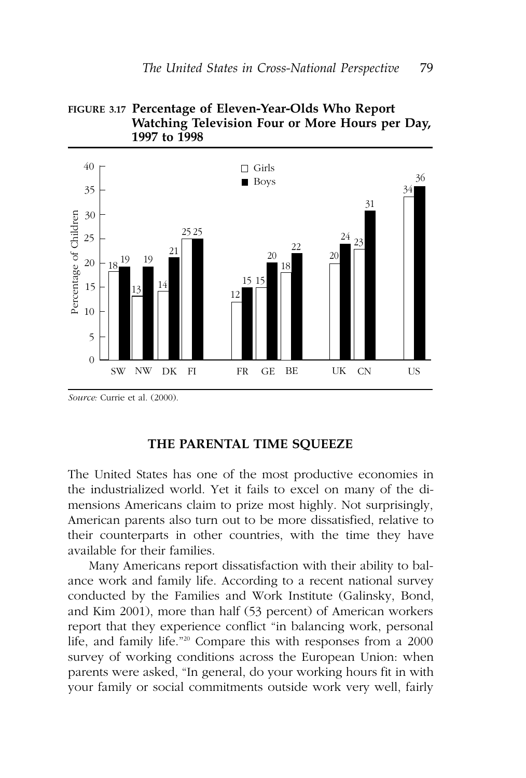#### **FIGURE 3.17 Percentage of Eleven-Year-Olds Who Report Watching Television Four or More Hours per Day, 1997 to 1998**



*Source:* Currie et al. (2000).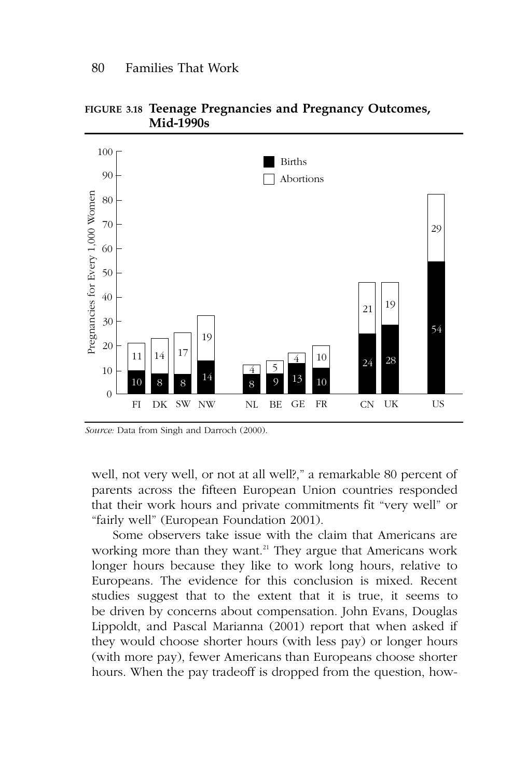#### **FIGURE 3.18 Teenage Pregnancies and Pregnancy Outcomes, Mid-1990s**



*Source:* Data from Singh and Darroch (2000).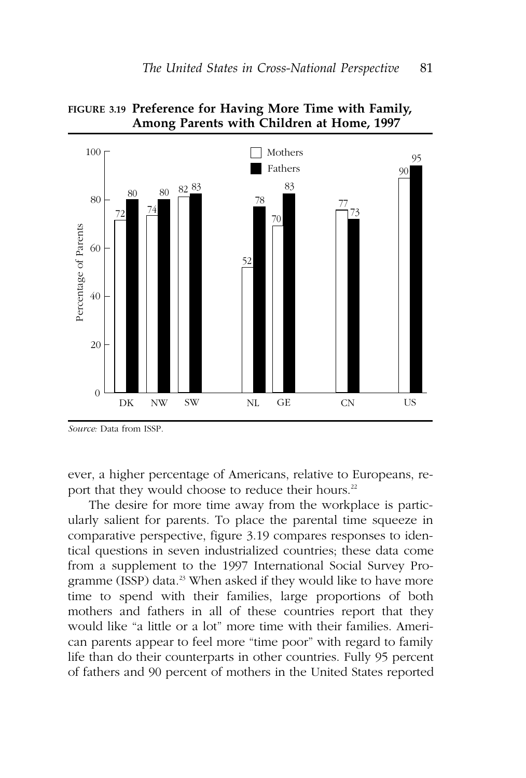#### **FIGURE 3.19 Preference for Having More Time with Family, Among Parents with Children at Home, 1997**



*Source:* Data from ISSP.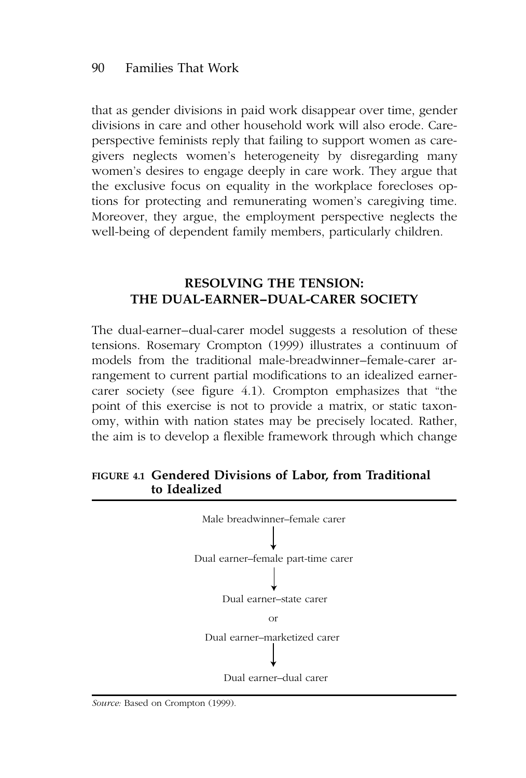#### **FIGURE 4.1 Gendered Divisions of Labor, from Traditional to Idealized**



*Source:* Based on Crompton (1999).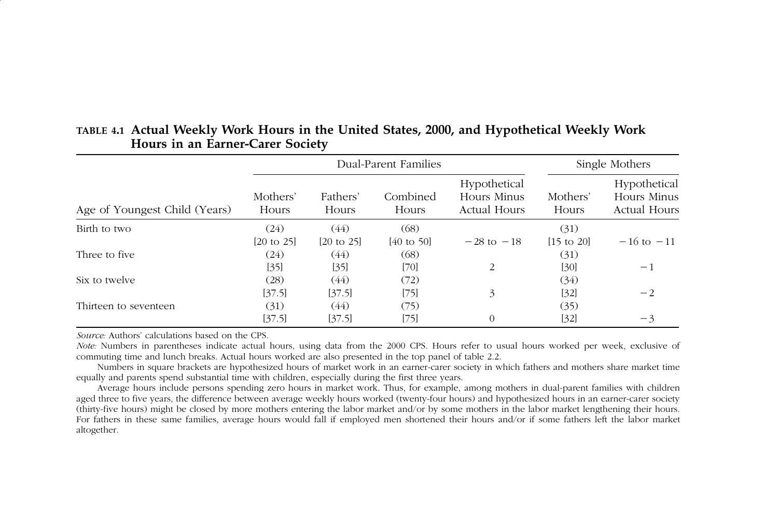|                               | Dual-Parent Families  |                       |                       |                                             | Single Mothers        |                                             |
|-------------------------------|-----------------------|-----------------------|-----------------------|---------------------------------------------|-----------------------|---------------------------------------------|
| Age of Youngest Child (Years) | Mothers'<br>Hours     | Fathers'<br>Hours     | Combined<br>Hours     | Hypothetical<br>Hours Minus<br>Actual Hours | Mothers'<br>Hours     | Hypothetical<br>Hours Minus<br>Actual Hours |
| Birth to two                  | (24)                  | (44)                  | (68)                  |                                             | (31)                  |                                             |
|                               | $[20 \text{ to } 25]$ | $[20 \text{ to } 25]$ | $[40 \text{ to } 50]$ | $-28$ to $-18$                              | $[15 \text{ to } 20]$ | $-16$ to $-11$                              |
| Three to five                 | (24)                  | (44)                  | (68)                  |                                             | (31)                  |                                             |
|                               | [35]                  | [35]                  | [70]                  | $\overline{2}$                              | [30]                  | $-1$                                        |
| Six to twelve                 | (28)                  | (44)                  | (72)                  |                                             | (34)                  |                                             |
|                               | [37.5]                | [37.5]                | [75]                  | 3                                           | $[32]$                | $-2$                                        |
| Thirteen to seventeen         | (31)                  | (44)                  | (75)                  |                                             | (35)                  |                                             |
|                               | [37.5]                | [37.5]                | [75]                  | $\Omega$                                    | [32]                  | -3                                          |

### **TABLE 4.1 Actual Weekly Work Hours in the United States, 2000, and Hypothetical Weekly Work Hours in an Earner-Carer Society**

*Source:* Authors' calculations based on the CPS.

*Note:* Numbers in parentheses indicate actual hours, using data from the 2000 CPS. Hours refer to usual hours worked per week, exclusive of commuting time and lunch breaks. Actual hours worked are also presented in the top panel of table 2.2.

Numbers in square brackets are hypothesized hours of market work in an earner-carer society in which fathers and mothers share market time equally and parents spend substantial time with children, especially during the first three years.

Average hours include persons spending zero hours in market work. Thus, for example, among mothers in dual-parent families with children aged three to five years, the difference between average weekly hours worked (twenty-four hours) and hypothesized hours in an earner-carer society (thirty-five hours) might be closed by more mothers entering the labor market and/or by some mothers in the labor market lengthening their hours. For fathers in these same families, average hours would fall if employed men shortened their hours and/or if some fathers left the labor market altogether.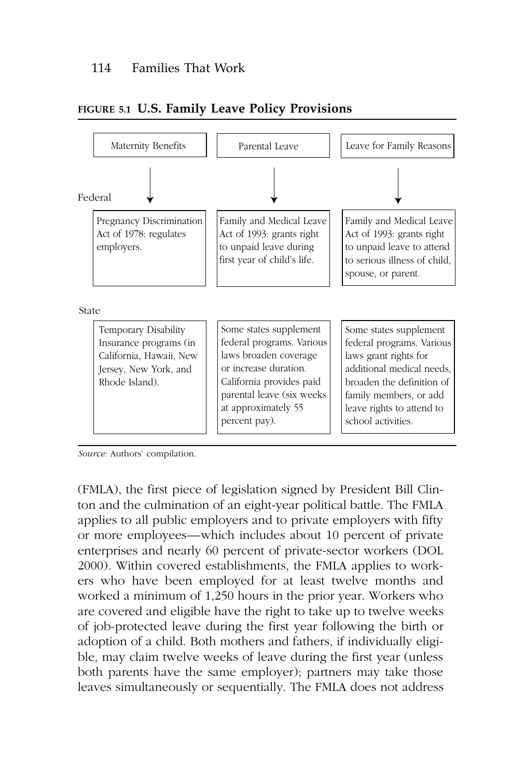## **FIGURE 5.1 U.S. Family Leave Policy Provisions**



State

Temporary Disability Insurance programs (in California, Hawaii, New Jersey, New York, and Rhode Island).

Some states supplement federal programs. Various laws broaden coverage or increase duration. California provides paid parental leave (six weeks at approximately 55 percent pay).

Some states supplement federal programs. Various laws grant rights for additional medical needs, broaden the definition of family members, or add leave rights to attend to school activities.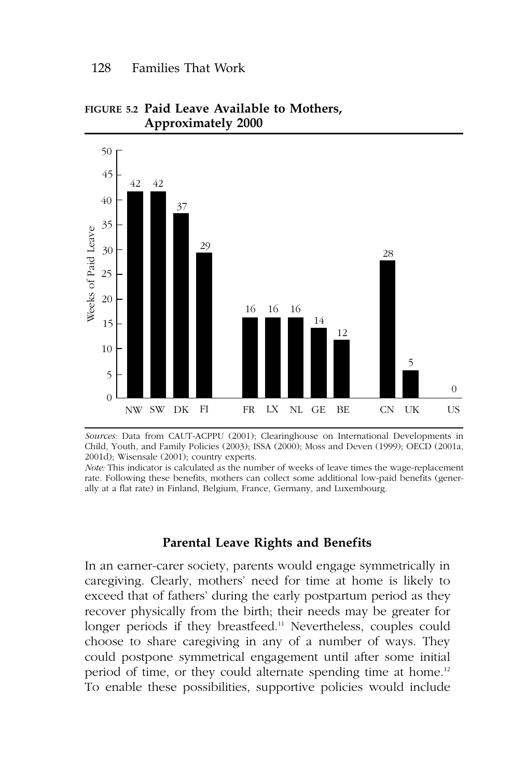#### **FIGURE 5.2 Paid Leave Available to Mothers, Approximately 2000**



*Sources:* Data from CAUT-ACPPU (2001); Clearinghouse on International Developments in Child, Youth, and Family Policies (2003); ISSA (2000); Moss and Deven (1999); OECD (2001a, 2001d); Wisensale (2001); country experts.

*Note:* This indicator is calculated as the number of weeks of leave times the wage-replacement rate. Following these benefits, mothers can collect some additional low-paid benefits (generally at a flat rate) in Finland, Belgium, France, Germany, and Luxembourg.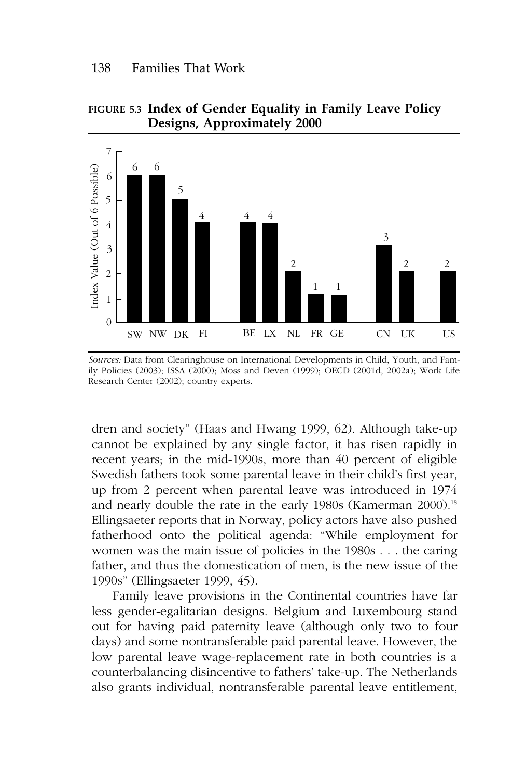#### **FIGURE 5.3 Index of Gender Equality in Family Leave Policy Designs, Approximately 2000**



*Sources:* Data from Clearinghouse on International Developments in Child, Youth, and Family Policies (2003); ISSA (2000); Moss and Deven (1999); OECD (2001d, 2002a); Work Life Research Center (2002); country experts.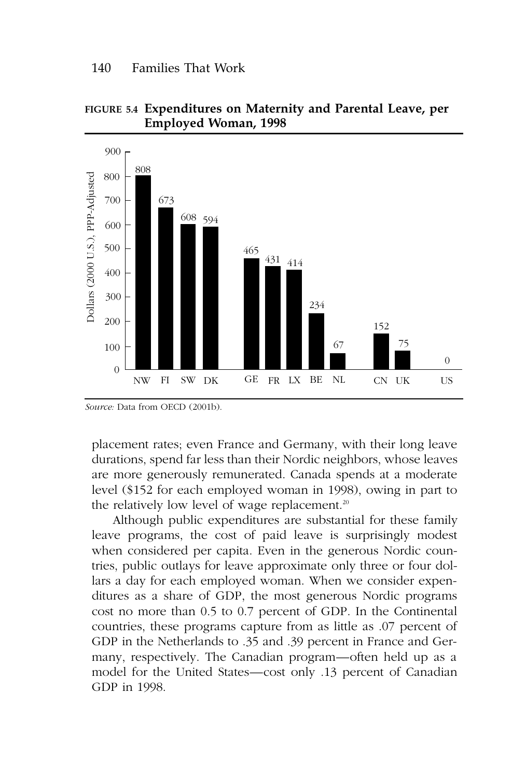#### **FIGURE 5.4 Expenditures on Maternity and Parental Leave, per Employed Woman, 1998**



*Source:* Data from OECD (2001b).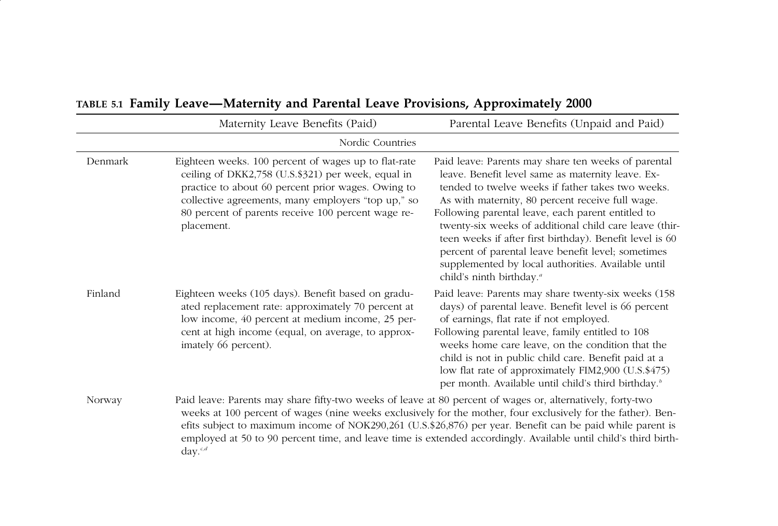|         | Maternity Leave Benefits (Paid)                                                                                                                                                                                                                                                            | Parental Leave Benefits (Unpaid and Paid)                                                                                                                                                                                                                                                                                                                                                                                                                                                                                                        |
|---------|--------------------------------------------------------------------------------------------------------------------------------------------------------------------------------------------------------------------------------------------------------------------------------------------|--------------------------------------------------------------------------------------------------------------------------------------------------------------------------------------------------------------------------------------------------------------------------------------------------------------------------------------------------------------------------------------------------------------------------------------------------------------------------------------------------------------------------------------------------|
|         | Nordic Countries                                                                                                                                                                                                                                                                           |                                                                                                                                                                                                                                                                                                                                                                                                                                                                                                                                                  |
| Denmark | Eighteen weeks. 100 percent of wages up to flat-rate<br>ceiling of DKK2,758 (U.S.\$321) per week, equal in<br>practice to about 60 percent prior wages. Owing to<br>collective agreements, many employers "top up," so<br>80 percent of parents receive 100 percent wage re-<br>placement. | Paid leave: Parents may share ten weeks of parental<br>leave. Benefit level same as maternity leave. Ex-<br>tended to twelve weeks if father takes two weeks.<br>As with maternity, 80 percent receive full wage.<br>Following parental leave, each parent entitled to<br>twenty-six weeks of additional child care leave (thir-<br>teen weeks if after first birthday). Benefit level is 60<br>percent of parental leave benefit level; sometimes<br>supplemented by local authorities. Available until<br>child's ninth birthday. <sup>a</sup> |
| Finland | Eighteen weeks (105 days). Benefit based on gradu-<br>ated replacement rate: approximately 70 percent at<br>low income, 40 percent at medium income, 25 per-<br>cent at high income (equal, on average, to approx-<br>imately 66 percent).                                                 | Paid leave: Parents may share twenty-six weeks (158)<br>days) of parental leave. Benefit level is 66 percent<br>of earnings, flat rate if not employed.<br>Following parental leave, family entitled to 108<br>weeks home care leave, on the condition that the<br>child is not in public child care. Benefit paid at a<br>low flat rate of approximately FIM2,900 (U.S.\$475)<br>per month. Available until child's third birthday. <sup>b</sup>                                                                                                |
| Norway  | Paid leave: Parents may share fifty-two weeks of leave at 80 percent of wages or, alternatively, forty-two<br>day. <sup>c,d</sup>                                                                                                                                                          | weeks at 100 percent of wages (nine weeks exclusively for the mother, four exclusively for the father). Ben-<br>efits subject to maximum income of NOK290,261 (U.S.\$26,876) per year. Benefit can be paid while parent is<br>employed at 50 to 90 percent time, and leave time is extended accordingly. Available until child's third birth-                                                                                                                                                                                                    |

#### **TABLE 5.1 Family Leave—Maternity and Parental Leave Provisions, Approximately 2000**  $\overline{\phantom{0}}$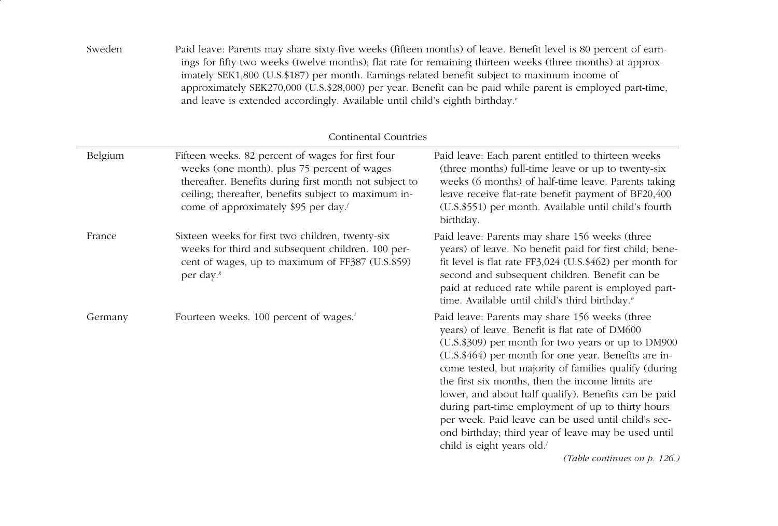Sweden Paid leave: Parents may share sixty-five weeks (fifteen months) of leave. Benefit level is 80 percent of earnings for fifty-two weeks (twelve months); flat rate for remaining thirteen weeks (three months) at approximately SEK1,800 (U.S.\$187) per month. Earnings-related benefit subject to maximum income of approximately SEK270,000 (U.S.\$28,000) per year. Benefit can be paid while parent is employed part-time, and leave is extended accordingly. Available until child's eighth birthday.*<sup>e</sup>*

#### Continental Countries

| Belgium | Fifteen weeks. 82 percent of wages for first four<br>weeks (one month), plus 75 percent of wages<br>thereafter. Benefits during first month not subject to<br>ceiling; thereafter, benefits subject to maximum in-<br>come of approximately \$95 per day. | Paid leave: Each parent entitled to thirteen weeks<br>(three months) full-time leave or up to twenty-six<br>weeks (6 months) of half-time leave. Parents taking<br>leave receive flat-rate benefit payment of BF20,400<br>(U.S.\$551) per month. Available until child's fourth<br>birthday.                                                                                                                                                                                                                                                                                         |
|---------|-----------------------------------------------------------------------------------------------------------------------------------------------------------------------------------------------------------------------------------------------------------|--------------------------------------------------------------------------------------------------------------------------------------------------------------------------------------------------------------------------------------------------------------------------------------------------------------------------------------------------------------------------------------------------------------------------------------------------------------------------------------------------------------------------------------------------------------------------------------|
| France  | Sixteen weeks for first two children, twenty-six<br>weeks for third and subsequent children. 100 per-<br>cent of wages, up to maximum of FF387 (U.S.\$59)<br>per day. <sup>8</sup>                                                                        | Paid leave: Parents may share 156 weeks (three<br>years) of leave. No benefit paid for first child; bene-<br>fit level is flat rate FF3,024 (U.S.\$462) per month for<br>second and subsequent children. Benefit can be<br>paid at reduced rate while parent is employed part-<br>time. Available until child's third birthday. <sup>b</sup>                                                                                                                                                                                                                                         |
| Germany | Fourteen weeks. 100 percent of wages. <sup>1</sup>                                                                                                                                                                                                        | Paid leave: Parents may share 156 weeks (three<br>years) of leave. Benefit is flat rate of DM600<br>(U.S.\$309) per month for two years or up to DM900<br>(U.S.\$464) per month for one year. Benefits are in-<br>come tested, but majority of families qualify (during<br>the first six months, then the income limits are<br>lower, and about half qualify). Benefits can be paid<br>during part-time employment of up to thirty hours<br>per week. Paid leave can be used until child's sec-<br>ond birthday; third year of leave may be used until<br>child is eight years old / |

*(Table continues on p. 126.)*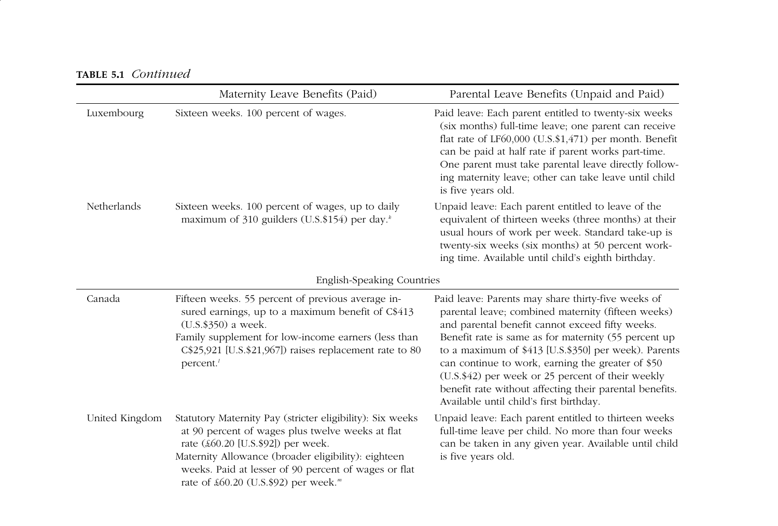|                | Maternity Leave Benefits (Paid)                                                                                                                                                                                                                                                                                        | Parental Leave Benefits (Unpaid and Paid)                                                                                                                                                                                                                                                                                                                                                                                                                                                    |
|----------------|------------------------------------------------------------------------------------------------------------------------------------------------------------------------------------------------------------------------------------------------------------------------------------------------------------------------|----------------------------------------------------------------------------------------------------------------------------------------------------------------------------------------------------------------------------------------------------------------------------------------------------------------------------------------------------------------------------------------------------------------------------------------------------------------------------------------------|
| Luxembourg     | Sixteen weeks. 100 percent of wages.                                                                                                                                                                                                                                                                                   | Paid leave: Each parent entitled to twenty-six weeks<br>(six months) full-time leave; one parent can receive<br>flat rate of LF60,000 (U.S. $$1,471$ ) per month. Benefit<br>can be paid at half rate if parent works part-time.<br>One parent must take parental leave directly follow-<br>ing maternity leave; other can take leave until child<br>is five years old.                                                                                                                      |
| Netherlands    | Sixteen weeks. 100 percent of wages, up to daily<br>maximum of 310 guilders (U.S.\$154) per day. <sup>k</sup>                                                                                                                                                                                                          | Unpaid leave: Each parent entitled to leave of the<br>equivalent of thirteen weeks (three months) at their<br>usual hours of work per week. Standard take-up is<br>twenty-six weeks (six months) at 50 percent work-<br>ing time. Available until child's eighth birthday.                                                                                                                                                                                                                   |
|                | English-Speaking Countries                                                                                                                                                                                                                                                                                             |                                                                                                                                                                                                                                                                                                                                                                                                                                                                                              |
| Canada         | Fifteen weeks. 55 percent of previous average in-<br>sured earnings, up to a maximum benefit of C\$413<br>(U.S.\$350) a week.<br>Family supplement for low-income earners (less than<br>$C$25,921$ [U.S.\$21,967]) raises replacement rate to 80<br>percent. <sup>1</sup>                                              | Paid leave: Parents may share thirty-five weeks of<br>parental leave; combined maternity (fifteen weeks)<br>and parental benefit cannot exceed fifty weeks.<br>Benefit rate is same as for maternity (55 percent up)<br>to a maximum of \$413 [U.S.\$350] per week). Parents<br>can continue to work, earning the greater of \$50<br>(U.S.\$42) per week or 25 percent of their weekly<br>benefit rate without affecting their parental benefits.<br>Available until child's first birthday. |
| United Kingdom | Statutory Maternity Pay (stricter eligibility): Six weeks<br>at 90 percent of wages plus twelve weeks at flat<br>rate (£60.20 [U.S.\$92]) per week.<br>Maternity Allowance (broader eligibility): eighteen<br>weeks. Paid at lesser of 90 percent of wages or flat<br>rate of £60.20 (U.S.\$92) per week. <sup>m</sup> | Unpaid leave: Each parent entitled to thirteen weeks<br>full-time leave per child. No more than four weeks<br>can be taken in any given year. Available until child<br>is five years old.                                                                                                                                                                                                                                                                                                    |

#### **TABLE 5.1** *Continued*  $\overline{\phantom{0}}$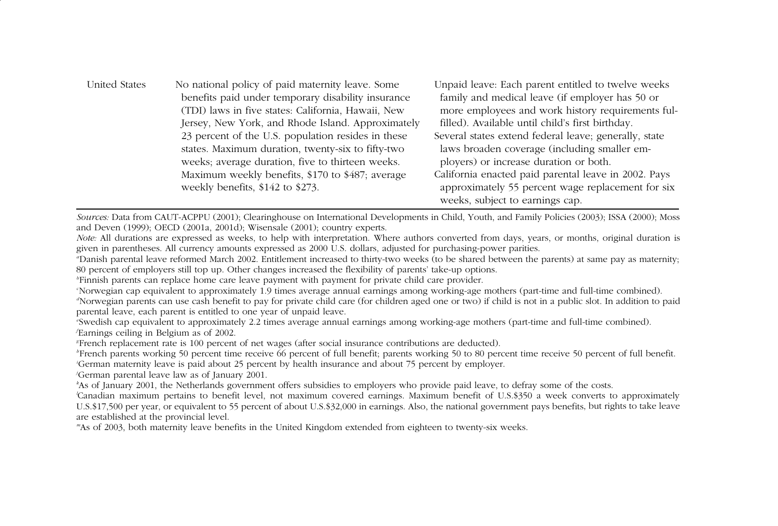| United States | No national policy of paid maternity leave. Some   | Unpaid leave: Each parent entitled to twelve weeks    |
|---------------|----------------------------------------------------|-------------------------------------------------------|
|               | benefits paid under temporary disability insurance | family and medical leave (if employer has 50 or       |
|               | (TDI) laws in five states: California, Hawaii, New | more employees and work history requirements ful-     |
|               | Jersey, New York, and Rhode Island. Approximately  | filled). Available until child's first birthday.      |
|               | 23 percent of the U.S. population resides in these | Several states extend federal leave; generally, state |
|               | states. Maximum duration, twenty-six to fifty-two  | laws broaden coverage (including smaller em-          |
|               | weeks; average duration, five to thirteen weeks.   | ployers) or increase duration or both.                |
|               | Maximum weekly benefits, \$170 to \$487; average   | California enacted paid parental leave in 2002. Pays  |
|               | weekly benefits, \$142 to \$273.                   | approximately 55 percent wage replacement for six     |
|               |                                                    | weeks, subject to earnings cap.                       |

*Sources:* Data from CAUT-ACPPU (2001); Clearinghouse on International Developments in Child, Youth, and Family Policies (2003); ISSA (2000); Moss and Deven (1999); OECD (2001a, 2001d); Wisensale (2001); country experts.

*Note:* All durations are expressed as weeks, to help with interpretation. Where authors converted from days, years, or months, original duration is given in parentheses. All currency amounts expressed as 2000 U.S. dollars, adjusted for purchasing-power parities.

*<sup>a</sup>*Danish parental leave reformed March 2002. Entitlement increased to thirty-two weeks (to be shared between the parents) at same pay as maternity; 80 percent of employers still top up. Other changes increased the flexibility of parents' take-up options.

*<sup>b</sup>*Finnish parents can replace home care leave payment with payment for private child care provider.

*<sup>c</sup>*Norwegian cap equivalent to approximately 1.9 times average annual earnings among working-age mothers (part-time and full-time combined).

*<sup>d</sup>*Norwegian parents can use cash benefit to pay for private child care (for children aged one or two) if child is not in a public slot. In addition to paid parental leave, each parent is entitled to one year of unpaid leave.

*<sup>e</sup>*Swedish cap equivalent to approximately 2.2 times average annual earnings among working-age mothers (part-time and full-time combined). *<sup>f</sup>*Earnings ceiling in Belgium as of 2002.

*<sup>g</sup>*French replacement rate is 100 percent of net wages (after social insurance contributions are deducted).

*<sup>h</sup>*French parents working 50 percent time receive 66 percent of full benefit; parents working 50 to 80 percent time receive 50 percent of full benefit. *<sup>i</sup>*German maternity leave is paid about 25 percent by health insurance and about 75 percent by employer.

*<sup>j</sup>*German parental leave law as of January 2001.

*<sup>k</sup>*As of January 2001, the Netherlands government offers subsidies to employers who provide paid leave, to defray some of the costs.

*<sup>l</sup>*Canadian maximum pertains to benefit level, not maximum covered earnings. Maximum benefit of U.S.\$350 a week converts to approximately U.S.\$17,500 per year, or equivalent to 55 percent of about U.S.\$32,000 in earnings. Also, the national government pays benefits, but rights to take leave are established at the provincial level.

*m*As of 2003, both maternity leave benefits in the United Kingdom extended from eighteen to twenty-six weeks.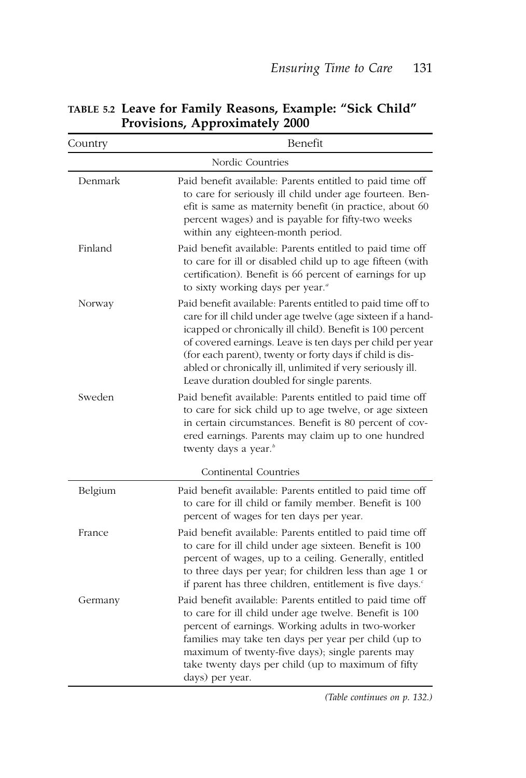## **TABLE 5.2 Leave for Family Reasons, Example: "Sick Child" Provisions, Approximately 2000**

| Country | Benefit                                                                                                                                                                                                                                                                                                                                                                                                                       |
|---------|-------------------------------------------------------------------------------------------------------------------------------------------------------------------------------------------------------------------------------------------------------------------------------------------------------------------------------------------------------------------------------------------------------------------------------|
|         | Nordic Countries                                                                                                                                                                                                                                                                                                                                                                                                              |
| Denmark | Paid benefit available: Parents entitled to paid time off<br>to care for seriously ill child under age fourteen. Ben-<br>efit is same as maternity benefit (in practice, about 60<br>percent wages) and is payable for fifty-two weeks<br>within any eighteen-month period.                                                                                                                                                   |
| Finland | Paid benefit available: Parents entitled to paid time off<br>to care for ill or disabled child up to age fifteen (with<br>certification). Benefit is 66 percent of earnings for up<br>to sixty working days per year. <sup>a</sup>                                                                                                                                                                                            |
| Norway  | Paid benefit available: Parents entitled to paid time off to<br>care for ill child under age twelve (age sixteen if a hand-<br>icapped or chronically ill child). Benefit is 100 percent<br>of covered earnings. Leave is ten days per child per year<br>(for each parent), twenty or forty days if child is dis-<br>abled or chronically ill, unlimited if very seriously ill.<br>Leave duration doubled for single parents. |
| Sweden  | Paid benefit available: Parents entitled to paid time off<br>to care for sick child up to age twelve, or age sixteen<br>in certain circumstances. Benefit is 80 percent of cov-<br>ered earnings. Parents may claim up to one hundred<br>twenty days a year. <sup>b</sup>                                                                                                                                                     |
|         | Continental Countries                                                                                                                                                                                                                                                                                                                                                                                                         |
| Belgium | Paid benefit available: Parents entitled to paid time off<br>to care for ill child or family member. Benefit is 100<br>percent of wages for ten days per year.                                                                                                                                                                                                                                                                |
| France  | Paid benefit available: Parents entitled to paid time off<br>to care for ill child under age sixteen. Benefit is 100<br>percent of wages, up to a ceiling. Generally, entitled<br>to three days per year; for children less than age 1 or<br>if parent has three children, entitlement is five days. <sup><i>c</i></sup>                                                                                                      |
| Germany | Paid benefit available: Parents entitled to paid time off<br>to care for ill child under age twelve. Benefit is 100<br>percent of earnings. Working adults in two-worker<br>families may take ten days per year per child (up to<br>maximum of twenty-five days); single parents may<br>take twenty days per child (up to maximum of fifty<br>days) per year.                                                                 |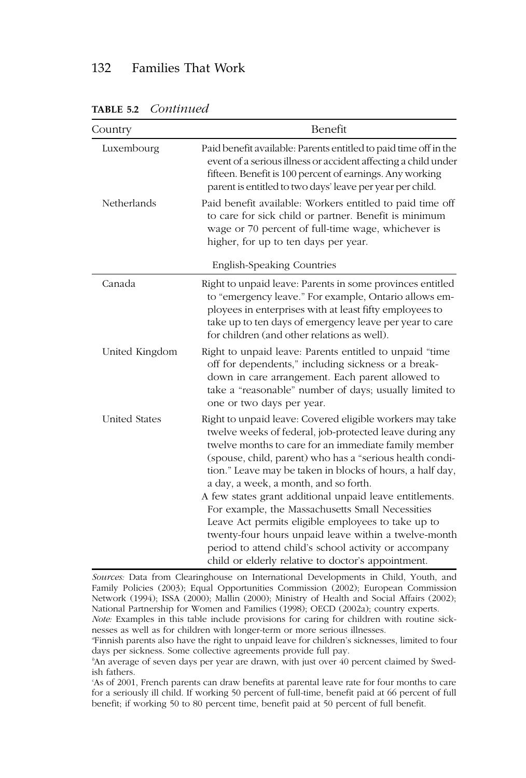| Country              | Benefit                                                                                                                                                                                                                                                                                                                                                                                                                                                                                                                                                                                                                                                                                    |
|----------------------|--------------------------------------------------------------------------------------------------------------------------------------------------------------------------------------------------------------------------------------------------------------------------------------------------------------------------------------------------------------------------------------------------------------------------------------------------------------------------------------------------------------------------------------------------------------------------------------------------------------------------------------------------------------------------------------------|
| Luxembourg           | Paid benefit available: Parents entitled to paid time off in the<br>event of a serious illness or accident affecting a child under<br>fifteen. Benefit is 100 percent of earnings. Any working<br>parent is entitled to two days' leave per year per child.                                                                                                                                                                                                                                                                                                                                                                                                                                |
| Netherlands          | Paid benefit available: Workers entitled to paid time off<br>to care for sick child or partner. Benefit is minimum<br>wage or 70 percent of full-time wage, whichever is<br>higher, for up to ten days per year.                                                                                                                                                                                                                                                                                                                                                                                                                                                                           |
|                      | English-Speaking Countries                                                                                                                                                                                                                                                                                                                                                                                                                                                                                                                                                                                                                                                                 |
| Canada               | Right to unpaid leave: Parents in some provinces entitled<br>to "emergency leave." For example, Ontario allows em-<br>ployees in enterprises with at least fifty employees to<br>take up to ten days of emergency leave per year to care<br>for children (and other relations as well).                                                                                                                                                                                                                                                                                                                                                                                                    |
| United Kingdom       | Right to unpaid leave: Parents entitled to unpaid "time<br>off for dependents," including sickness or a break-<br>down in care arrangement. Each parent allowed to<br>take a "reasonable" number of days; usually limited to<br>one or two days per year.                                                                                                                                                                                                                                                                                                                                                                                                                                  |
| <b>United States</b> | Right to unpaid leave: Covered eligible workers may take<br>twelve weeks of federal, job-protected leave during any<br>twelve months to care for an immediate family member<br>(spouse, child, parent) who has a "serious health condi-<br>tion." Leave may be taken in blocks of hours, a half day,<br>a day, a week, a month, and so forth.<br>A few states grant additional unpaid leave entitlements.<br>For example, the Massachusetts Small Necessities<br>Leave Act permits eligible employees to take up to<br>twenty-four hours unpaid leave within a twelve-month<br>period to attend child's school activity or accompany<br>child or elderly relative to doctor's appointment. |

**TABLE 5.2** *Continued*

*Sources:* Data from Clearinghouse on International Developments in Child, Youth, and Family Policies (2003); Equal Opportunities Commission (2002); European Commission Network (1994); ISSA (2000); Mallin (2000); Ministry of Health and Social Affairs (2002); National Partnership for Women and Families (1998); OECD (2002a); country experts. *Note:* Examples in this table include provisions for caring for children with routine sick-

nesses as well as for children with longer-term or more serious illnesses.

*a* Finnish parents also have the right to unpaid leave for children's sicknesses, limited to four days per sickness. Some collective agreements provide full pay.

*b* An average of seven days per year are drawn, with just over 40 percent claimed by Swedish fathers.

*c* As of 2001, French parents can draw benefits at parental leave rate for four months to care for a seriously ill child. If working 50 percent of full-time, benefit paid at 66 percent of full benefit; if working 50 to 80 percent time, benefit paid at 50 percent of full benefit.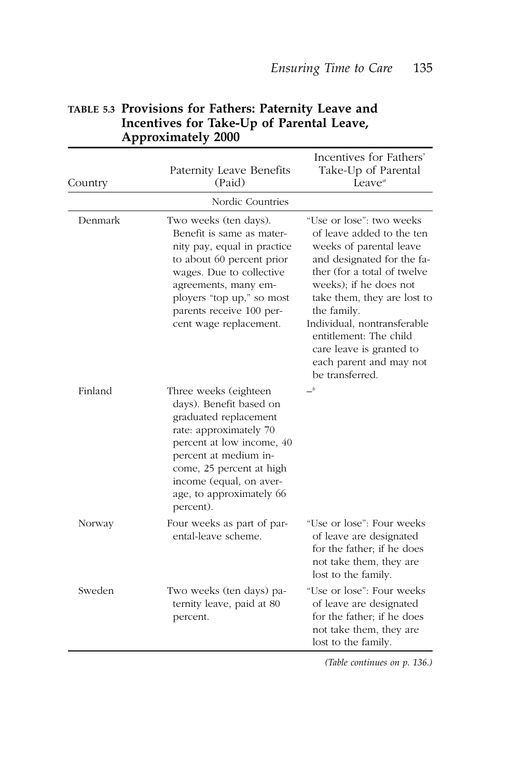| Country | Paternity Leave Benefits<br>(Paid)                                                                                                                                                                                                                        | Incentives for Fathers'<br>Take-Up of Parental<br>Leave <sup><math>a</math></sup>                                                                                                                                                                                                                                                                        |
|---------|-----------------------------------------------------------------------------------------------------------------------------------------------------------------------------------------------------------------------------------------------------------|----------------------------------------------------------------------------------------------------------------------------------------------------------------------------------------------------------------------------------------------------------------------------------------------------------------------------------------------------------|
|         | Nordic Countries                                                                                                                                                                                                                                          |                                                                                                                                                                                                                                                                                                                                                          |
| Denmark | Two weeks (ten days).<br>Benefit is same as mater-<br>nity pay, equal in practice<br>to about 60 percent prior<br>wages. Due to collective<br>agreements, many em-<br>ployers "top up," so most<br>parents receive 100 per-<br>cent wage replacement.     | "Use or lose": two weeks<br>of leave added to the ten<br>weeks of parental leave<br>and designated for the fa-<br>ther (for a total of twelve<br>weeks); if he does not<br>take them, they are lost to<br>the family.<br>Individual, nontransferable<br>entitlement: The child<br>care leave is granted to<br>each parent and may not<br>be transferred. |
| Finland | Three weeks (eighteen<br>days). Benefit based on<br>graduated replacement<br>rate: approximately 70<br>percent at low income, 40<br>percent at medium in-<br>come, 25 percent at high<br>income (equal, on aver-<br>age, to approximately 66<br>percent). | $\boldsymbol{b}$                                                                                                                                                                                                                                                                                                                                         |
| Norway  | Four weeks as part of par-<br>ental-leave scheme.                                                                                                                                                                                                         | "Use or lose": Four weeks<br>of leave are designated<br>for the father; if he does<br>not take them, they are<br>lost to the family.                                                                                                                                                                                                                     |
| Sweden  | Two weeks (ten days) pa-<br>ternity leave, paid at 80<br>percent.                                                                                                                                                                                         | "Use or lose": Four weeks<br>of leave are designated<br>for the father; if he does<br>not take them, they are<br>lost to the family.                                                                                                                                                                                                                     |

#### **TABLE 5.3 Provisions for Fathers: Paternity Leave and Incentives for Take-Up of Parental Leave, Approximately 2000**

*(Table continues on p. 136.)*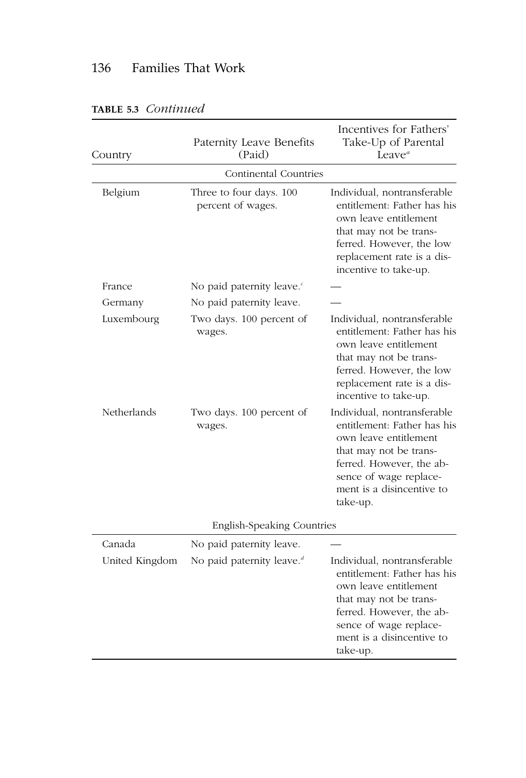| Country        | Paternity Leave Benefits<br>(Paid)           | Incentives for Fathers'<br>Take-Up of Parental<br>Leave <sup>a</sup>                                                                                                                                         |
|----------------|----------------------------------------------|--------------------------------------------------------------------------------------------------------------------------------------------------------------------------------------------------------------|
|                | Continental Countries                        |                                                                                                                                                                                                              |
| Belgium        | Three to four days. 100<br>percent of wages. | Individual, nontransferable<br>entitlement: Father has his<br>own leave entitlement<br>that may not be trans-<br>ferred. However, the low<br>replacement rate is a dis-<br>incentive to take-up.             |
| France         | No paid paternity leave. <sup>c</sup>        |                                                                                                                                                                                                              |
| Germany        | No paid paternity leave.                     |                                                                                                                                                                                                              |
| Luxembourg     | Two days. 100 percent of<br>wages.           | Individual, nontransferable<br>entitlement: Father has his<br>own leave entitlement<br>that may not be trans-<br>ferred. However, the low<br>replacement rate is a dis-<br>incentive to take-up.             |
| Netherlands    | Two days. 100 percent of<br>wages.           | Individual, nontransferable<br>entitlement: Father has his<br>own leave entitlement<br>that may not be trans-<br>ferred. However, the ab-<br>sence of wage replace-<br>ment is a disincentive to<br>take-up. |
|                | English-Speaking Countries                   |                                                                                                                                                                                                              |
| Canada         | No paid paternity leave.                     |                                                                                                                                                                                                              |
| United Kingdom | No paid paternity leave. <sup>d</sup>        | Individual, nontransferable<br>entitlement: Father has his                                                                                                                                                   |

own leave entitlement that may not be transferred. However, the absence of wage replacement is a disincentive to

take-up.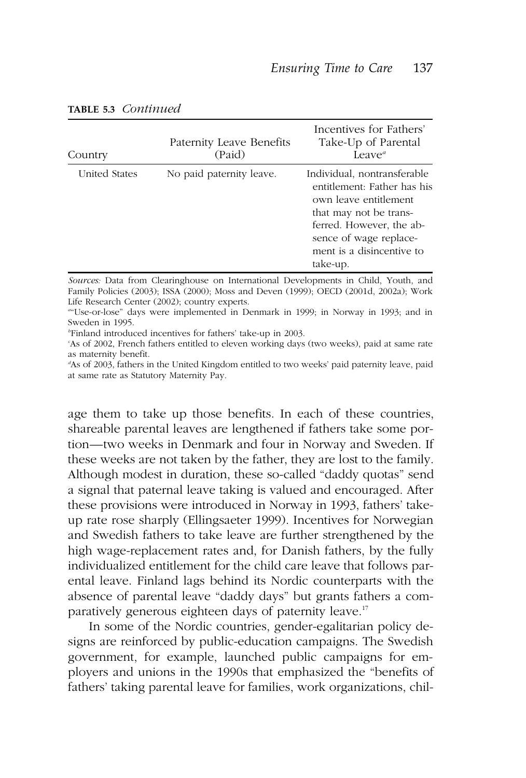| Country              | Paternity Leave Benefits<br>(Paid) | Incentives for Fathers'<br>Take-Up of Parental<br>Leave <sup><math>a</math></sup>                                                                                                                            |
|----------------------|------------------------------------|--------------------------------------------------------------------------------------------------------------------------------------------------------------------------------------------------------------|
| <b>United States</b> | No paid paternity leave.           | Individual, nontransferable<br>entitlement: Father has his<br>own leave entitlement<br>that may not be trans-<br>ferred. However, the ab-<br>sence of wage replace-<br>ment is a disincentive to<br>take-up. |

**TABLE 5.3** *Continued*

*Sources:* Data from Clearinghouse on International Developments in Child, Youth, and Family Policies (2003); ISSA (2000); Moss and Deven (1999); OECD (2001d, 2002a); Work Life Research Center (2002); country experts.

*a* "Use-or-lose" days were implemented in Denmark in 1999; in Norway in 1993; and in Sweden in 1995.

*b* Finland introduced incentives for fathers' take-up in 2003.

*c* As of 2002, French fathers entitled to eleven working days (two weeks), paid at same rate as maternity benefit.

*d* As of 2003, fathers in the United Kingdom entitled to two weeks' paid paternity leave, paid at same rate as Statutory Maternity Pay.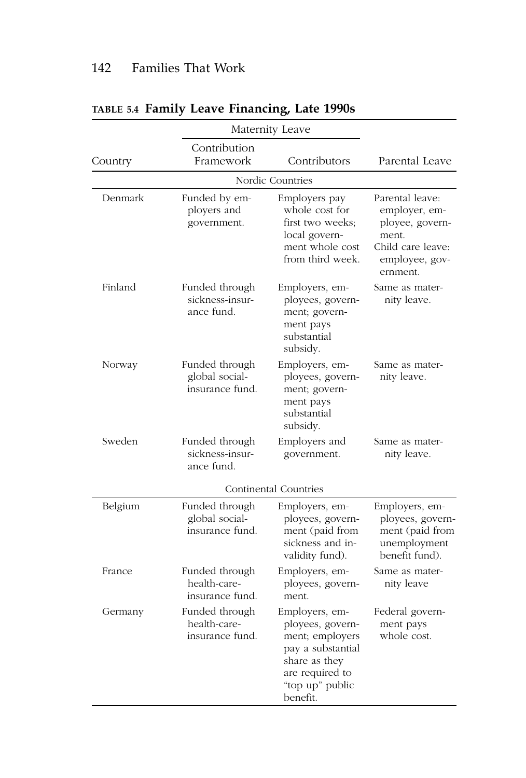|         | Maternity Leave                                     |                                                                                                                                               |                                                                                                                 |
|---------|-----------------------------------------------------|-----------------------------------------------------------------------------------------------------------------------------------------------|-----------------------------------------------------------------------------------------------------------------|
| Country | Contribution<br>Framework                           | Contributors                                                                                                                                  | Parental Leave                                                                                                  |
|         |                                                     | Nordic Countries                                                                                                                              |                                                                                                                 |
| Denmark | Funded by em-<br>ployers and<br>government.         | Employers pay<br>whole cost for<br>first two weeks:<br>local govern-<br>ment whole cost<br>from third week.                                   | Parental leave:<br>employer, em-<br>ployee, govern-<br>ment.<br>Child care leave:<br>employee, gov-<br>ernment. |
| Finland | Funded through<br>sickness-insur-<br>ance fund.     | Employers, em-<br>ployees, govern-<br>ment; govern-<br>ment pays<br>substantial<br>subsidy.                                                   | Same as mater-<br>nity leave.                                                                                   |
| Norway  | Funded through<br>global social-<br>insurance fund. | Employers, em-<br>ployees, govern-<br>ment; govern-<br>ment pays<br>substantial<br>subsidy.                                                   | Same as mater-<br>nity leave.                                                                                   |
| Sweden  | Funded through<br>sickness-insur-<br>ance fund.     | Employers and<br>government.                                                                                                                  | Same as mater-<br>nity leave.                                                                                   |
|         |                                                     | Continental Countries                                                                                                                         |                                                                                                                 |
| Belgium | Funded through<br>global social-<br>insurance fund. | Employers, em-<br>ployees, govern-<br>ment (paid from<br>sickness and in-<br>validity fund).                                                  | Employers, em-<br>ployees, govern-<br>ment (paid from<br>unemployment<br>benefit fund).                         |
| France  | Funded through<br>health-care-<br>insurance fund.   | Employers, em-<br>ployees, govern-<br>ment.                                                                                                   | Same as mater-<br>nity leave                                                                                    |
| Germany | Funded through<br>health-care-<br>insurance fund.   | Employers, em-<br>ployees, govern-<br>ment; employers<br>pay a substantial<br>share as they<br>are required to<br>"top up" public<br>benefit. | Federal govern-<br>ment pays<br>whole cost.                                                                     |

# **TABLE 5.4 Family Leave Financing, Late 1990s**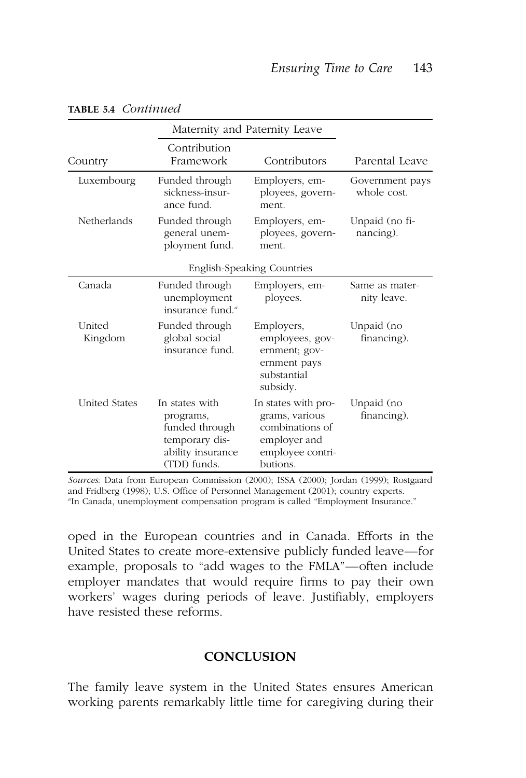|                      |                                                                                                      | Maternity and Paternity Leave                                                                            |                                |
|----------------------|------------------------------------------------------------------------------------------------------|----------------------------------------------------------------------------------------------------------|--------------------------------|
| Country              | Contribution<br>Framework                                                                            | Contributors                                                                                             | Parental Leave                 |
| Luxembourg           | Funded through<br>sickness-insur-<br>ance fund.                                                      | Employers, em-<br>ployees, govern-<br>ment.                                                              | Government pays<br>whole cost. |
| Netherlands          | Funded through<br>general unem-<br>ployment fund.                                                    | Employers, em-<br>ployees, govern-<br>ment.                                                              | Unpaid (no fi-<br>nancing).    |
|                      |                                                                                                      | English-Speaking Countries                                                                               |                                |
| Canada               | Funded through<br>unemployment<br>insurance fund. <sup>ª</sup>                                       | Employers, em-<br>ployees.                                                                               | Same as mater-<br>nity leave.  |
| United<br>Kingdom    | Funded through<br>global social<br>insurance fund.                                                   | Employers,<br>employees, gov-<br>ernment; gov-<br>ernment pays<br>substantial<br>subsidy.                | Unpaid (no<br>financing).      |
| <b>United States</b> | In states with<br>programs,<br>funded through<br>temporary dis-<br>ability insurance<br>(TDI) funds. | In states with pro-<br>grams, various<br>combinations of<br>employer and<br>employee contri-<br>butions. | Unpaid (no<br>financing).      |

**TABLE 5.4** *Continued*

*Sources:* Data from European Commission (2000); ISSA (2000); Jordan (1999); Rostgaard and Fridberg (1998); U.S. Office of Personnel Management (2001); country experts. *a* In Canada, unemployment compensation program is called "Employment Insurance."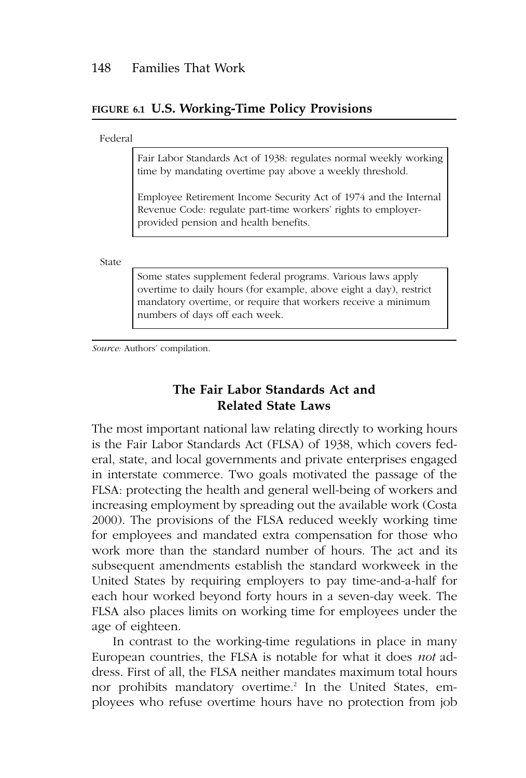# **FIGURE 6.1 U.S. Working-Time Policy Provisions**

Federal

Fair Labor Standards Act of 1938: regulates normal weekly working time by mandating overtime pay above a weekly threshold.

Employee Retirement Income Security Act of 1974 and the Internal Revenue Code: regulate part-time workers' rights to employerprovided pension and health benefits.

State

Some states supplement federal programs. Various laws apply overtime to daily hours (for example, above eight a day), restrict mandatory overtime, or require that workers receive a minimum numbers of days off each week.

*Source:* Authors' compilation.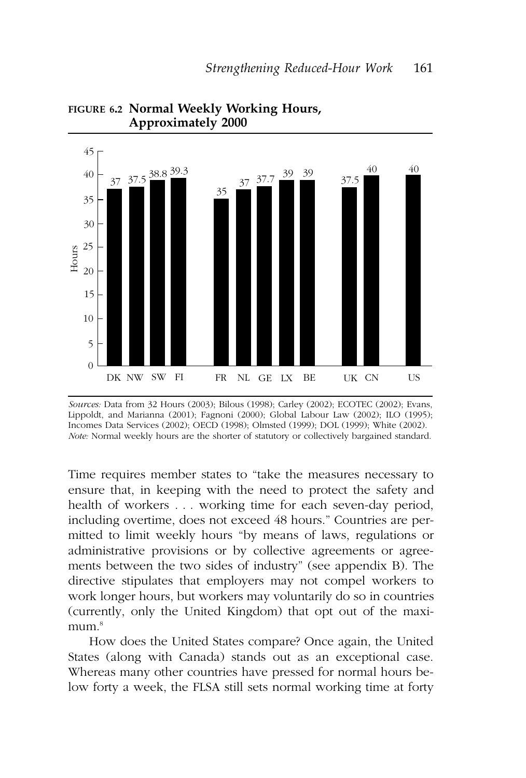# **FIGURE 6.2 Normal Weekly Working Hours, Approximately 2000**



*Sources:* Data from 32 Hours (2003); Bilous (1998); Carley (2002); ECOTEC (2002); Evans, Lippoldt, and Marianna (2001); Fagnoni (2000); Global Labour Law (2002); ILO (1995); Incomes Data Services (2002); OECD (1998); Olmsted (1999); DOL (1999); White (2002). *Note:* Normal weekly hours are the shorter of statutory or collectively bargained standard.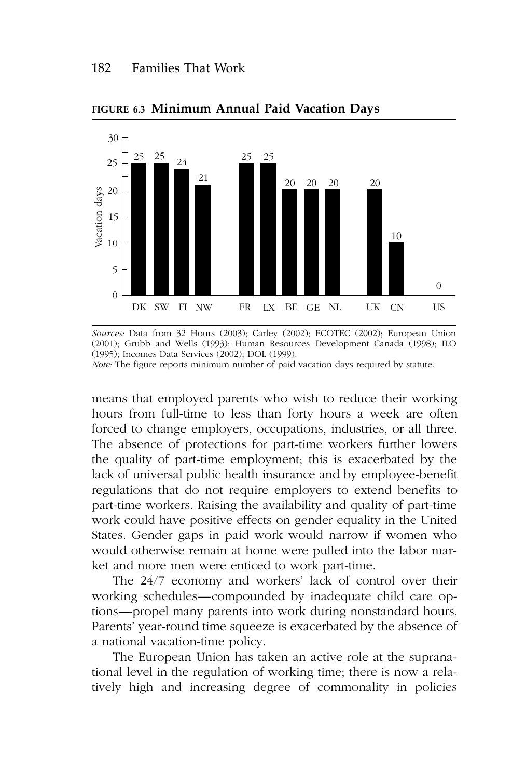### **FIGURE 6.3 Minimum Annual Paid Vacation Days**



*Sources:* Data from 32 Hours (2003); Carley (2002); ECOTEC (2002); European Union (2001); Grubb and Wells (1993); Human Resources Development Canada (1998); ILO (1995); Incomes Data Services (2002); DOL (1999).

*Note:* The figure reports minimum number of paid vacation days required by statute.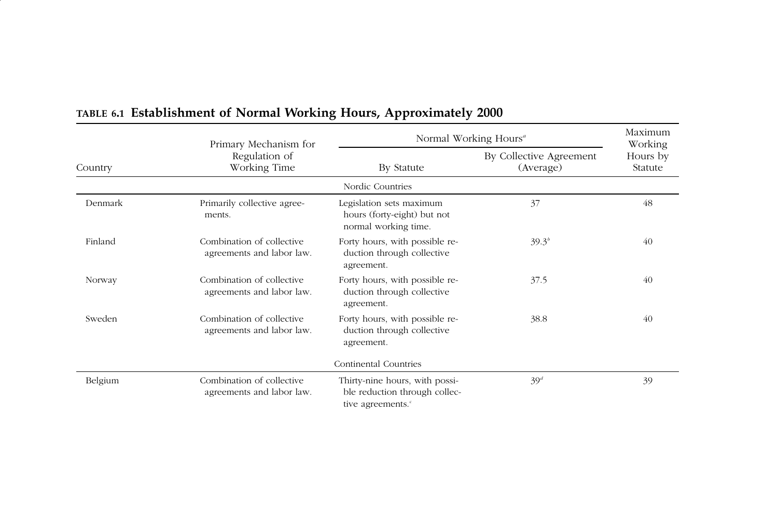|         | Primary Mechanism for                                  | Normal Working Hours <sup>a</sup>                                                                |                                      | Maximum<br>Working  |
|---------|--------------------------------------------------------|--------------------------------------------------------------------------------------------------|--------------------------------------|---------------------|
| Country | Regulation of<br>Working Time                          | By Statute                                                                                       | By Collective Agreement<br>(Average) | Hours by<br>Statute |
|         |                                                        | Nordic Countries                                                                                 |                                      |                     |
| Denmark | Primarily collective agree-<br>ments.                  | Legislation sets maximum<br>hours (forty-eight) but not<br>normal working time.                  | 37                                   | 48                  |
| Finland | Combination of collective<br>agreements and labor law. | Forty hours, with possible re-<br>duction through collective<br>agreement.                       | 39.3 <sup>b</sup>                    | 40                  |
| Norway  | Combination of collective<br>agreements and labor law. | Forty hours, with possible re-<br>duction through collective<br>agreement.                       | 37.5                                 | 40                  |
| Sweden  | Combination of collective<br>agreements and labor law. | Forty hours, with possible re-<br>duction through collective<br>agreement.                       | 38.8                                 | 40                  |
|         |                                                        | Continental Countries                                                                            |                                      |                     |
| Belgium | Combination of collective<br>agreements and labor law. | Thirty-nine hours, with possi-<br>ble reduction through collec-<br>tive agreements. <sup>c</sup> | 39 <sup>d</sup>                      | 39                  |

### **TABLE 6.1 Establishment of Normal Working Hours, Approximately 2000**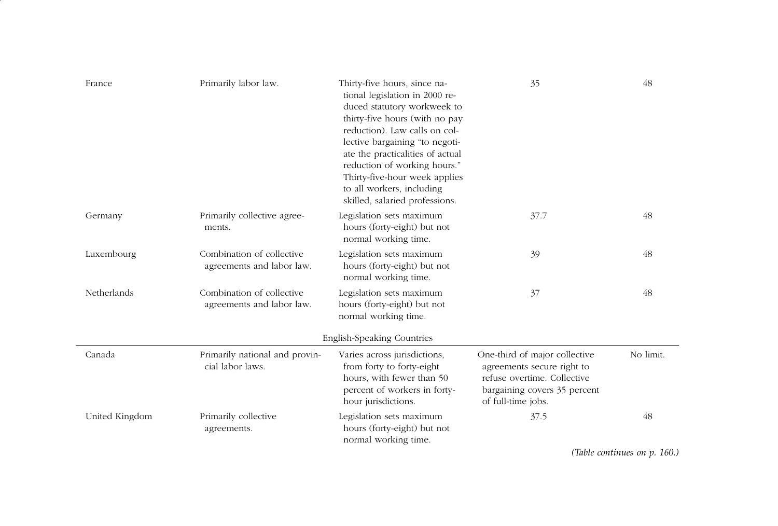| France         | Primarily labor law.                                   | Thirty-five hours, since na-<br>tional legislation in 2000 re-<br>duced statutory workweek to<br>thirty-five hours (with no pay<br>reduction). Law calls on col-<br>lective bargaining "to negoti-<br>ate the practicalities of actual<br>reduction of working hours."<br>Thirty-five-hour week applies<br>to all workers, including<br>skilled, salaried professions. | 35                                                                                                                                               | 48                           |
|----------------|--------------------------------------------------------|------------------------------------------------------------------------------------------------------------------------------------------------------------------------------------------------------------------------------------------------------------------------------------------------------------------------------------------------------------------------|--------------------------------------------------------------------------------------------------------------------------------------------------|------------------------------|
| Germany        | Primarily collective agree-<br>ments.                  | Legislation sets maximum<br>hours (forty-eight) but not<br>normal working time.                                                                                                                                                                                                                                                                                        | 37.7                                                                                                                                             | 48                           |
| Luxembourg     | Combination of collective<br>agreements and labor law. | Legislation sets maximum<br>hours (forty-eight) but not<br>normal working time.                                                                                                                                                                                                                                                                                        | 39                                                                                                                                               | 48                           |
| Netherlands    | Combination of collective<br>agreements and labor law. | Legislation sets maximum<br>hours (forty-eight) but not<br>normal working time.                                                                                                                                                                                                                                                                                        | 37                                                                                                                                               | 48                           |
|                |                                                        | English-Speaking Countries                                                                                                                                                                                                                                                                                                                                             |                                                                                                                                                  |                              |
| Canada         | Primarily national and provin-<br>cial labor laws.     | Varies across jurisdictions,<br>from forty to forty-eight<br>hours, with fewer than 50<br>percent of workers in forty-<br>hour jurisdictions.                                                                                                                                                                                                                          | One-third of major collective<br>agreements secure right to<br>refuse overtime. Collective<br>bargaining covers 35 percent<br>of full-time jobs. | No limit.                    |
| United Kingdom | Primarily collective<br>agreements.                    | Legislation sets maximum<br>hours (forty-eight) but not<br>normal working time.                                                                                                                                                                                                                                                                                        | 37.5                                                                                                                                             | 48                           |
|                |                                                        |                                                                                                                                                                                                                                                                                                                                                                        |                                                                                                                                                  | (Table continues on p. 160.) |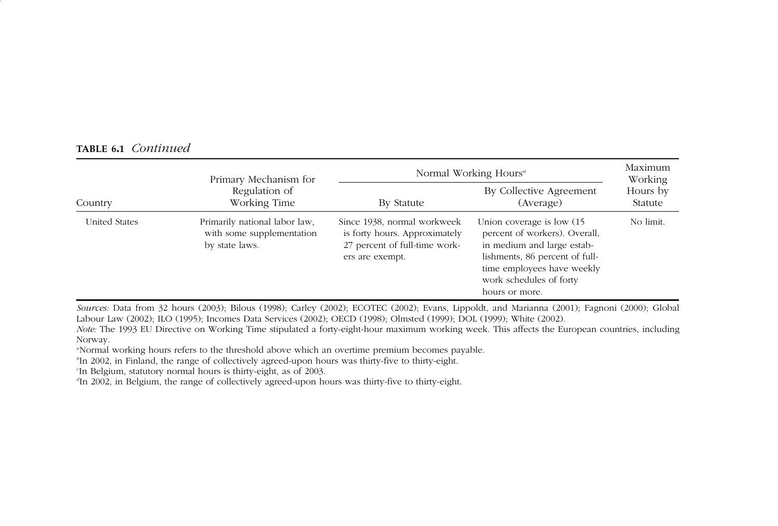#### **TABLE 6.1** *Continued*

| Primary Mechanism for                    |                                                                              | Normal Working Hours <sup>a</sup>                                                                                | Maximum<br>Working                                                                                                                                                                                     |           |
|------------------------------------------|------------------------------------------------------------------------------|------------------------------------------------------------------------------------------------------------------|--------------------------------------------------------------------------------------------------------------------------------------------------------------------------------------------------------|-----------|
| Regulation of<br>Working Time<br>Country | By Statute                                                                   | By Collective Agreement<br>(Average)                                                                             | Hours by<br>Statute                                                                                                                                                                                    |           |
| United States                            | Primarily national labor law,<br>with some supplementation<br>by state laws. | Since 1938, normal workweek<br>is forty hours. Approximately<br>27 percent of full-time work-<br>ers are exempt. | Union coverage is low (15)<br>percent of workers). Overall,<br>in medium and large estab-<br>lishments, 86 percent of full-<br>time employees have weekly<br>work schedules of forty<br>hours or more. | No limit. |

*Sources:* Data from 32 hours (2003); Bilous (1998); Carley (2002); ECOTEC (2002); Evans, Lippoldt, and Marianna (2001); Fagnoni (2000); Global Labour Law (2002); ILO (1995); Incomes Data Services (2002); OECD (1998); Olmsted (1999); DOL (1999); White (2002).

*Note:* The 1993 EU Directive on Working Time stipulated a forty-eight-hour maximum working week. This affects the European countries, including Norway.

<sup>*a*</sup>Normal working hours refers to the threshold above which an overtime premium becomes payable.

*<sup>b</sup>*In 2002, in Finland, the range of collectively agreed-upon hours was thirty-five to thirty-eight.

*<sup>c</sup>*In Belgium, statutory normal hours is thirty-eight, as of 2003.

*d*In 2002, in Belgium, the range of collectively agreed-upon hours was thirty-five to thirty-eight.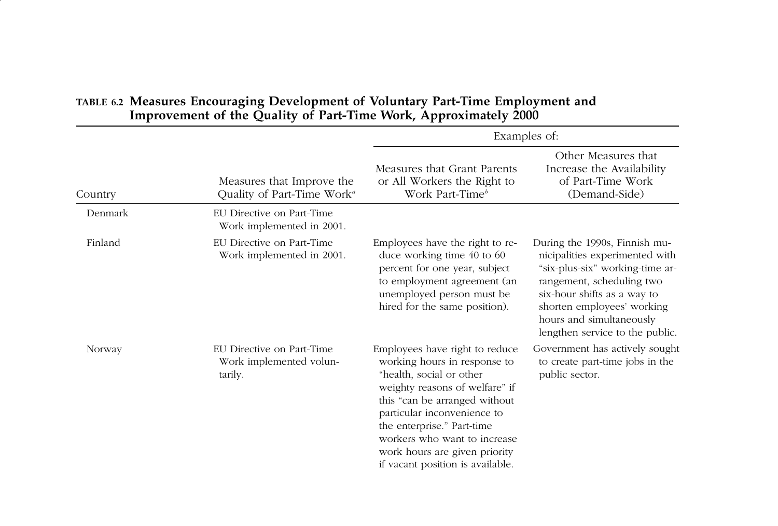|         |                                                                     | Examples of:                                                                                                                                                                                                                                                                                                                    |                                                                                                                                                                                                                                                             |  |
|---------|---------------------------------------------------------------------|---------------------------------------------------------------------------------------------------------------------------------------------------------------------------------------------------------------------------------------------------------------------------------------------------------------------------------|-------------------------------------------------------------------------------------------------------------------------------------------------------------------------------------------------------------------------------------------------------------|--|
| Country | Measures that Improve the<br>Quality of Part-Time Work <sup>a</sup> | Measures that Grant Parents<br>or All Workers the Right to<br>Work Part-Time <sup>b</sup>                                                                                                                                                                                                                                       | Other Measures that<br>Increase the Availability<br>of Part-Time Work<br>(Demand-Side)                                                                                                                                                                      |  |
| Denmark | EU Directive on Part-Time<br>Work implemented in 2001.              |                                                                                                                                                                                                                                                                                                                                 |                                                                                                                                                                                                                                                             |  |
| Finland | EU Directive on Part-Time<br>Work implemented in 2001.              | Employees have the right to re-<br>duce working time 40 to 60<br>percent for one year, subject<br>to employment agreement (an<br>unemployed person must be<br>hired for the same position).                                                                                                                                     | During the 1990s, Finnish mu-<br>nicipalities experimented with<br>"six-plus-six" working-time ar-<br>rangement, scheduling two<br>six-hour shifts as a way to<br>shorten employees' working<br>hours and simultaneously<br>lengthen service to the public. |  |
| Norway  | EU Directive on Part-Time<br>Work implemented volun-<br>tarily.     | Employees have right to reduce<br>working hours in response to<br>"health, social or other<br>weighty reasons of welfare" if<br>this "can be arranged without<br>particular inconvenience to<br>the enterprise." Part-time<br>workers who want to increase<br>work hours are given priority<br>if vacant position is available. | Government has actively sought<br>to create part-time jobs in the<br>public sector.                                                                                                                                                                         |  |

# **TABLE 6.2 Measures Encouraging Development of Voluntary Part-Time Employment and Improvement of the Quality of Part-Time Work, Approximately 2000**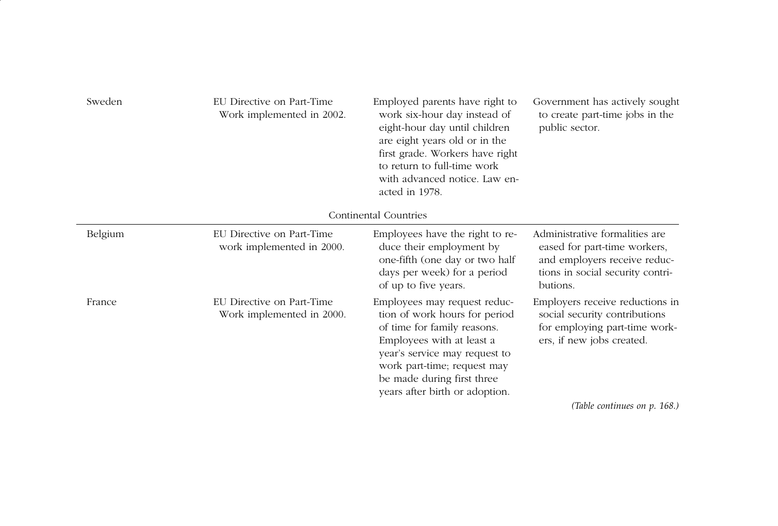| Sweden  | EU Directive on Part-Time<br>Work implemented in 2002. | Employed parents have right to<br>work six-hour day instead of<br>eight-hour day until children<br>are eight years old or in the<br>first grade. Workers have right<br>to return to full-time work<br>with advanced notice. Law en-<br>acted in 1978.     | Government has actively sought<br>to create part-time jobs in the<br>public sector.                                                            |
|---------|--------------------------------------------------------|-----------------------------------------------------------------------------------------------------------------------------------------------------------------------------------------------------------------------------------------------------------|------------------------------------------------------------------------------------------------------------------------------------------------|
|         |                                                        | Continental Countries                                                                                                                                                                                                                                     |                                                                                                                                                |
| Belgium | EU Directive on Part-Time<br>work implemented in 2000. | Employees have the right to re-<br>duce their employment by<br>one-fifth (one day or two half<br>days per week) for a period<br>of up to five years.                                                                                                      | Administrative formalities are<br>eased for part-time workers,<br>and employers receive reduc-<br>tions in social security contri-<br>butions. |
| France  | EU Directive on Part-Time<br>Work implemented in 2000. | Employees may request reduc-<br>tion of work hours for period<br>of time for family reasons.<br>Employees with at least a<br>year's service may request to<br>work part-time; request may<br>be made during first three<br>years after birth or adoption. | Employers receive reductions in<br>social security contributions<br>for employing part-time work-<br>ers, if new jobs created.                 |
|         |                                                        |                                                                                                                                                                                                                                                           | (Table continues on p. 168.)                                                                                                                   |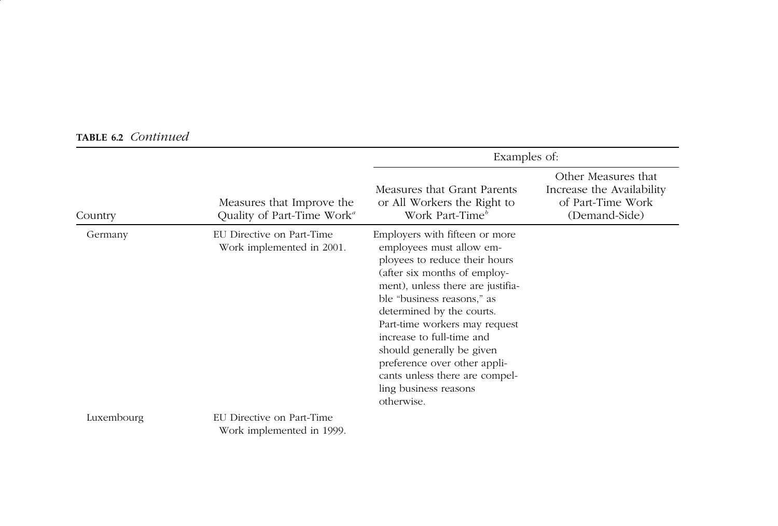#### **TABLE 6.2** *Continued*

|            |                                                                      | Examples of:                                                                                                                                                                                                                                                                                                                                                                                                                    |                                                                                        |  |
|------------|----------------------------------------------------------------------|---------------------------------------------------------------------------------------------------------------------------------------------------------------------------------------------------------------------------------------------------------------------------------------------------------------------------------------------------------------------------------------------------------------------------------|----------------------------------------------------------------------------------------|--|
| Country    | Measures that Improve the.<br>Quality of Part-Time Work <sup>a</sup> | Measures that Grant Parents<br>or All Workers the Right to<br>Work Part-Time <sup>b</sup>                                                                                                                                                                                                                                                                                                                                       | Other Measures that<br>Increase the Availability<br>of Part-Time Work<br>(Demand-Side) |  |
| Germany    | EU Directive on Part-Time<br>Work implemented in 2001.               | Employers with fifteen or more<br>employees must allow em-<br>ployees to reduce their hours<br>(after six months of employ-<br>ment), unless there are justifia-<br>ble "business reasons," as<br>determined by the courts.<br>Part-time workers may request<br>increase to full-time and<br>should generally be given<br>preference over other appli-<br>cants unless there are compel-<br>ling business reasons<br>otherwise. |                                                                                        |  |
| Luxembourg | EU Directive on Part-Time                                            |                                                                                                                                                                                                                                                                                                                                                                                                                                 |                                                                                        |  |

Work implemented in 1999.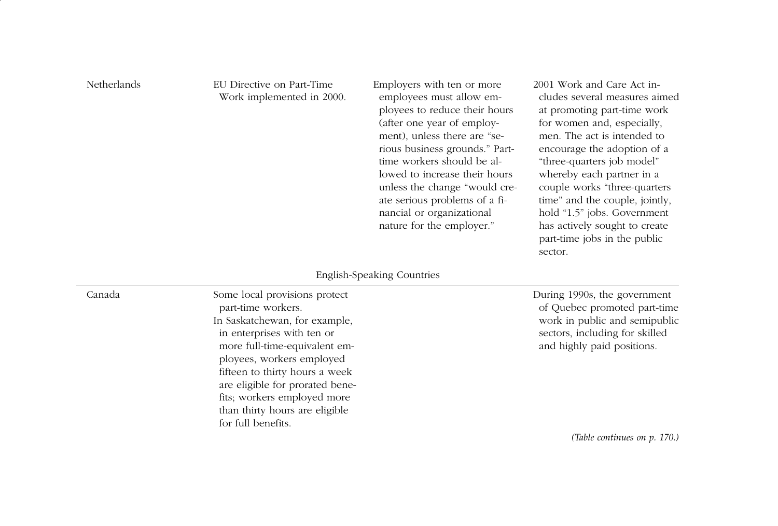| Netherlands | EU Directive on Part-Time<br>Work implemented in 2000.                                                                                                                                                                                                | Employers with ten or more<br>employees must allow em-<br>ployees to reduce their hours<br>(after one year of employ-<br>ment), unless there are "se-<br>rious business grounds." Part-<br>time workers should be al-<br>lowed to increase their hours<br>unless the change "would cre-<br>ate serious problems of a fi-<br>nancial or organizational<br>nature for the employer." | 2001 Work and Care Act in-<br>cludes several measures aimed<br>at promoting part-time work<br>for women and, especially,<br>men. The act is intended to<br>encourage the adoption of a<br>"three-quarters job model"<br>whereby each partner in a<br>couple works "three-quarters<br>time" and the couple, jointly,<br>hold "1.5" jobs. Government<br>has actively sought to create<br>part-time jobs in the public |
|-------------|-------------------------------------------------------------------------------------------------------------------------------------------------------------------------------------------------------------------------------------------------------|------------------------------------------------------------------------------------------------------------------------------------------------------------------------------------------------------------------------------------------------------------------------------------------------------------------------------------------------------------------------------------|---------------------------------------------------------------------------------------------------------------------------------------------------------------------------------------------------------------------------------------------------------------------------------------------------------------------------------------------------------------------------------------------------------------------|
|             |                                                                                                                                                                                                                                                       | English-Speaking Countries                                                                                                                                                                                                                                                                                                                                                         | sector.                                                                                                                                                                                                                                                                                                                                                                                                             |
| Canada      | Some local provisions protect<br>part-time workers.<br>In Saskatchewan, for example,<br>in enterprises with ten or<br>more full-time-equivalent em-<br>ployees, workers employed<br>fifteen to thirty hours a week<br>are eligible for prorated bene- |                                                                                                                                                                                                                                                                                                                                                                                    | During 1990s, the government<br>of Quebec promoted part-time<br>work in public and semipublic<br>sectors, including for skilled<br>and highly paid positions.                                                                                                                                                                                                                                                       |

fits; workers employed more than thirty hours are eligible

for full benefits.

*(Table continues on p. 170.)*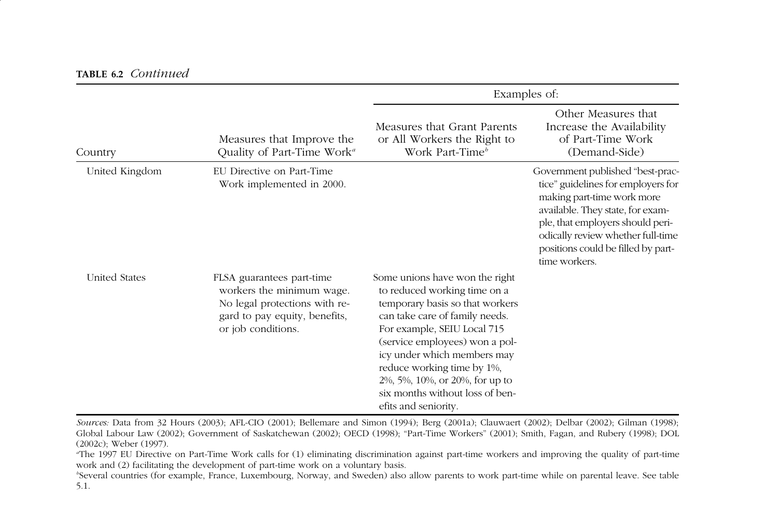### **TABLE 6.2** *Continued*

|                      |                                                                                                                                                | Examples of:                                                                                                                                                                                                                                                                                                                                                   |                                                                                                                                                                                                                                                                          |  |
|----------------------|------------------------------------------------------------------------------------------------------------------------------------------------|----------------------------------------------------------------------------------------------------------------------------------------------------------------------------------------------------------------------------------------------------------------------------------------------------------------------------------------------------------------|--------------------------------------------------------------------------------------------------------------------------------------------------------------------------------------------------------------------------------------------------------------------------|--|
| Country              | Measures that Improve the<br>Quality of Part-Time Work <sup>a</sup>                                                                            | Measures that Grant Parents<br>or All Workers the Right to<br>Work Part-Time <sup>b</sup>                                                                                                                                                                                                                                                                      | Other Measures that<br>Increase the Availability<br>of Part-Time Work<br>(Demand-Side)                                                                                                                                                                                   |  |
| United Kingdom       | EU Directive on Part-Time<br>Work implemented in 2000.                                                                                         |                                                                                                                                                                                                                                                                                                                                                                | Government published "best-prac-<br>tice" guidelines for employers for<br>making part-time work more<br>available. They state, for exam-<br>ple, that employers should peri-<br>odically review whether full-time<br>positions could be filled by part-<br>time workers. |  |
| <b>United States</b> | FLSA guarantees part-time<br>workers the minimum wage.<br>No legal protections with re-<br>gard to pay equity, benefits,<br>or job conditions. | Some unions have won the right<br>to reduced working time on a<br>temporary basis so that workers<br>can take care of family needs.<br>For example, SEIU Local 715<br>(service employees) won a pol-<br>icy under which members may<br>reduce working time by 1%,<br>2%, 5%, 10%, or 20%, for up to<br>six months without loss of ben-<br>efits and seniority. |                                                                                                                                                                                                                                                                          |  |

*Sources:* Data from 32 Hours (2003); AFL-CIO (2001); Bellemare and Simon (1994); Berg (2001a); Clauwaert (2002); Delbar (2002); Gilman (1998); Global Labour Law (2002); Government of Saskatchewan (2002); OECD (1998); "Part-Time Workers" (2001); Smith, Fagan, and Rubery (1998); DOL (2002c); Weber (1997).

*<sup>a</sup>*The 1997 EU Directive on Part-Time Work calls for (1) eliminating discrimination against part-time workers and improving the quality of part-time work and (2) facilitating the development of part-time work on a voluntary basis.

*<sup>b</sup>*Several countries (for example, France, Luxembourg, Norway, and Sweden) also allow parents to work part-time while on parental leave. See table 5.1.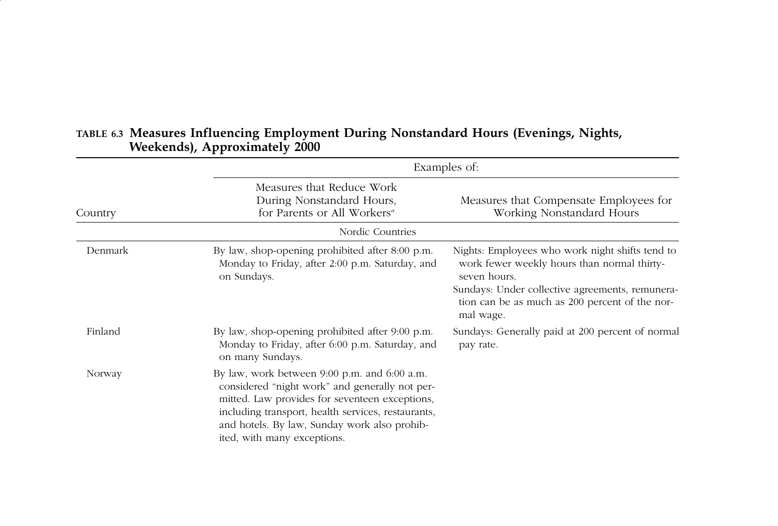|         |                                                                                                                                                                                                                                                                                       | Examples of:                                                                                                                                                                                                                     |
|---------|---------------------------------------------------------------------------------------------------------------------------------------------------------------------------------------------------------------------------------------------------------------------------------------|----------------------------------------------------------------------------------------------------------------------------------------------------------------------------------------------------------------------------------|
| Country | Measures that Reduce Work<br>During Nonstandard Hours,<br>for Parents or All Workers <sup>a</sup>                                                                                                                                                                                     | Measures that Compensate Employees for<br>Working Nonstandard Hours                                                                                                                                                              |
|         | Nordic Countries                                                                                                                                                                                                                                                                      |                                                                                                                                                                                                                                  |
| Denmark | By law, shop-opening prohibited after 8:00 p.m.<br>Monday to Friday, after 2:00 p.m. Saturday, and<br>on Sundays.                                                                                                                                                                     | Nights: Employees who work night shifts tend to<br>work fewer weekly hours than normal thirty-<br>seven hours.<br>Sundays: Under collective agreements, remunera-<br>tion can be as much as 200 percent of the nor-<br>mal wage. |
| Finland | By law, shop-opening prohibited after 9:00 p.m.<br>Monday to Friday, after 6:00 p.m. Saturday, and<br>on many Sundays.                                                                                                                                                                | Sundays: Generally paid at 200 percent of normal<br>pay rate.                                                                                                                                                                    |
| Norway  | By law, work between 9:00 p.m. and 6:00 a.m.<br>considered "night work" and generally not per-<br>mitted. Law provides for seventeen exceptions,<br>including transport, health services, restaurants,<br>and hotels. By law, Sunday work also prohib-<br>ited, with many exceptions. |                                                                                                                                                                                                                                  |

# **TABLE 6.3 Measures Influencing Employment During Nonstandard Hours (Evenings, Nights, Weekends), Approximately 2000**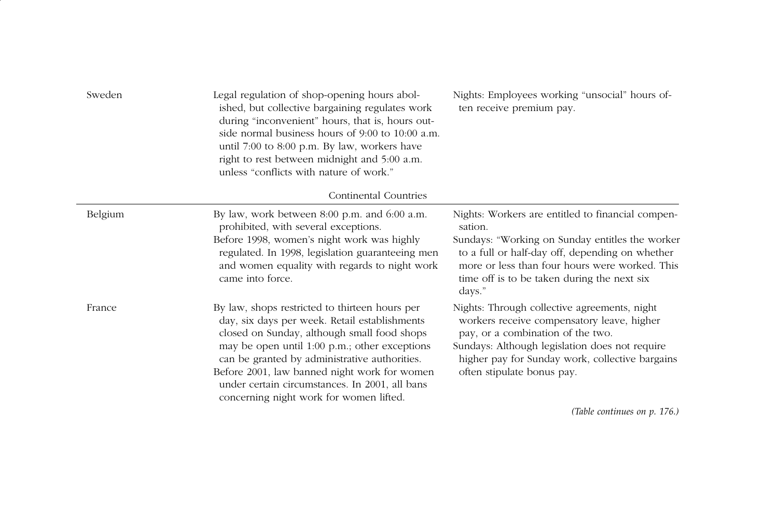| Sweden  | Legal regulation of shop-opening hours abol-<br>ished, but collective bargaining regulates work<br>during "inconvenient" hours, that is, hours out-<br>side normal business hours of 9:00 to 10:00 a.m.<br>until 7:00 to 8:00 p.m. By law, workers have<br>right to rest between midnight and 5:00 a.m.<br>unless "conflicts with nature of work."                                            | Nights: Employees working "unsocial" hours of-<br>ten receive premium pay.                                                                                                                                                                                                    |
|---------|-----------------------------------------------------------------------------------------------------------------------------------------------------------------------------------------------------------------------------------------------------------------------------------------------------------------------------------------------------------------------------------------------|-------------------------------------------------------------------------------------------------------------------------------------------------------------------------------------------------------------------------------------------------------------------------------|
|         | Continental Countries                                                                                                                                                                                                                                                                                                                                                                         |                                                                                                                                                                                                                                                                               |
| Belgium | By law, work between 8:00 p.m. and 6:00 a.m.<br>prohibited, with several exceptions.<br>Before 1998, women's night work was highly<br>regulated. In 1998, legislation guaranteeing men<br>and women equality with regards to night work<br>came into force.                                                                                                                                   | Nights: Workers are entitled to financial compen-<br>sation.<br>Sundays: "Working on Sunday entitles the worker<br>to a full or half-day off, depending on whether<br>more or less than four hours were worked. This<br>time off is to be taken during the next six<br>days." |
| France  | By law, shops restricted to thirteen hours per<br>day, six days per week. Retail establishments<br>closed on Sunday, although small food shops<br>may be open until 1:00 p.m.; other exceptions<br>can be granted by administrative authorities.<br>Before 2001, law banned night work for women<br>under certain circumstances. In 2001, all bans<br>concerning night work for women lifted. | Nights: Through collective agreements, night<br>workers receive compensatory leave, higher<br>pay, or a combination of the two.<br>Sundays: Although legislation does not require<br>higher pay for Sunday work, collective bargains<br>often stipulate bonus pay.            |

*(Table continues on p. 176.)*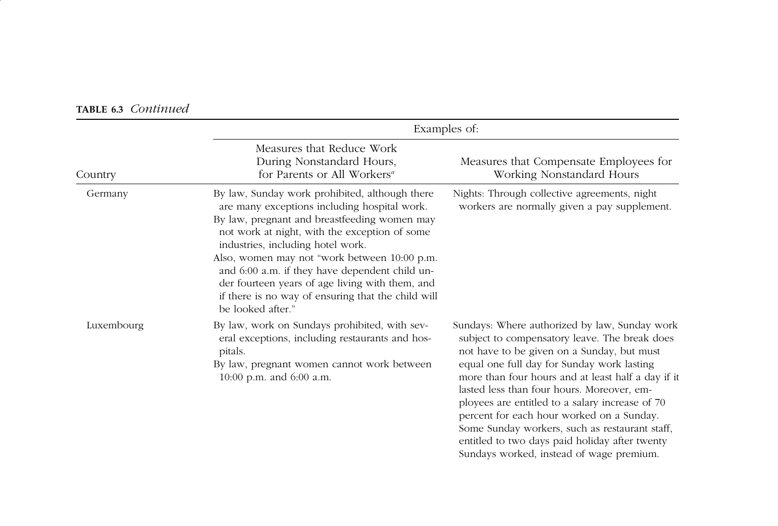|            |                                                                                                                                                                                                                                                                                                                                                                                                                                                                      | Examples of:                                                                                                                                                                                                                                                                                                                                                                                                                                                                                                                                   |  |  |  |  |
|------------|----------------------------------------------------------------------------------------------------------------------------------------------------------------------------------------------------------------------------------------------------------------------------------------------------------------------------------------------------------------------------------------------------------------------------------------------------------------------|------------------------------------------------------------------------------------------------------------------------------------------------------------------------------------------------------------------------------------------------------------------------------------------------------------------------------------------------------------------------------------------------------------------------------------------------------------------------------------------------------------------------------------------------|--|--|--|--|
| Country    | Measures that Reduce Work<br>During Nonstandard Hours,<br>for Parents or All Workers <sup>a</sup>                                                                                                                                                                                                                                                                                                                                                                    | Measures that Compensate Employees for<br>Working Nonstandard Hours                                                                                                                                                                                                                                                                                                                                                                                                                                                                            |  |  |  |  |
| Germany    | By law, Sunday work prohibited, although there<br>are many exceptions including hospital work.<br>By law, pregnant and breastfeeding women may<br>not work at night, with the exception of some<br>industries, including hotel work.<br>Also, women may not "work between 10:00 p.m.<br>and 6:00 a.m. if they have dependent child un-<br>der fourteen years of age living with them, and<br>if there is no way of ensuring that the child will<br>be looked after." | Nights: Through collective agreements, night<br>workers are normally given a pay supplement.                                                                                                                                                                                                                                                                                                                                                                                                                                                   |  |  |  |  |
| Luxembourg | By law, work on Sundays prohibited, with sev-<br>eral exceptions, including restaurants and hos-<br>pitals.<br>By law, pregnant women cannot work between<br>10:00 p.m. and 6:00 a.m.                                                                                                                                                                                                                                                                                | Sundays: Where authorized by law, Sunday work<br>subject to compensatory leave. The break does<br>not have to be given on a Sunday, but must<br>equal one full day for Sunday work lasting<br>more than four hours and at least half a day if it<br>lasted less than four hours. Moreover, em-<br>ployees are entitled to a salary increase of 70<br>percent for each hour worked on a Sunday.<br>Some Sunday workers, such as restaurant staff,<br>entitled to two days paid holiday after twenty<br>Sundays worked, instead of wage premium. |  |  |  |  |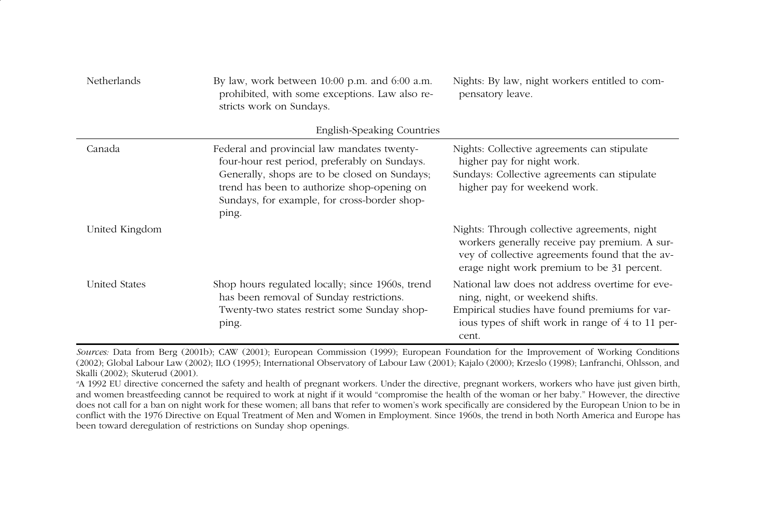| Netherlands          | By law, work between $10:00$ p.m. and $6:00$ a.m.<br>prohibited, with some exceptions. Law also re-<br>stricts work on Sundays.                                                                                                                       | Nights: By law, night workers entitled to com-<br>pensatory leave.                                                                                                                                 |
|----------------------|-------------------------------------------------------------------------------------------------------------------------------------------------------------------------------------------------------------------------------------------------------|----------------------------------------------------------------------------------------------------------------------------------------------------------------------------------------------------|
|                      | English-Speaking Countries                                                                                                                                                                                                                            |                                                                                                                                                                                                    |
| Canada               | Federal and provincial law mandates twenty-<br>four-hour rest period, preferably on Sundays.<br>Generally, shops are to be closed on Sundays;<br>trend has been to authorize shop-opening on<br>Sundays, for example, for cross-border shop-<br>ping. | Nights: Collective agreements can stipulate<br>higher pay for night work.<br>Sundays: Collective agreements can stipulate<br>higher pay for weekend work.                                          |
| United Kingdom       |                                                                                                                                                                                                                                                       | Nights: Through collective agreements, night<br>workers generally receive pay premium. A sur-<br>vey of collective agreements found that the av-<br>erage night work premium to be 31 percent.     |
| <b>United States</b> | Shop hours regulated locally; since 1960s, trend<br>has been removal of Sunday restrictions.<br>Twenty-two states restrict some Sunday shop-<br>ping.                                                                                                 | National law does not address overtime for eve-<br>ning, night, or weekend shifts.<br>Empirical studies have found premiums for var-<br>ious types of shift work in range of 4 to 11 per-<br>cent. |

 $\sim$ 

*Sources:* Data from Berg (2001b); CAW (2001); European Commission (1999); European Foundation for the Improvement of Working Conditions (2002); Global Labour Law (2002); ILO (1995); International Observatory of Labour Law (2001); Kajalo (2000); Krzeslo (1998); Lanfranchi, Ohlsson, and Skalli (2002); Skuterud (2001).

*<sup>a</sup>*A 1992 EU directive concerned the safety and health of pregnant workers. Under the directive, pregnant workers, workers who have just given birth, and women breastfeeding cannot be required to work at night if it would "compromise the health of the woman or her baby." However, the directive does not call for a ban on night work for these women; all bans that refer to women's work specifically are considered by the European Union to be in conflict with the 1976 Directive on Equal Treatment of Men and Women in Employment. Since 1960s, the trend in both North America and Europe has been toward deregulation of restrictions on Sunday shop openings.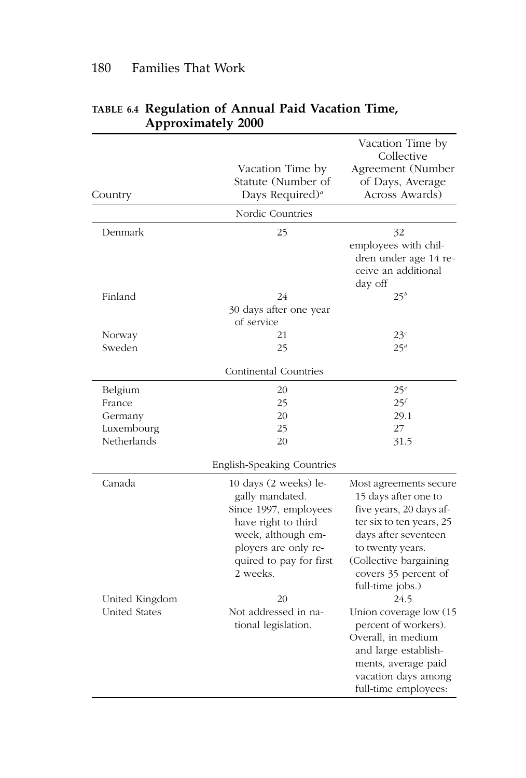| Country              | Vacation Time by<br>Statute (Number of<br>Days Required) <sup>a</sup>                                                                                                         | Vacation Time by<br>Collective<br>Agreement (Number<br>of Days, Average<br>Across Awards)                                                                                                                               |
|----------------------|-------------------------------------------------------------------------------------------------------------------------------------------------------------------------------|-------------------------------------------------------------------------------------------------------------------------------------------------------------------------------------------------------------------------|
|                      | Nordic Countries                                                                                                                                                              |                                                                                                                                                                                                                         |
| Denmark              | 25                                                                                                                                                                            | 32<br>employees with chil-<br>dren under age 14 re-<br>ceive an additional<br>day off                                                                                                                                   |
| Finland              | 24<br>30 days after one year<br>of service                                                                                                                                    | $25^b$                                                                                                                                                                                                                  |
| Norway               | 21                                                                                                                                                                            | $23^{\circ}$                                                                                                                                                                                                            |
| Sweden               | 25                                                                                                                                                                            | 25 <sup>d</sup>                                                                                                                                                                                                         |
|                      | Continental Countries                                                                                                                                                         |                                                                                                                                                                                                                         |
| Belgium              | 20                                                                                                                                                                            | $25^e$                                                                                                                                                                                                                  |
| France               | 25                                                                                                                                                                            | 25 <sup>f</sup>                                                                                                                                                                                                         |
| Germany              | 20                                                                                                                                                                            | 29.1                                                                                                                                                                                                                    |
| Luxembourg           | 25                                                                                                                                                                            | 27                                                                                                                                                                                                                      |
| Netherlands          | 20                                                                                                                                                                            | 31.5                                                                                                                                                                                                                    |
|                      | English-Speaking Countries                                                                                                                                                    |                                                                                                                                                                                                                         |
| Canada               | 10 days (2 weeks) le-<br>gally mandated.<br>Since 1997, employees<br>have right to third<br>week, although em-<br>ployers are only re-<br>quired to pay for first<br>2 weeks. | Most agreements secure<br>15 days after one to<br>five years, 20 days af-<br>ter six to ten years, 25<br>days after seventeen<br>to twenty years.<br>(Collective bargaining<br>covers 35 percent of<br>full-time jobs.) |
| United Kingdom       | 20                                                                                                                                                                            | 24.5                                                                                                                                                                                                                    |
| <b>United States</b> | Not addressed in na-<br>tional legislation.                                                                                                                                   | Union coverage low (15<br>percent of workers).<br>Overall, in medium<br>and large establish-<br>ments, average paid<br>vacation days among<br>full-time employees:                                                      |

# **TABLE 6.4 Regulation of Annual Paid Vacation Time, Approximately 2000**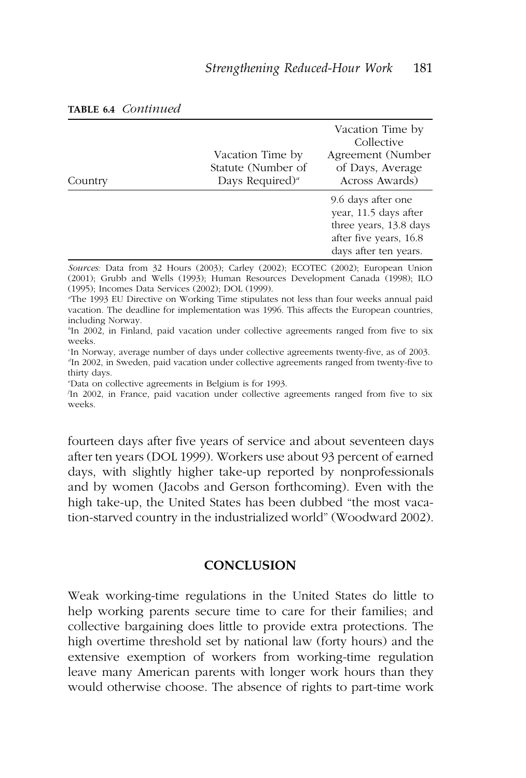|         |                                                                       | Vacation Time by<br>Collective                                                                                           |
|---------|-----------------------------------------------------------------------|--------------------------------------------------------------------------------------------------------------------------|
| Country | Vacation Time by<br>Statute (Number of<br>Days Required) <sup>a</sup> | Agreement (Number<br>of Days, Average<br>Across Awards)                                                                  |
|         |                                                                       | 9.6 days after one<br>year, 11.5 days after<br>three years, 13.8 days<br>after five years, 16.8<br>days after ten years. |

*Sources:* Data from 32 Hours (2003); Carley (2002); ECOTEC (2002); European Union (2001); Grubb and Wells (1993); Human Resources Development Canada (1998); ILO (1995); Incomes Data Services (2002); DOL (1999).

*a* The 1993 EU Directive on Working Time stipulates not less than four weeks annual paid vacation. The deadline for implementation was 1996. This affects the European countries, including Norway.

<sup>b</sup>In 2002, in Finland, paid vacation under collective agreements ranged from five to six weeks.

*c* In Norway, average number of days under collective agreements twenty-five, as of 2003.

*d* In 2002, in Sweden, paid vacation under collective agreements ranged from twenty-five to thirty days.

*e* Data on collective agreements in Belgium is for 1993.

*f* In 2002, in France, paid vacation under collective agreements ranged from five to six weeks.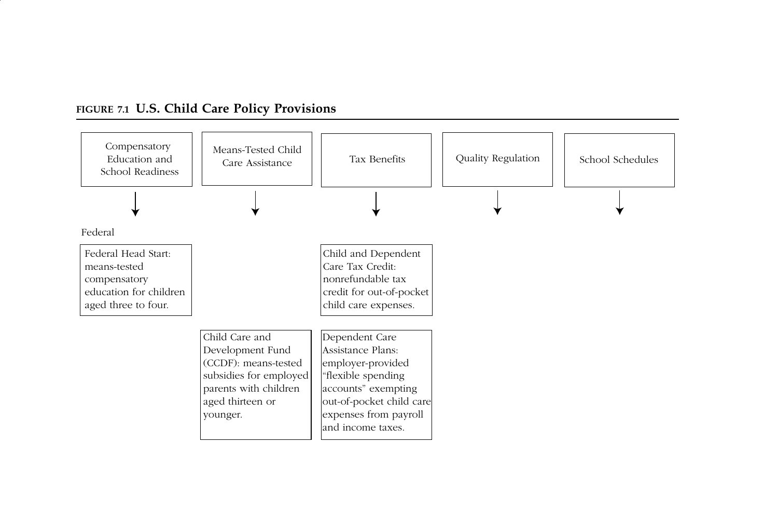# **FIGURE 7.1 U.S. Child Care Policy Provisions**

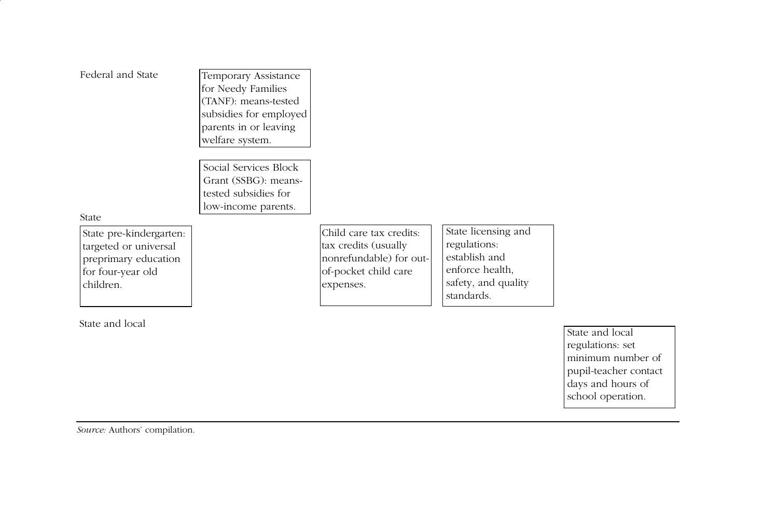| Federal and State                                                                                          | Temporary Assistance<br>for Needy Families<br>(TANF): means-tested<br>subsidies for employed<br>parents in or leaving |                                                                                                                 |                                                                                                              |  |
|------------------------------------------------------------------------------------------------------------|-----------------------------------------------------------------------------------------------------------------------|-----------------------------------------------------------------------------------------------------------------|--------------------------------------------------------------------------------------------------------------|--|
|                                                                                                            | welfare system.                                                                                                       |                                                                                                                 |                                                                                                              |  |
| State                                                                                                      | Social Services Block<br>Grant (SSBG): means-<br>tested subsidies for<br>low-income parents.                          |                                                                                                                 |                                                                                                              |  |
| State pre-kindergarten:<br>targeted or universal<br>preprimary education<br>for four-year old<br>children. |                                                                                                                       | Child care tax credits:<br>tax credits (usually<br>nonrefundable) for out-<br>of-pocket child care<br>expenses. | State licensing and<br>regulations:<br>establish and<br>enforce health,<br>safety, and quality<br>standards. |  |

State and local regulations: set minimum number of pupil-teacher contact days and hours of school operation.

*Source:* Authors' compilation.

State and local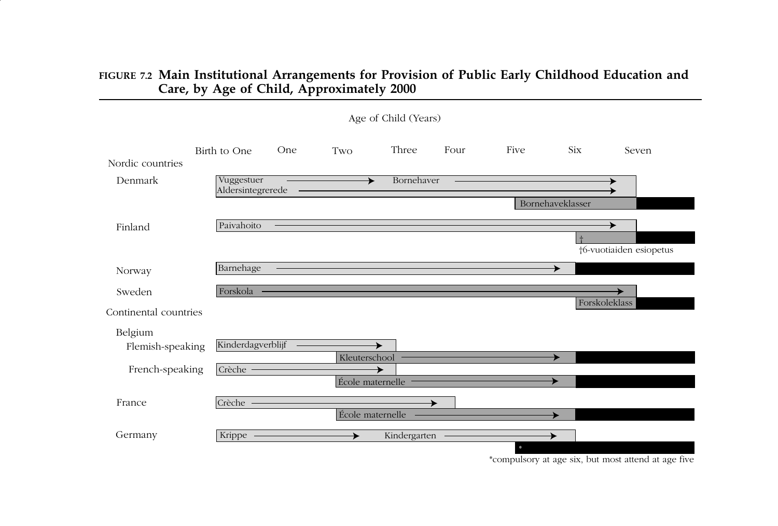# **FIGURE 7.2 Main Institutional Arrangements for Provision of Public Early Childhood Education and Care, by Age of Child, Approximately 2000**

| Age of Child (Years)        |                                 |     |                  |              |      |        |                  |                              |
|-----------------------------|---------------------------------|-----|------------------|--------------|------|--------|------------------|------------------------------|
| Nordic countries            | Birth to One                    | One | Two              | Three        | Four | Five   | Six              | Seven                        |
| Denmark                     | Vuggestuer<br>Aldersintegrerede |     | $\rightarrow$    | Bornehaver   |      |        | Bornehaveklasser |                              |
| Finland                     | Paivahoito                      |     |                  |              |      |        |                  | ►<br>†6-vuotiaiden esiopetus |
| Norway                      | Barnehage                       |     |                  |              |      |        | →                |                              |
| Sweden                      | Forskola                        |     |                  |              |      |        |                  | Forskoleklass                |
| Continental countries       |                                 |     |                  |              |      |        |                  |                              |
| Belgium<br>Flemish-speaking | Kinderdagverblijf               |     | Kleuterschool    |              |      |        |                  |                              |
| French-speaking             | Crèche -                        |     | École maternelle |              |      |        |                  |                              |
| France                      | Crèche -                        |     | École maternelle |              |      |        |                  |                              |
| Germany                     | Krippe -                        |     |                  | Kindergarten |      | $\ast$ |                  |                              |

\*compulsory at age six, but most attend at age five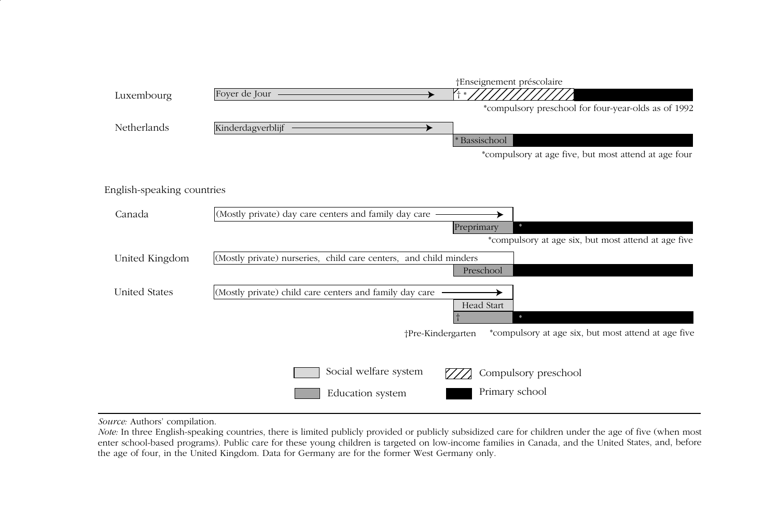

*Source:* Authors' compilation.

*Note:* In three English-speaking countries, there is limited publicly provided or publicly subsidized care for children under the age of five (when most enter school-based programs). Public care for these young children is targeted on low-income families in Canada, and the United States, and, before the age of four, in the United Kingdom. Data for Germany are for the former West Germany only.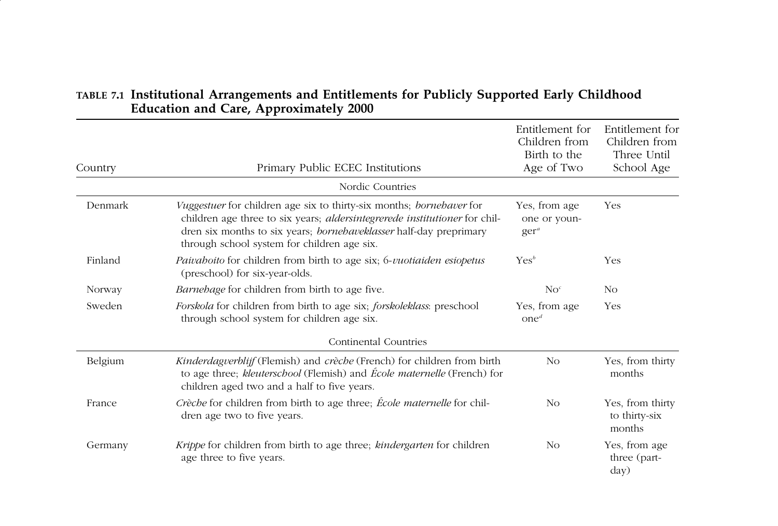| Country | Primary Public ECEC Institutions                                                                                                                                                                                                                                        | Entitlement for<br>Children from<br>Birth to the<br>Age of Two | Entitlement for<br>Children from<br>Three Until<br>School Age |
|---------|-------------------------------------------------------------------------------------------------------------------------------------------------------------------------------------------------------------------------------------------------------------------------|----------------------------------------------------------------|---------------------------------------------------------------|
|         | Nordic Countries                                                                                                                                                                                                                                                        |                                                                |                                                               |
| Denmark | Vuggestuer for children age six to thirty-six months; bornebaver for<br>children age three to six years; aldersintegrerede institutioner for chil-<br>dren six months to six years; bornehaveklasser half-day preprimary<br>through school system for children age six. | Yes, from age<br>one or youn-<br>$ger^a$                       | Yes                                                           |
| Finland | Paivaboito for children from birth to age six; 6-vuotiaiden esiopetus<br>(preschool) for six-year-olds.                                                                                                                                                                 | $Yes^b$                                                        | Yes                                                           |
| Norway  | Barnehage for children from birth to age five.                                                                                                                                                                                                                          | $\mathrm{No}^c$                                                | No                                                            |
| Sweden  | Forskola for children from birth to age six; forskoleklass: preschool<br>through school system for children age six.                                                                                                                                                    | Yes, from age<br>one <sup>d</sup>                              | Yes                                                           |
|         | Continental Countries                                                                                                                                                                                                                                                   |                                                                |                                                               |
| Belgium | Kinderdagverblijf (Flemish) and crèche (French) for children from birth<br>to age three; kleuterschool (Flemish) and École maternelle (French) for<br>children aged two and a half to five years.                                                                       | N <sub>O</sub>                                                 | Yes, from thirty<br>months                                    |
| France  | Crèche for children from birth to age three; École maternelle for chil-<br>dren age two to five years.                                                                                                                                                                  | No                                                             | Yes, from thirty<br>to thirty-six<br>months                   |
| Germany | Krippe for children from birth to age three; kindergarten for children<br>age three to five years.                                                                                                                                                                      | No                                                             | Yes, from age<br>three (part-<br>day)                         |

### **TABLE 7.1 Institutional Arrangements and Entitlements for Publicly Supported Early Childhood Education and Care, Approximately 2000**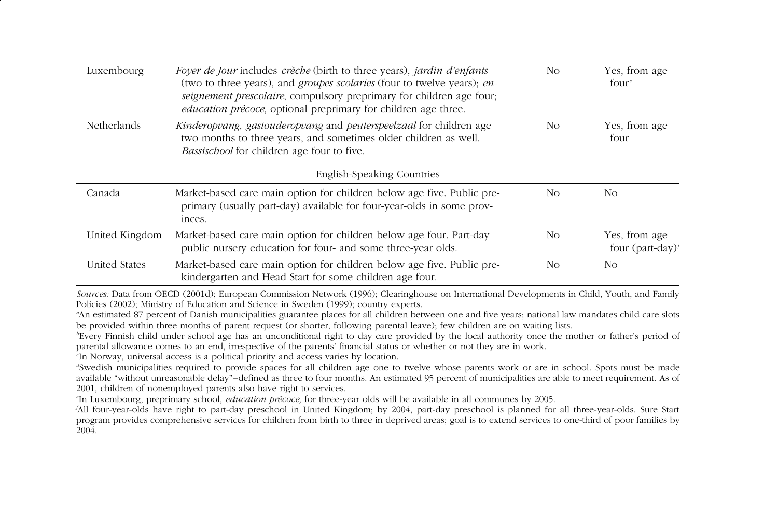| Luxembourg           | Foyer de Jour includes crèche (birth to three years), jardin d'enfants<br>(two to three years), and <i>groupes scolaries</i> (four to twelve years); <i>en</i> -<br>seignement prescolaire, compulsory preprimary for children age four;<br><i>education précoce</i> , optional preprimary for children age three. | N <sub>O</sub> | Yes, from age<br>four <sup><math>e</math></sup> |
|----------------------|--------------------------------------------------------------------------------------------------------------------------------------------------------------------------------------------------------------------------------------------------------------------------------------------------------------------|----------------|-------------------------------------------------|
| <b>Netherlands</b>   | Kinderopvang, gastouderopvang and peuterspeelzaal for children age<br>two months to three years, and sometimes older children as well.<br>Bassischool for children age four to five.                                                                                                                               | N <sub>O</sub> | Yes, from age<br>four                           |
|                      | English-Speaking Countries                                                                                                                                                                                                                                                                                         |                |                                                 |
| Canada               | Market-based care main option for children below age five. Public pre-<br>primary (usually part-day) available for four-year-olds in some prov-<br>inces.                                                                                                                                                          | N <sub>O</sub> | No.                                             |
| United Kingdom       | Market-based care main option for children below age four. Part-day<br>public nursery education for four- and some three-year olds.                                                                                                                                                                                | No.            | Yes, from age<br>four $(\text{part-day})$       |
| <b>United States</b> | Market-based care main option for children below age five. Public pre-<br>kindergarten and Head Start for some children age four.                                                                                                                                                                                  | N <sub>O</sub> | N <sub>O</sub>                                  |

*Sources:* Data from OECD (2001d); European Commission Network (1996); Clearinghouse on International Developments in Child, Youth, and Family Policies (2002); Ministry of Education and Science in Sweden (1999); country experts.

*<sup>a</sup>*An estimated 87 percent of Danish municipalities guarantee places for all children between one and five years; national law mandates child care slots be provided within three months of parent request (or shorter, following parental leave); few children are on waiting lists.

*<sup>b</sup>*Every Finnish child under school age has an unconditional right to day care provided by the local authority once the mother or father's period of parental allowance comes to an end, irrespective of the parents' financial status or whether or not they are in work.

*<sup>c</sup>*In Norway, universal access is a political priority and access varies by location.

*<sup>d</sup>*Swedish municipalities required to provide spaces for all children age one to twelve whose parents work or are in school. Spots must be made available "without unreasonable delay"–defined as three to four months. An estimated 95 percent of municipalities are able to meet requirement. As of 2001, children of nonemployed parents also have right to services.

*e* In Luxembourg, preprimary school, *education précoce*, for three-year olds will be available in all communes by 2005.

*<sup>f</sup>*All four-year-olds have right to part-day preschool in United Kingdom; by 2004, part-day preschool is planned for all three-year-olds. Sure Start program provides comprehensive services for children from birth to three in deprived areas; goal is to extend services to one-third of poor families by 2004.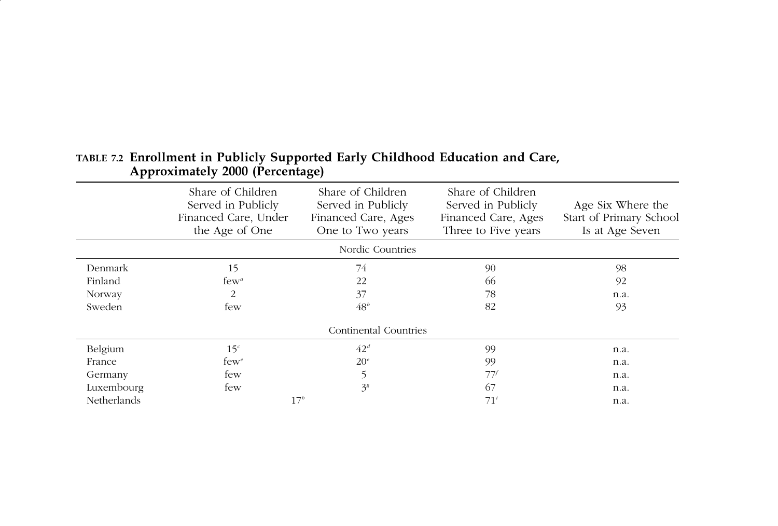# **TABLE 7.2 Enrollment in Publicly Supported Early Childhood Education and Care, Approximately 2000 (Percentage)**

|             | Share of Children<br>Served in Publicly<br>Financed Care, Under<br>the Age of One | Share of Children<br>Served in Publicly<br>Financed Care, Ages<br>One to Two years | Share of Children<br>Served in Publicly<br>Financed Care, Ages<br>Three to Five years | Age Six Where the<br>Start of Primary School<br>Is at Age Seven |
|-------------|-----------------------------------------------------------------------------------|------------------------------------------------------------------------------------|---------------------------------------------------------------------------------------|-----------------------------------------------------------------|
|             |                                                                                   | Nordic Countries                                                                   |                                                                                       |                                                                 |
| Denmark     | 15                                                                                | 74                                                                                 | 90                                                                                    | 98                                                              |
| Finland     | $few^a$                                                                           | 22                                                                                 | 66                                                                                    | 92                                                              |
| Norway      | 2                                                                                 | 37                                                                                 | 78                                                                                    | n.a.                                                            |
| Sweden      | few                                                                               | 48 <sup>b</sup>                                                                    | 82                                                                                    | 93                                                              |
|             |                                                                                   | Continental Countries                                                              |                                                                                       |                                                                 |
| Belgium     | 15 <sup>c</sup>                                                                   | 42 <sup>d</sup>                                                                    | 99                                                                                    | n.a.                                                            |
| France      | few <sup>e</sup>                                                                  | 20 <sup>e</sup>                                                                    | 99                                                                                    | n.a.                                                            |
| Germany     | few                                                                               | 5                                                                                  | 77'                                                                                   | n.a.                                                            |
| Luxembourg  | few                                                                               | 3 <sup>g</sup>                                                                     | 67                                                                                    | n.a.                                                            |
| Netherlands | 17 <sup>b</sup>                                                                   |                                                                                    | $71^{i}$                                                                              | n.a.                                                            |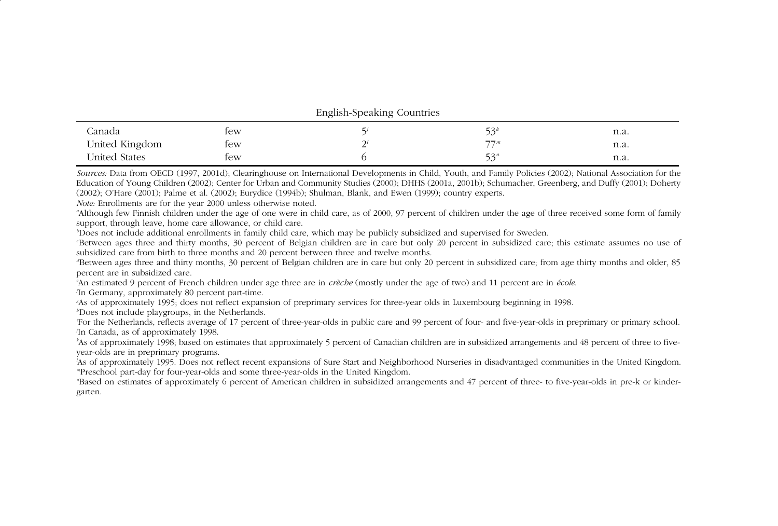| English-Speaking Countries |     |  |                 |      |  |
|----------------------------|-----|--|-----------------|------|--|
| Canada                     | few |  | 53'             | n.a. |  |
| United Kingdom             | few |  | フフm             | n.a. |  |
| United States              | few |  | 53 <sup>n</sup> | n.a. |  |

*Sources:* Data from OECD (1997, 2001d); Clearinghouse on International Developments in Child, Youth, and Family Policies (2002); National Association for the Education of Young Children (2002); Center for Urban and Community Studies (2000); DHHS (2001a, 2001b); Schumacher, Greenberg, and Duffy (2001); Doherty (2002); O'Hare (2001); Palme et al. (2002); Eurydice (1994b); Shulman, Blank, and Ewen (1999); country experts.

*Note:* Enrollments are for the year 2000 unless otherwise noted.

*<sup>a</sup>*Although few Finnish children under the age of one were in child care, as of 2000, 97 percent of children under the age of three received some form of family support, through leave, home care allowance, or child care.

*b*Does not include additional enrollments in family child care, which may be publicly subsidized and supervised for Sweden.

*<sup>c</sup>*Between ages three and thirty months, 30 percent of Belgian children are in care but only 20 percent in subsidized care; this estimate assumes no use of subsidized care from birth to three months and 20 percent between three and twelve months.

*d*Between ages three and thirty months, 30 percent of Belgian children are in care but only 20 percent in subsidized care; from age thirty months and older, 85 percent are in subsidized care.

*<sup>e</sup>*An estimated 9 percent of French children under age three are in *cr`eche* (mostly under the age of two) and 11 percent are in *´ecole*.

*<sup>f</sup>*In Germany, approximately 80 percent part-time.

*<sup>g</sup>*As of approximately 1995; does not reflect expansion of preprimary services for three-year olds in Luxembourg beginning in 1998.

*h*Does not include playgroups, in the Netherlands.

*<sup>i</sup>*For the Netherlands, reflects average of 17 percent of three-year-olds in public care and 99 percent of four- and five-year-olds in preprimary or primary school. *<sup>j</sup>*In Canada, as of approximately 1998.

*k*As of approximately 1998; based on estimates that approximately 5 percent of Canadian children are in subsidized arrangements and 48 percent of three to fiveyear-olds are in preprimary programs.

<sup>*l*</sup>As of approximately 1995. Does not reflect recent expansions of Sure Start and Neighborhood Nurseries in disadvantaged communities in the United Kingdom. *<sup>m</sup>*Preschool part-day for four-year-olds and some three-year-olds in the United Kingdom.

*<sup>n</sup>Based on estimates of approximately 6 percent of American children in subsidized arrangements and 47 percent of three- to five-year-olds in pre-k or kinder*garten.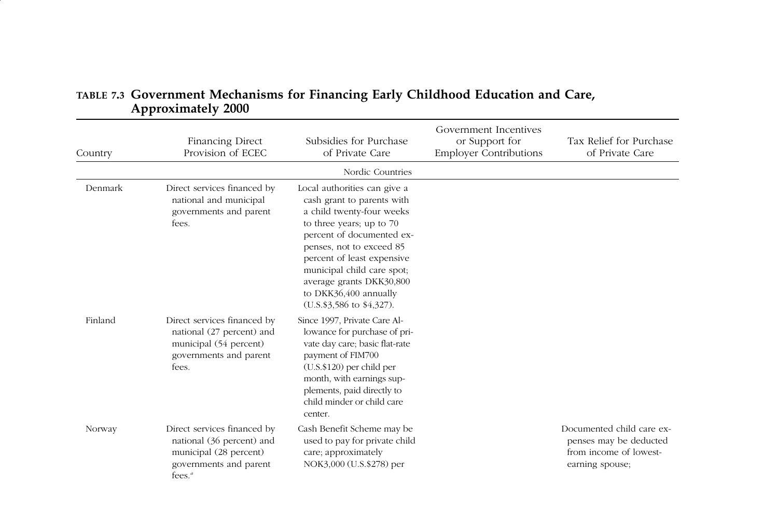| Country | <b>Financing Direct</b><br>Provision of ECEC                                                                              | Subsidies for Purchase<br>of Private Care                                                                                                                                                                                                                                                                                  | Government Incentives<br>or Support for<br><b>Employer Contributions</b> | Tax Relief for Purchase<br>of Private Care                                                       |
|---------|---------------------------------------------------------------------------------------------------------------------------|----------------------------------------------------------------------------------------------------------------------------------------------------------------------------------------------------------------------------------------------------------------------------------------------------------------------------|--------------------------------------------------------------------------|--------------------------------------------------------------------------------------------------|
|         |                                                                                                                           | Nordic Countries                                                                                                                                                                                                                                                                                                           |                                                                          |                                                                                                  |
| Denmark | Direct services financed by<br>national and municipal<br>governments and parent<br>fees.                                  | Local authorities can give a<br>cash grant to parents with<br>a child twenty-four weeks<br>to three years; up to 70<br>percent of documented ex-<br>penses, not to exceed 85<br>percent of least expensive<br>municipal child care spot;<br>average grants DKK30,800<br>to DKK36,400 annually<br>(U.S.\$3,586 to \$4,327). |                                                                          |                                                                                                  |
| Finland | Direct services financed by<br>national (27 percent) and<br>municipal (54 percent)<br>governments and parent<br>fees.     | Since 1997, Private Care Al-<br>lowance for purchase of pri-<br>vate day care; basic flat-rate<br>payment of FIM700<br>$(U.S. $120)$ per child per<br>month, with earnings sup-<br>plements, paid directly to<br>child minder or child care<br>center.                                                                     |                                                                          |                                                                                                  |
| Norway  | Direct services financed by<br>national (36 percent) and<br>municipal (28 percent)<br>governments and parent<br>fees. $a$ | Cash Benefit Scheme may be<br>used to pay for private child<br>care; approximately<br>NOK3,000 (U.S.\$278) per                                                                                                                                                                                                             |                                                                          | Documented child care ex-<br>penses may be deducted<br>from income of lowest-<br>earning spouse; |

## **TABLE 7.3 Government Mechanisms for Financing Early Childhood Education and Care, Approximately 2000**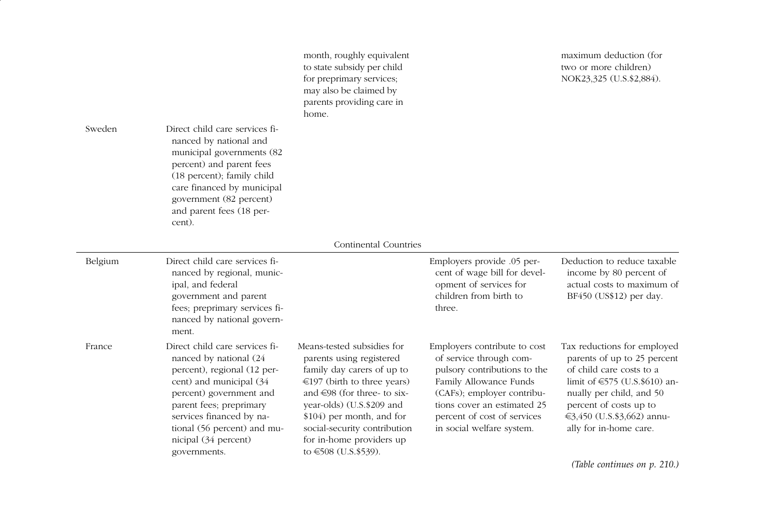|         |                                                                                                                                                                                                                                                                             | month, roughly equivalent<br>to state subsidy per child<br>for preprimary services;<br>may also be claimed by<br>parents providing care in<br>home.                                                                                                                                                   |                                                                                                                                                                                                                                            | maximum deduction (for<br>two or more children)<br>NOK23,325 (U.S.\$2,884).                                                                                                                                                                         |
|---------|-----------------------------------------------------------------------------------------------------------------------------------------------------------------------------------------------------------------------------------------------------------------------------|-------------------------------------------------------------------------------------------------------------------------------------------------------------------------------------------------------------------------------------------------------------------------------------------------------|--------------------------------------------------------------------------------------------------------------------------------------------------------------------------------------------------------------------------------------------|-----------------------------------------------------------------------------------------------------------------------------------------------------------------------------------------------------------------------------------------------------|
| Sweden  | Direct child care services fi-<br>nanced by national and<br>municipal governments (82<br>percent) and parent fees<br>(18 percent); family child<br>care financed by municipal<br>government (82 percent)<br>and parent fees (18 per-<br>cent).                              |                                                                                                                                                                                                                                                                                                       |                                                                                                                                                                                                                                            |                                                                                                                                                                                                                                                     |
|         |                                                                                                                                                                                                                                                                             | Continental Countries                                                                                                                                                                                                                                                                                 |                                                                                                                                                                                                                                            |                                                                                                                                                                                                                                                     |
| Belgium | Direct child care services fi-<br>nanced by regional, munic-<br>ipal, and federal<br>government and parent<br>fees; preprimary services fi-<br>nanced by national govern-<br>ment.                                                                                          |                                                                                                                                                                                                                                                                                                       | Employers provide .05 per-<br>cent of wage bill for devel-<br>opment of services for<br>children from birth to<br>three.                                                                                                                   | Deduction to reduce taxable<br>income by 80 percent of<br>actual costs to maximum of<br>BF450 (US\$12) per day.                                                                                                                                     |
| France  | Direct child care services fi-<br>nanced by national (24<br>percent), regional (12 per-<br>cent) and municipal (34<br>percent) government and<br>parent fees; preprimary<br>services financed by na-<br>tional (56 percent) and mu-<br>nicipal (34 percent)<br>governments. | Means-tested subsidies for<br>parents using registered<br>family day carers of up to<br>€197 (birth to three years)<br>and $\in$ 98 (for three- to six-<br>year-olds) (U.S.\$209 and<br>\$104) per month, and for<br>social-security contribution<br>for in-home providers up<br>to €508 (U.S.\$539). | Employers contribute to cost<br>of service through com-<br>pulsory contributions to the<br>Family Allowance Funds<br>(CAFs); employer contribu-<br>tions cover an estimated 25<br>percent of cost of services<br>in social welfare system. | Tax reductions for employed<br>parents of up to 25 percent<br>of child care costs to a<br>limit of $\text{ } \in$ 575 (U.S.\$610) an-<br>nually per child, and 50<br>percent of costs up to<br>€3,450 (U.S.\$3,662) annu-<br>ally for in-home care. |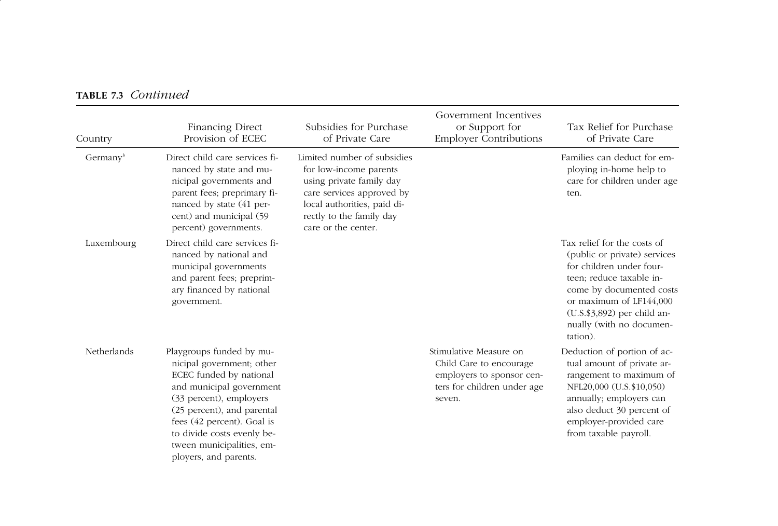| Country                | <b>Financing Direct</b><br>Provision of ECEC                                                                                                                                                                                                                                            | Subsidies for Purchase<br>of Private Care                                                                                                                                                        | Government Incentives<br>or Support for<br><b>Employer Contributions</b>                                                | Tax Relief for Purchase<br>of Private Care                                                                                                                                                                                                        |
|------------------------|-----------------------------------------------------------------------------------------------------------------------------------------------------------------------------------------------------------------------------------------------------------------------------------------|--------------------------------------------------------------------------------------------------------------------------------------------------------------------------------------------------|-------------------------------------------------------------------------------------------------------------------------|---------------------------------------------------------------------------------------------------------------------------------------------------------------------------------------------------------------------------------------------------|
| Germany $\mathfrak{b}$ | Direct child care services fi-<br>nanced by state and mu-<br>nicipal governments and<br>parent fees; preprimary fi-<br>nanced by state (41 per-<br>cent) and municipal (59)<br>percent) governments.                                                                                    | Limited number of subsidies<br>for low-income parents<br>using private family day<br>care services approved by<br>local authorities, paid di-<br>rectly to the family day<br>care or the center. |                                                                                                                         | Families can deduct for em-<br>ploying in-home help to<br>care for children under age<br>ten.                                                                                                                                                     |
| Luxembourg             | Direct child care services fi-<br>nanced by national and<br>municipal governments<br>and parent fees; preprim-<br>ary financed by national<br>government.                                                                                                                               |                                                                                                                                                                                                  |                                                                                                                         | Tax relief for the costs of<br>(public or private) services<br>for children under four-<br>teen; reduce taxable in-<br>come by documented costs<br>or maximum of LF144,000<br>(U.S.\$3,892) per child an-<br>nually (with no documen-<br>tation). |
| Netherlands            | Playgroups funded by mu-<br>nicipal government; other<br>ECEC funded by national<br>and municipal government<br>(33 percent), employers<br>(25 percent), and parental<br>fees (42 percent). Goal is<br>to divide costs evenly be-<br>tween municipalities, em-<br>ployers, and parents. |                                                                                                                                                                                                  | Stimulative Measure on<br>Child Care to encourage<br>employers to sponsor cen-<br>ters for children under age<br>seven. | Deduction of portion of ac-<br>tual amount of private ar-<br>rangement to maximum of<br>NFL20,000 (U.S.\$10,050)<br>annually; employers can<br>also deduct 30 percent of<br>employer-provided care<br>from taxable payroll.                       |

#### **TABLE 7.3** *Continued*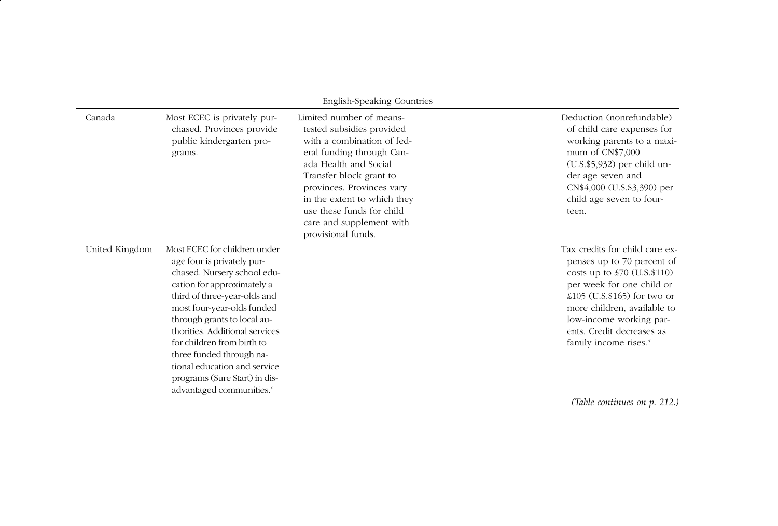|                |                                                                                                                                                                                                                                                                                                                                                                                                                           | English-Speaking Countries                                                                                                                                                                                                                                                                                      |                                                                                                                                                                                                                                                                                                                                      |
|----------------|---------------------------------------------------------------------------------------------------------------------------------------------------------------------------------------------------------------------------------------------------------------------------------------------------------------------------------------------------------------------------------------------------------------------------|-----------------------------------------------------------------------------------------------------------------------------------------------------------------------------------------------------------------------------------------------------------------------------------------------------------------|--------------------------------------------------------------------------------------------------------------------------------------------------------------------------------------------------------------------------------------------------------------------------------------------------------------------------------------|
| Canada         | Most ECEC is privately pur-<br>chased. Provinces provide<br>public kindergarten pro-<br>grams.                                                                                                                                                                                                                                                                                                                            | Limited number of means-<br>tested subsidies provided<br>with a combination of fed-<br>eral funding through Can-<br>ada Health and Social<br>Transfer block grant to<br>provinces. Provinces vary<br>in the extent to which they<br>use these funds for child<br>care and supplement with<br>provisional funds. | Deduction (nonrefundable)<br>of child care expenses for<br>working parents to a maxi-<br>mum of CN\$7,000<br>$(U.S. $5,932)$ per child un-<br>der age seven and<br>CN\$4,000 (U.S.\$3,390) per<br>child age seven to four-<br>teen.                                                                                                  |
| United Kingdom | Most ECEC for children under<br>age four is privately pur-<br>chased. Nursery school edu-<br>cation for approximately a<br>third of three-year-olds and<br>most four-year-olds funded<br>through grants to local au-<br>thorities. Additional services<br>for children from birth to<br>three funded through na-<br>tional education and service<br>programs (Sure Start) in dis-<br>advantaged communities. <sup>c</sup> |                                                                                                                                                                                                                                                                                                                 | Tax credits for child care ex-<br>penses up to 70 percent of<br>costs up to $\text{\pounds}70$ (U.S.\$110)<br>per week for one child or<br>$$105$ (U.S.\$165) for two or<br>more children, available to<br>low-income working par-<br>ents. Credit decreases as<br>family income rises. <sup>d</sup><br>(Table continues on p. 212.) |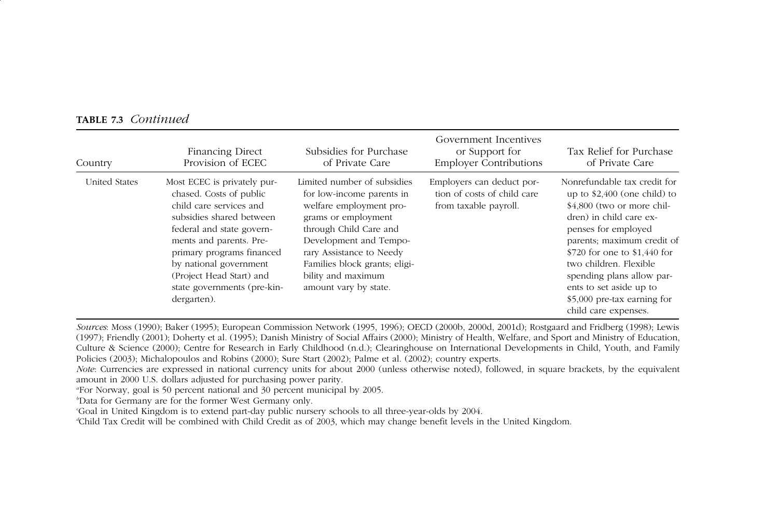### **TABLE 7.3** *Continued*

| Country              | <b>Financing Direct</b><br>Provision of ECEC                                                                                                                                                                                                                                                           | Subsidies for Purchase<br>of Private Care                                                                                                                                                                                                                                  | Government Incentives<br>or Support for<br><b>Employer Contributions</b>          | Tax Relief for Purchase<br>of Private Care                                                                                                                                                                                                                                                                                                             |
|----------------------|--------------------------------------------------------------------------------------------------------------------------------------------------------------------------------------------------------------------------------------------------------------------------------------------------------|----------------------------------------------------------------------------------------------------------------------------------------------------------------------------------------------------------------------------------------------------------------------------|-----------------------------------------------------------------------------------|--------------------------------------------------------------------------------------------------------------------------------------------------------------------------------------------------------------------------------------------------------------------------------------------------------------------------------------------------------|
| <b>United States</b> | Most ECEC is privately pur-<br>chased. Costs of public<br>child care services and<br>subsidies shared between<br>federal and state govern-<br>ments and parents. Pre-<br>primary programs financed<br>by national government<br>(Project Head Start) and<br>state governments (pre-kin-<br>dergarten). | Limited number of subsidies<br>for low-income parents in<br>welfare employment pro-<br>grams or employment<br>through Child Care and<br>Development and Tempo-<br>rary Assistance to Needy<br>Families block grants; eligi-<br>bility and maximum<br>amount vary by state. | Employers can deduct por-<br>tion of costs of child care<br>from taxable payroll. | Nonrefundable tax credit for<br>up to $$2,400$ (one child) to<br>\$4,800 (two or more chil-<br>dren) in child care ex-<br>penses for employed<br>parents; maximum credit of<br>$$720$ for one to $$1,440$ for<br>two children. Flexible<br>spending plans allow par-<br>ents to set aside up to<br>\$5,000 pre-tax earning for<br>child care expenses. |

*Sources*: Moss (1990); Baker (1995); European Commission Network (1995, 1996); OECD (2000b, 2000d, 2001d); Rostgaard and Fridberg (1998); Lewis (1997); Friendly (2001); Doherty et al. (1995); Danish Ministry of Social Affairs (2000); Ministry of Health, Welfare, and Sport and Ministry of Education, Culture & Science (2000); Centre for Research in Early Childhood (n.d.); Clearinghouse on International Developments in Child, Youth, and Family Policies (2003); Michalopoulos and Robins (2000); Sure Start (2002); Palme et al. (2002); country experts.

*Note*: Currencies are expressed in national currency units for about 2000 (unless otherwise noted), followed, in square brackets, by the equivalent amount in 2000 U.S. dollars adjusted for purchasing power parity.

*<sup>a</sup>*For Norway, goal is 50 percent national and 30 percent municipal by 2005.

<sup>*b*</sup>Data for Germany are for the former West Germany only.

*<sup>c</sup>*Goal in United Kingdom is to extend part-day public nursery schools to all three-year-olds by 2004.

*d*Child Tax Credit will be combined with Child Credit as of 2003, which may change benefit levels in the United Kingdom.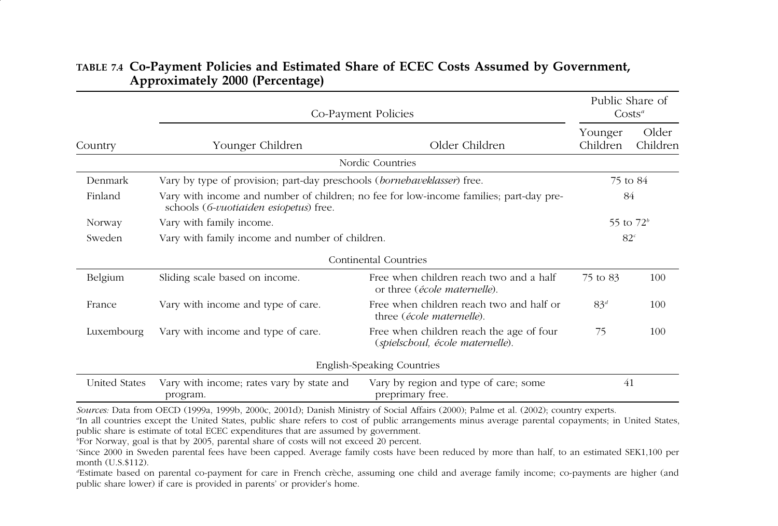# **TABLE 7.4 Co-Payment Policies and Estimated Share of ECEC Costs Assumed by Government, Approximately 2000 (Percentage)**

|                      | Co-Payment Policies                                                                                                              | Public Share of<br>$Costs^a$                                                                                                          |                   |              |  |
|----------------------|----------------------------------------------------------------------------------------------------------------------------------|---------------------------------------------------------------------------------------------------------------------------------------|-------------------|--------------|--|
| Country              | Younger Children                                                                                                                 | Younger<br>Children                                                                                                                   | Older<br>Children |              |  |
|                      |                                                                                                                                  | Nordic Countries                                                                                                                      |                   |              |  |
| Denmark              | Vary by type of provision; part-day preschools ( <i>bornebaveklasser</i> ) free.                                                 |                                                                                                                                       | 75 to 84          |              |  |
| Finland              | Vary with income and number of children; no fee for low-income families; part-day pre-<br>schools (6-vuotiaiden esiopetus) free. |                                                                                                                                       |                   | 84           |  |
| Norway               | Vary with family income.                                                                                                         |                                                                                                                                       |                   | 55 to $72^b$ |  |
| Sweden               | Vary with family income and number of children.                                                                                  |                                                                                                                                       |                   | $82^{\circ}$ |  |
|                      |                                                                                                                                  | Continental Countries                                                                                                                 |                   |              |  |
| Belgium              | Sliding scale based on income.                                                                                                   | Free when children reach two and a half<br>or three (école maternelle).                                                               | 75 to 83          | 100          |  |
| France               | Free when children reach two and half or<br>Vary with income and type of care.<br>three <i>(école maternelle)</i> .              |                                                                                                                                       | 83 <sup>d</sup>   | 100          |  |
| Luxembourg           | Vary with income and type of care.<br>Free when children reach the age of four<br>(spielschoul, école maternelle).               |                                                                                                                                       | 75                | 100          |  |
|                      |                                                                                                                                  | English-Speaking Countries                                                                                                            |                   |              |  |
| <b>United States</b> | Vary with income; rates vary by state and<br>Vary by region and type of care; some<br>preprimary free.<br>program.               |                                                                                                                                       |                   | 41           |  |
|                      |                                                                                                                                  | Sources: Data from OECD (1999a, 1999b, 2000c, 2001d); Danish Ministry of Social Affairs (2000); Palme et al. (2002); country experts. |                   |              |  |

*<sup>a</sup>*In all countries except the United States, public share refers to cost of public arrangements minus average parental copayments; in United States, public share is estimate of total ECEC expenditures that are assumed by government.

*<sup>b</sup>*For Norway, goal is that by 2005, parental share of costs will not exceed 20 percent.

*<sup>c</sup>*Since 2000 in Sweden parental fees have been capped. Average family costs have been reduced by more than half, to an estimated SEK1,100 per month (U.S.\$112).

*d*Estimate based on parental co-payment for care in French crèche, assuming one child and average family income; co-payments are higher (and public share lower) if care is provided in parents' or provider's home.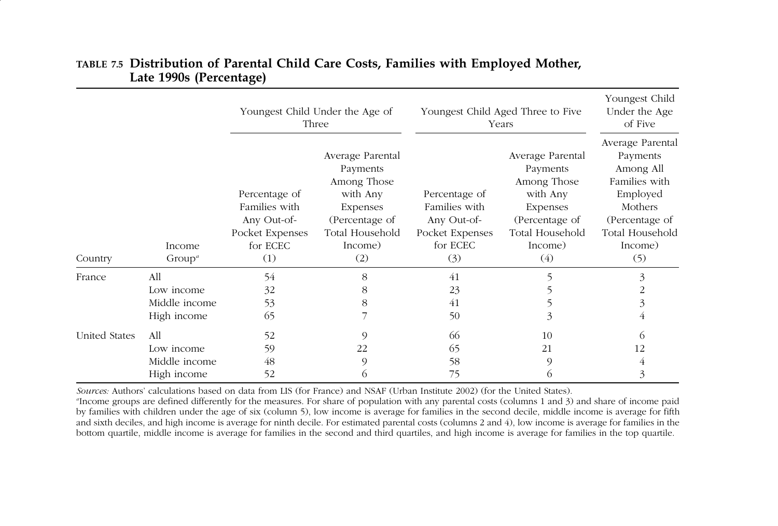|                      | Income<br>Group <sup>a</sup> | Youngest Child Under the Age of<br>Three                                            |                                                                                                                            | Youngest Child Aged Three to Five<br>Years                                          |                                                                                                                            | Youngest Child<br>Under the Age<br>of Five                                                                                               |  |
|----------------------|------------------------------|-------------------------------------------------------------------------------------|----------------------------------------------------------------------------------------------------------------------------|-------------------------------------------------------------------------------------|----------------------------------------------------------------------------------------------------------------------------|------------------------------------------------------------------------------------------------------------------------------------------|--|
| Country              |                              | Percentage of<br>Families with<br>Any Out-of-<br>Pocket Expenses<br>for ECEC<br>(1) | Average Parental<br>Payments<br>Among Those<br>with Any<br>Expenses<br>(Percentage of<br>Total Household<br>Income)<br>(2) | Percentage of<br>Families with<br>Any Out-of-<br>Pocket Expenses<br>for ECEC<br>(3) | Average Parental<br>Payments<br>Among Those<br>with Any<br>Expenses<br>(Percentage of<br>Total Household<br>Income)<br>(4) | Average Parental<br>Payments<br>Among All<br>Families with<br>Employed<br>Mothers<br>(Percentage of<br>Total Household<br>Income)<br>(5) |  |
| France               | All                          | 54                                                                                  | 8                                                                                                                          | 41                                                                                  |                                                                                                                            | 3                                                                                                                                        |  |
|                      | Low income                   | 32                                                                                  | 8                                                                                                                          | 23                                                                                  |                                                                                                                            | $\overline{c}$                                                                                                                           |  |
|                      | Middle income                | 53                                                                                  | 8                                                                                                                          | 41                                                                                  |                                                                                                                            | $\overline{3}$                                                                                                                           |  |
|                      | High income                  | 65                                                                                  |                                                                                                                            | 50                                                                                  | 3                                                                                                                          | 4                                                                                                                                        |  |
| <b>United States</b> | All                          | 52                                                                                  | 9                                                                                                                          | 66                                                                                  | 10                                                                                                                         | $\circ$                                                                                                                                  |  |
|                      | Low income                   | 59                                                                                  | 22                                                                                                                         | 65                                                                                  | 21                                                                                                                         | 12                                                                                                                                       |  |
|                      | Middle income                | 48                                                                                  | 9                                                                                                                          | 58                                                                                  | 9                                                                                                                          | 4                                                                                                                                        |  |
|                      | High income                  | 52                                                                                  | O.                                                                                                                         | 75                                                                                  | $\Omega$                                                                                                                   | 3                                                                                                                                        |  |

# **TABLE 7.5 Distribution of Parental Child Care Costs, Families with Employed Mother, Late 1990s (Percentage)**

*Sources:* Authors' calculations based on data from LIS (for France) and NSAF (Urban Institute 2002) (for the United States).

*<sup>a</sup>*Income groups are defined differently for the measures. For share of population with any parental costs (columns 1 and 3) and share of income paid by families with children under the age of six (column 5), low income is average for families in the second decile, middle income is average for fifth and sixth deciles, and high income is average for ninth decile. For estimated parental costs (columns 2 and 4), low income is average for families in the bottom quartile, middle income is average for families in the second and third quartiles, and high income is average for families in the top quartile.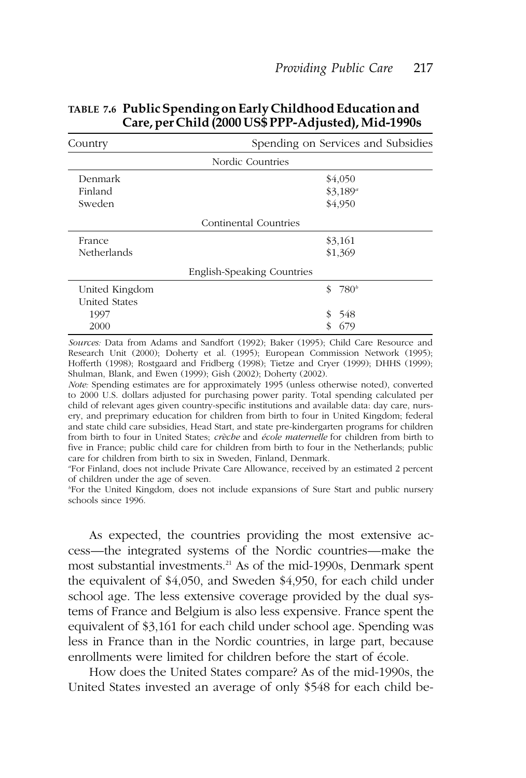| Country                                | Spending on Services and Subsidies |  |  |
|----------------------------------------|------------------------------------|--|--|
|                                        | Nordic Countries                   |  |  |
| Denmark                                | \$4,050                            |  |  |
| Finland<br>Sweden                      | $$3,189^a$<br>\$4,950              |  |  |
|                                        | Continental Countries              |  |  |
| France<br>Netherlands                  | \$3,161<br>\$1,369                 |  |  |
|                                        | English-Speaking Countries         |  |  |
| United Kingdom<br><b>United States</b> | $780^{b}$<br>\$.                   |  |  |
| 1997<br>2000                           | -548<br>\$.<br>679                 |  |  |

# **TABLE 7.6 Public Spending on Early Childhood Education and Care, per Child (2000 US\$ PPP-Adjusted), Mid-1990s**

*Sources:* Data from Adams and Sandfort (1992); Baker (1995); Child Care Resource and Research Unit (2000); Doherty et al. (1995); European Commission Network (1995); Hofferth (1998); Rostgaard and Fridberg (1998); Tietze and Cryer (1999); DHHS (1999); Shulman, Blank, and Ewen (1999); Gish (2002); Doherty (2002).

*Note:* Spending estimates are for approximately 1995 (unless otherwise noted), converted to 2000 U.S. dollars adjusted for purchasing power parity. Total spending calculated per child of relevant ages given country-specific institutions and available data: day care, nursery, and preprimary education for children from birth to four in United Kingdom; federal and state child care subsidies, Head Start, and state pre-kindergarten programs for children from birth to four in United States: *crèche* and *école maternelle* for children from birth to five in France; public child care for children from birth to four in the Netherlands; public care for children from birth to six in Sweden, Finland, Denmark.

*a* For Finland, does not include Private Care Allowance, received by an estimated 2 percent of children under the age of seven.

*b* For the United Kingdom, does not include expansions of Sure Start and public nursery schools since 1996.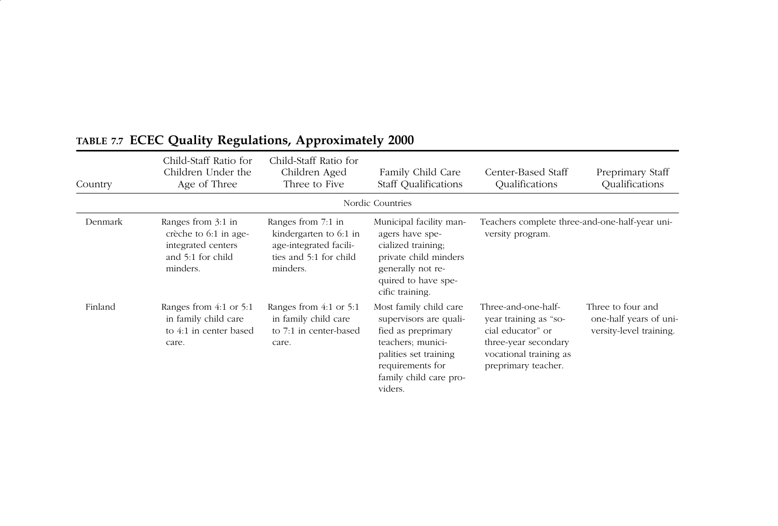| Country | Child-Staff Ratio for<br>Children Under the<br>Age of Three                                          | Child-Staff Ratio for<br>Children Aged<br>Three to Five                                                      | Family Child Care<br>Staff Qualifications                                                                                                                                     | Center-Based Staff<br>Qualifications                                                                                                       | Preprimary Staff<br>Qualifications                                     |
|---------|------------------------------------------------------------------------------------------------------|--------------------------------------------------------------------------------------------------------------|-------------------------------------------------------------------------------------------------------------------------------------------------------------------------------|--------------------------------------------------------------------------------------------------------------------------------------------|------------------------------------------------------------------------|
|         |                                                                                                      |                                                                                                              | Nordic Countries                                                                                                                                                              |                                                                                                                                            |                                                                        |
| Denmark | Ranges from 3:1 in<br>crèche to $6:1$ in age-<br>integrated centers<br>and 5:1 for child<br>minders. | Ranges from 7:1 in<br>kindergarten to 6:1 in<br>age-integrated facili-<br>ties and 5:1 for child<br>minders. | Municipal facility man-<br>agers have spe-<br>cialized training;<br>private child minders<br>generally not re-<br>quired to have spe-<br>cific training.                      | Teachers complete three-and-one-half-year uni-<br>versity program.                                                                         |                                                                        |
| Finland | Ranges from $4:1$ or $5:1$<br>in family child care<br>to 4:1 in center based<br>care.                | Ranges from $4:1$ or $5:1$<br>in family child care<br>to 7:1 in center-based<br>care.                        | Most family child care<br>supervisors are quali-<br>fied as preprimary<br>teachers; munici-<br>palities set training<br>requirements for<br>family child care pro-<br>viders. | Three-and-one-half-<br>year training as "so-<br>cial educator" or<br>three-year secondary<br>vocational training as<br>preprimary teacher. | Three to four and<br>one-half years of uni-<br>versity-level training. |

## **TABLE 7.7 ECEC Quality Regulations, Approximately 2000**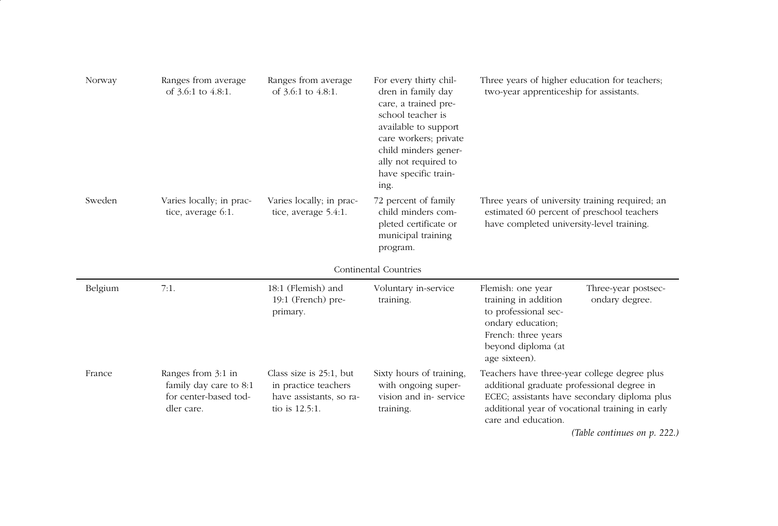| Norway  | Ranges from average<br>of 3.6:1 to 4.8:1.                                           | Ranges from average<br>of 3.6:1 to 4.8:1.                                                    | For every thirty chil-<br>dren in family day<br>care, a trained pre-<br>school teacher is<br>available to support<br>care workers; private<br>child minders gener-<br>ally not required to<br>have specific train-<br>ing. | Three years of higher education for teachers;<br>two-year apprenticeship for assistants.                                                                                                                                           |
|---------|-------------------------------------------------------------------------------------|----------------------------------------------------------------------------------------------|----------------------------------------------------------------------------------------------------------------------------------------------------------------------------------------------------------------------------|------------------------------------------------------------------------------------------------------------------------------------------------------------------------------------------------------------------------------------|
| Sweden  | Varies locally; in prac-<br>tice, average 6:1.                                      | Varies locally; in prac-<br>tice, average 5.4:1.                                             | 72 percent of family<br>child minders com-<br>pleted certificate or<br>municipal training<br>program.                                                                                                                      | Three years of university training required; an<br>estimated 60 percent of preschool teachers<br>have completed university-level training.                                                                                         |
|         |                                                                                     |                                                                                              | Continental Countries                                                                                                                                                                                                      |                                                                                                                                                                                                                                    |
| Belgium | 7:1.                                                                                | 18:1 (Flemish) and<br>19:1 (French) pre-<br>primary.                                         | Voluntary in-service<br>training.                                                                                                                                                                                          | Flemish: one year<br>Three-year postsec-<br>training in addition<br>ondary degree.<br>to professional sec-<br>ondary education;<br>French: three years<br>beyond diploma (at<br>age sixteen).                                      |
| France  | Ranges from 3:1 in<br>family day care to 8:1<br>for center-based tod-<br>dler care. | Class size is 25:1, but<br>in practice teachers<br>have assistants, so ra-<br>tio is 12.5:1. | Sixty hours of training,<br>with ongoing super-<br>vision and in-service<br>training.                                                                                                                                      | Teachers have three-year college degree plus<br>additional graduate professional degree in<br>ECEC; assistants have secondary diploma plus<br>additional year of vocational training in early<br>care and education.<br>$\sqrt{2}$ |

*(Table continues on p. 222.)*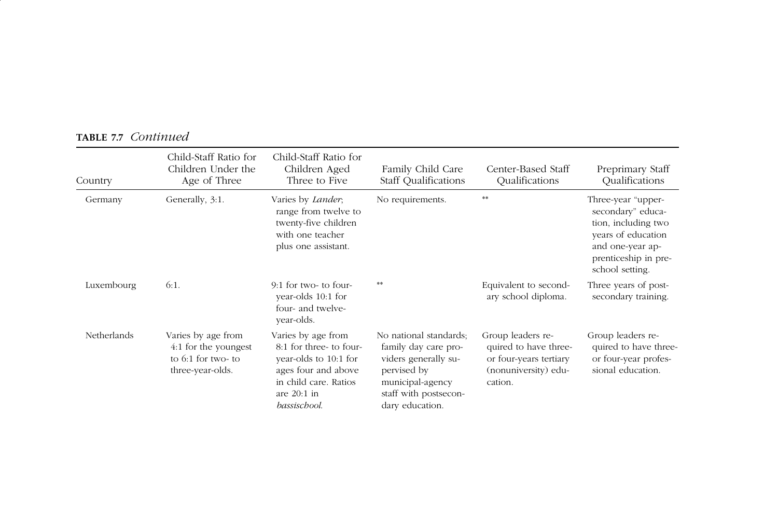| Country     | Child-Staff Ratio for<br>Children Under the<br>Age of Three                           | Child-Staff Ratio for<br>Children Aged<br>Three to Five                                                                                                 | Family Child Care<br>Staff Qualifications                                                                                                             | Center-Based Staff<br>Qualifications                                                                    | Preprimary Staff<br>Qualifications                                                                                                                  |
|-------------|---------------------------------------------------------------------------------------|---------------------------------------------------------------------------------------------------------------------------------------------------------|-------------------------------------------------------------------------------------------------------------------------------------------------------|---------------------------------------------------------------------------------------------------------|-----------------------------------------------------------------------------------------------------------------------------------------------------|
| Germany     | Generally, 3:1.                                                                       | Varies by Lander;<br>range from twelve to<br>twenty-five children<br>with one teacher<br>plus one assistant.                                            | No requirements.                                                                                                                                      | **                                                                                                      | Three-year "upper-<br>secondary" educa-<br>tion, including two<br>years of education<br>and one-year ap-<br>prenticeship in pre-<br>school setting. |
| Luxembourg  | 6:1.                                                                                  | $9:1$ for two- to four-<br>year-olds 10:1 for<br>four- and twelve-<br>year-olds.                                                                        | **                                                                                                                                                    | Equivalent to second-<br>ary school diploma.                                                            | Three years of post-<br>secondary training.                                                                                                         |
| Netherlands | Varies by age from<br>4:1 for the youngest<br>to $6:1$ for two-to<br>three-year-olds. | Varies by age from<br>8:1 for three- to four-<br>year-olds to 10:1 for<br>ages four and above<br>in child care. Ratios<br>are $20:1$ in<br>bassischool. | No national standards;<br>family day care pro-<br>viders generally su-<br>pervised by<br>municipal-agency<br>staff with postsecon-<br>dary education. | Group leaders re-<br>quired to have three-<br>or four-years tertiary<br>(nonuniversity) edu-<br>cation. | Group leaders re-<br>quired to have three-<br>or four-year profes-<br>sional education.                                                             |

**TABLE 7.7** *Continued*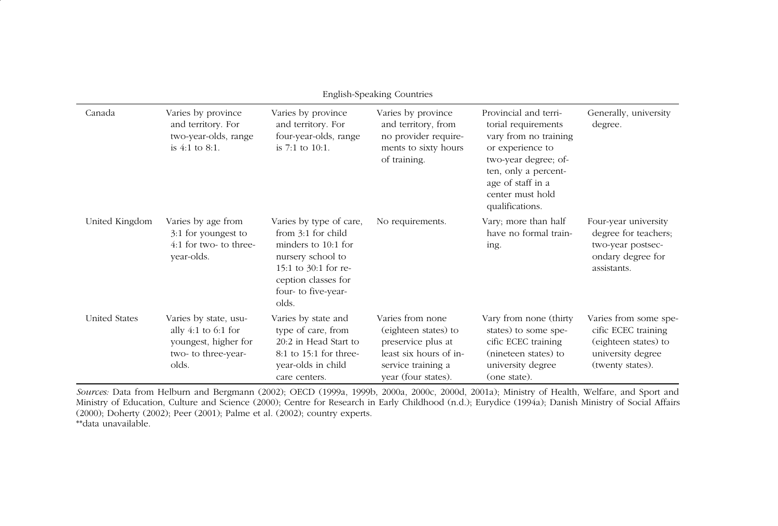|                      |                                                                                                          |                                                                                                                                                                            | English-Speaking Countries                                                                                                            |                                                                                                                                                                                                       |                                                                                                               |
|----------------------|----------------------------------------------------------------------------------------------------------|----------------------------------------------------------------------------------------------------------------------------------------------------------------------------|---------------------------------------------------------------------------------------------------------------------------------------|-------------------------------------------------------------------------------------------------------------------------------------------------------------------------------------------------------|---------------------------------------------------------------------------------------------------------------|
| Canada               | Varies by province<br>and territory. For<br>two-year-olds, range<br>is $4:1$ to $8:1$ .                  | Varies by province<br>and territory. For<br>four-year-olds, range<br>is $7:1$ to $10:1$ .                                                                                  | Varies by province<br>and territory, from<br>no provider require-<br>ments to sixty hours<br>of training.                             | Provincial and terri-<br>torial requirements<br>vary from no training<br>or experience to<br>two-year degree; of-<br>ten, only a percent-<br>age of staff in a<br>center must hold<br>qualifications. | Generally, university<br>degree.                                                                              |
| United Kingdom       | Varies by age from<br>3:1 for youngest to<br>4:1 for two- to three-<br>year-olds.                        | Varies by type of care,<br>from 3:1 for child<br>minders to 10:1 for<br>nursery school to<br>15:1 to $30:1$ for re-<br>ception classes for<br>four- to five-year-<br>olds. | No requirements.                                                                                                                      | Vary; more than half<br>have no formal train-<br>ing.                                                                                                                                                 | Four-year university<br>degree for teachers;<br>two-year postsec-<br>ondary degree for<br>assistants.         |
| <b>United States</b> | Varies by state, usu-<br>ally $4:1$ to $6:1$ for<br>youngest, higher for<br>two- to three-year-<br>olds. | Varies by state and<br>type of care, from<br>20:2 in Head Start to<br>$8:1$ to $15:1$ for three-<br>year-olds in child<br>care centers.                                    | Varies from none<br>(eighteen states) to<br>preservice plus at<br>least six hours of in-<br>service training a<br>year (four states). | Vary from none (thirty<br>states) to some spe-<br>cific ECEC training<br>(nineteen states) to<br>university degree<br>(one state).                                                                    | Varies from some spe-<br>cific ECEC training<br>(eighteen states) to<br>university degree<br>(twenty states). |

*Sources:* Data from Helburn and Bergmann (2002); OECD (1999a, 1999b, 2000a, 2000c, 2000d, 2001a); Ministry of Health, Welfare, and Sport and Ministry of Education, Culture and Science (2000); Centre for Research in Early Childhood (n.d.); Eurydice (1994a); Danish Ministry of Social Affairs (2000); Doherty (2002); Peer (2001); Palme et al. (2002); country experts. \*\*data unavailable.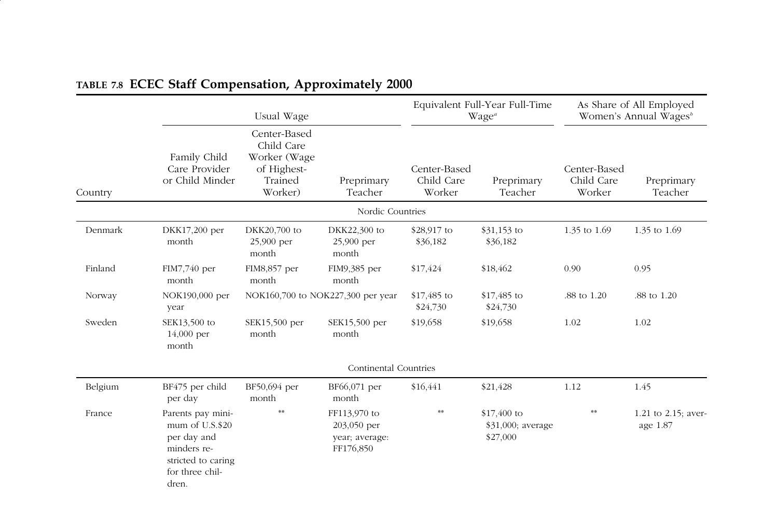|         |                                                                                                                      | Usual Wage                                                                      |                                                            |                                      | Equivalent Full-Year Full-Time<br>Wage <sup>a</sup> |                                      | As Share of All Employed<br>Women's Annual Wages <sup>b</sup> |
|---------|----------------------------------------------------------------------------------------------------------------------|---------------------------------------------------------------------------------|------------------------------------------------------------|--------------------------------------|-----------------------------------------------------|--------------------------------------|---------------------------------------------------------------|
| Country | Family Child<br>Care Provider<br>or Child Minder                                                                     | Center-Based<br>Child Care<br>Worker (Wage<br>of Highest-<br>Trained<br>Worker) | Preprimary<br>Teacher                                      | Center-Based<br>Child Care<br>Worker | Preprimary<br>Teacher                               | Center-Based<br>Child Care<br>Worker | Preprimary<br>Teacher                                         |
|         |                                                                                                                      |                                                                                 | Nordic Countries                                           |                                      |                                                     |                                      |                                                               |
| Denmark | DKK17,200 per<br>month                                                                                               | DKK20,700 to<br>25,900 per<br>month                                             | DKK22,300 to<br>25,900 per<br>month                        | \$28,917 to<br>\$36,182              | $$31,153$ to<br>\$36,182                            | 1.35 to 1.69                         | 1.35 to 1.69                                                  |
| Finland | FIM7,740 per<br>month                                                                                                | FIM8,857 per<br>month                                                           | FIM9,385 per<br>month                                      | \$17,424                             | \$18,462                                            | 0.90                                 | 0.95                                                          |
| Norway  | NOK190,000 per<br>year                                                                                               |                                                                                 | NOK160,700 to NOK227,300 per year                          | $$17,485$ to<br>\$24,730             | $$17,485$ to<br>\$24,730                            | .88 to 1.20                          | .88 to 1.20                                                   |
| Sweden  | SEK13,500 to<br>$14,000$ per<br>month                                                                                | SEK15,500 per<br>month                                                          | SEK15,500 per<br>month                                     | \$19,658                             | \$19,658                                            | 1.02                                 | 1.02                                                          |
|         |                                                                                                                      |                                                                                 | Continental Countries                                      |                                      |                                                     |                                      |                                                               |
| Belgium | BF475 per child<br>per day                                                                                           | BF50,694 per<br>month                                                           | BF66,071 per<br>month                                      | \$16,441                             | \$21,428                                            | 1.12                                 | 1.45                                                          |
| France  | Parents pay mini-<br>mum of U.S.\$20<br>per day and<br>minders re-<br>stricted to caring<br>for three chil-<br>dren. | **                                                                              | FF113,970 to<br>203,050 per<br>year; average:<br>FF176,850 | $***$                                | $$17,400$ to<br>\$31,000; average<br>\$27,000       | **                                   | 1.21 to 2.15; aver-<br>age 1.87                               |

#### **TABLE 7.8 ECEC Staff Compensation, Approximately 2000**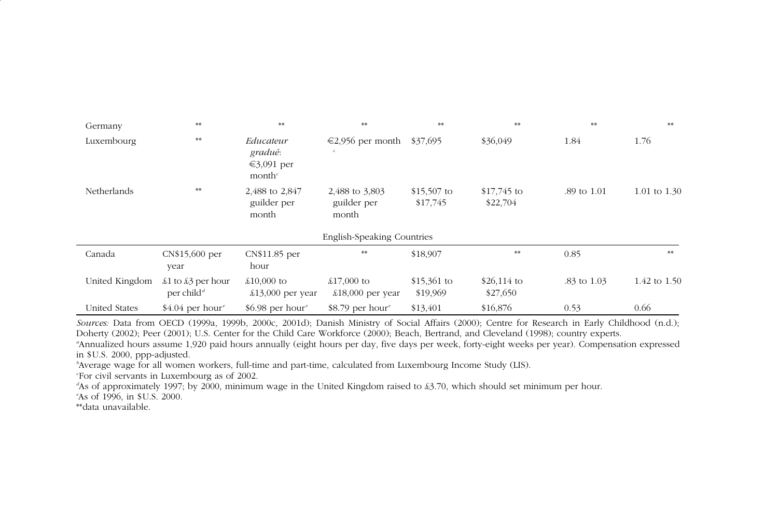| Germany        | **                                                          | **                                                                                     | **                                     | **                       | $***$                    | **              | **           |
|----------------|-------------------------------------------------------------|----------------------------------------------------------------------------------------|----------------------------------------|--------------------------|--------------------------|-----------------|--------------|
| Luxembourg     | **                                                          | Educateur<br>gradué:<br>$\epsilon$ 3,091 per<br>month <sup><math>\epsilon</math></sup> | €2,956 per month \$37,695              |                          | \$36,049                 | 1.84            | 1.76         |
| Netherlands    | **                                                          | 2,488 to 2,847<br>guilder per<br>month                                                 | 2,488 to 3,803<br>guilder per<br>month | $$15,507$ to<br>\$17,745 | $$17,745$ to<br>\$22,704 | .89 to 1.01     | 1.01 to 1.30 |
|                |                                                             |                                                                                        | English-Speaking Countries             |                          |                          |                 |              |
| Canada         | CN\$15,600 per<br>vear                                      | CN\$11.85 per<br>hour                                                                  |                                        | \$18,907                 | **                       | 0.85            | $***$        |
| United Kingdom | $\pounds1$ to $\pounds3$ per hour<br>per child <sup>d</sup> | $$10,000$ to<br>$\text{\pounds}13,000$ per year                                        | $£17,000$ to<br>£18,000 per year       | $$15,361$ to<br>\$19,969 | $$26,114$ to<br>\$27,650 | $.83$ to $1.03$ | 1.42 to 1.50 |
| United States  | \$4.04 per houre                                            | \$6.98 per houre                                                                       | \$8.79 per houre                       | \$13,401                 | \$16,876                 | 0.53            | 0.66         |

*Sources:* Data from OECD (1999a, 1999b, 2000c, 2001d); Danish Ministry of Social Affairs (2000); Centre for Research in Early Childhood (n.d.); Doherty (2002); Peer (2001); U.S. Center for the Child Care Workforce (2000); Beach, Bertrand, and Cleveland (1998); country experts.

*<sup>a</sup>*Annualized hours assume 1,920 paid hours annually (eight hours per day, five days per week, forty-eight weeks per year). Compensation expressed in \$U.S. 2000, ppp-adjusted.

*<sup>b</sup>*Average wage for all women workers, full-time and part-time, calculated from Luxembourg Income Study (LIS).

*<sup>c</sup>*For civil servants in Luxembourg as of 2002.

*<sup>d</sup>*As of approximately 1997; by 2000, minimum wage in the United Kingdom raised to £3.70, which should set minimum per hour.

*<sup>e</sup>*As of 1996, in \$U.S. 2000.

\*\*data unavailable.

 $\overline{\phantom{0}}$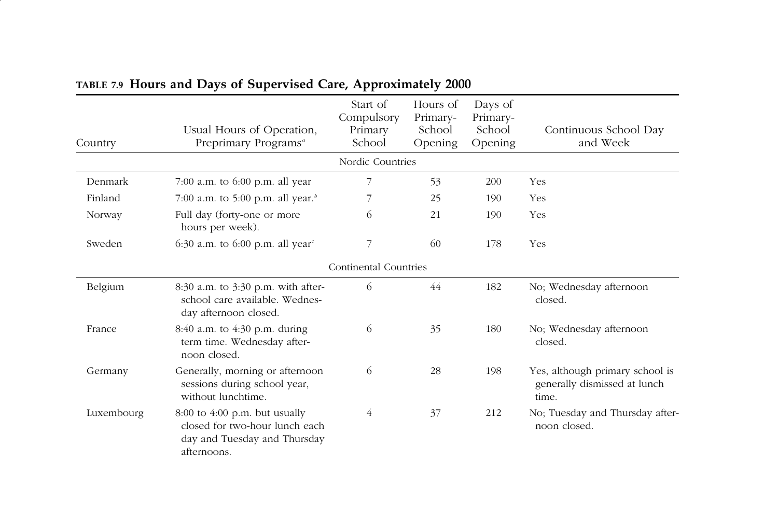| Country    | Usual Hours of Operation,<br>Preprimary Programs <sup>a</sup>                                                      | Start of<br>Compulsory<br>Primary<br>School | Hours of<br>Primary-<br>School<br>Opening | Days of<br>Primary-<br>School<br>Opening | Continuous School Day<br>and Week                                        |
|------------|--------------------------------------------------------------------------------------------------------------------|---------------------------------------------|-------------------------------------------|------------------------------------------|--------------------------------------------------------------------------|
|            |                                                                                                                    | Nordic Countries                            |                                           |                                          |                                                                          |
| Denmark    | 7:00 a.m. to $6:00$ p.m. all year                                                                                  | 7                                           | 53                                        | 200                                      | Yes                                                                      |
| Finland    | 7:00 a.m. to 5:00 p.m. all year. <sup>b</sup>                                                                      | 7                                           | 25                                        | 190                                      | Yes                                                                      |
| Norway     | Full day (forty-one or more<br>hours per week).                                                                    | 6                                           | 21                                        | 190                                      | Yes                                                                      |
| Sweden     | 6:30 a.m. to 6:00 p.m. all year <sup>c</sup>                                                                       | 7                                           | 60                                        | 178                                      | Yes                                                                      |
|            |                                                                                                                    | Continental Countries                       |                                           |                                          |                                                                          |
| Belgium    | 8:30 a.m. to 3:30 p.m. with after-<br>school care available. Wednes-<br>day afternoon closed.                      | 6                                           | 44                                        | 182                                      | No; Wednesday afternoon<br>closed.                                       |
| France     | 8:40 a.m. to 4:30 p.m. during<br>term time. Wednesday after-<br>noon closed.                                       | 6                                           | 35                                        | 180                                      | No; Wednesday afternoon<br>closed.                                       |
| Germany    | Generally, morning or afternoon<br>sessions during school year,<br>without lunchtime.                              | 6                                           | 28                                        | 198                                      | Yes, although primary school is<br>generally dismissed at lunch<br>time. |
| Luxembourg | $8:00$ to $4:00$ p.m. but usually<br>closed for two-hour lunch each<br>day and Tuesday and Thursday<br>afternoons. | 4                                           | 37                                        | 212                                      | No; Tuesday and Thursday after-<br>noon closed.                          |

#### **TABLE 7.9 Hours and Days of Supervised Care, Approximately 2000**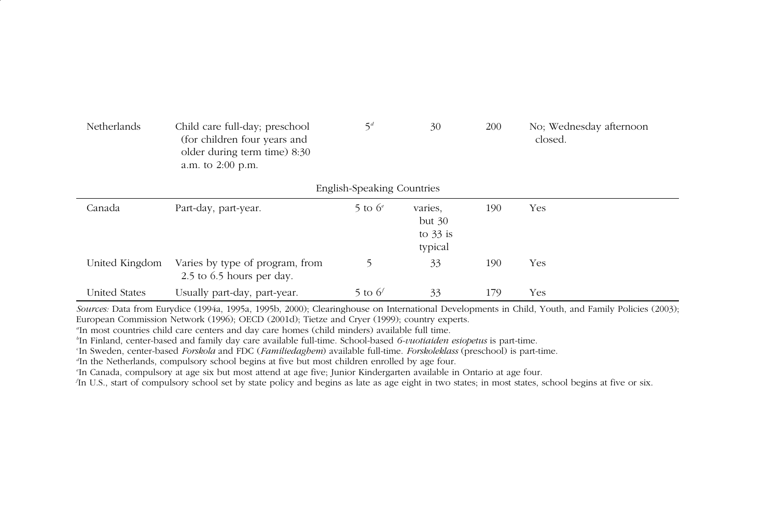| Netherlands          | Child care full-day; preschool<br>(for children four years and<br>older during term time) 8:30<br>a.m. to $2:00$ p.m. | 5 <sup>d</sup>             | 30                                         | 200 | No; Wednesday afternoon<br>closed. |
|----------------------|-----------------------------------------------------------------------------------------------------------------------|----------------------------|--------------------------------------------|-----|------------------------------------|
|                      |                                                                                                                       | English-Speaking Countries |                                            |     |                                    |
| Canada               | Part-day, part-year.                                                                                                  | 5 to $6^e$                 | varies.<br>but 30<br>to $33$ is<br>typical | 190 | Yes                                |
| United Kingdom       | Varies by type of program, from<br>$2.5$ to 6.5 hours per day.                                                        | 5                          | 33                                         | 190 | Yes                                |
| <b>United States</b> | Usually part-day, part-year.                                                                                          | 5 to $6f$                  | 33                                         | 179 | Yes                                |

*Sources:* Data from Eurydice (1994a, 1995a, 1995b, 2000); Clearinghouse on International Developments in Child, Youth, and Family Policies (2003); European Commission Network (1996); OECD (2001d); Tietze and Cryer (1999); country experts.

*<sup>a</sup>*In most countries child care centers and day care homes (child minders) available full time.

*<sup>b</sup>*In Finland, center-based and family day care available full-time. School-based *6-vuotiaiden esiopetus* is part-time.

*<sup>c</sup>*In Sweden, center-based *Forskola* and FDC (*Familiedaghem*) available full-time. *Forskoleklass* (preschool) is part-time.

<sup>*d*</sup>In the Netherlands, compulsory school begins at five but most children enrolled by age four.

*e* In Canada, compulsory at age six but most attend at age five; Junior Kindergarten available in Ontario at age four.

*In* U.S., start of compulsory school set by state policy and begins as late as age eight in two states; in most states, school begins at five or six.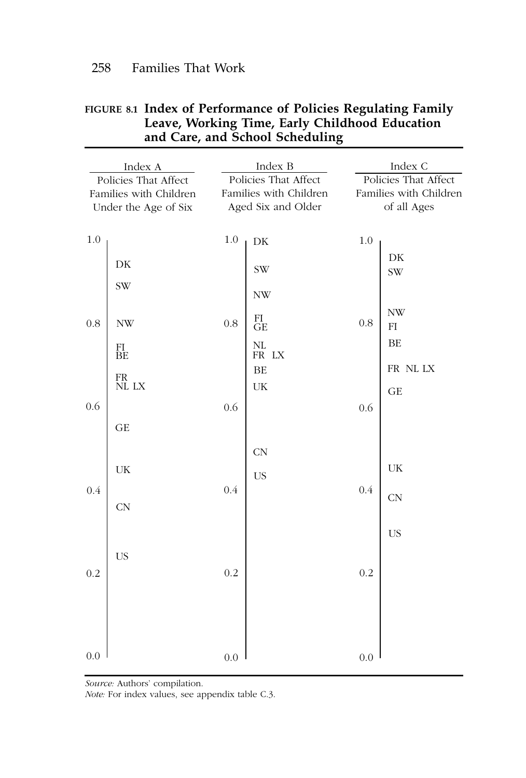|         | Index A<br>Policies That Affect<br>Families with Children<br>Under the Age of Six |         | Index B<br>Policies That Affect<br>Families with Children<br>Aged Six and Older |         | Index C<br>Policies That Affect<br>Families with Children<br>of all Ages |
|---------|-----------------------------------------------------------------------------------|---------|---------------------------------------------------------------------------------|---------|--------------------------------------------------------------------------|
| $1.0\,$ |                                                                                   | $1.0\,$ | DK                                                                              | $1.0\,$ |                                                                          |
|         | ${\rm DK}$                                                                        |         | $\mathrm{SW}$                                                                   |         | ${\rm DK}$<br>$\text{SW}$                                                |
|         | $\mathrm{SW}$                                                                     |         | $\ensuremath{\text{NW}}$                                                        |         |                                                                          |
| $0.8\,$ | $\ensuremath{\text{NW}}$                                                          | 0.8     | $_{\rm GE}^{\rm FI}$                                                            | $0.8\,$ | $\ensuremath{\text{NW}}$<br>${\rm FI}$                                   |
|         | $_{\rm BE}^{\rm FI}$                                                              |         | $\rm NL$<br>FR LX                                                               |         | BE                                                                       |
|         | $_{\rm NL}^{\rm FR}$ $_{\rm LX}$                                                  |         | $\rm BE$<br>$\ensuremath{\mathrm{UK}}\xspace$                                   |         | FR NL LX                                                                 |
| 0.6     |                                                                                   | 0.6     |                                                                                 | 0.6     | <b>GE</b>                                                                |
|         | $\operatorname{GE}$                                                               |         |                                                                                 |         |                                                                          |
|         | $\ensuremath{\text{UK}}\xspace$                                                   |         | <b>CN</b>                                                                       |         | UK                                                                       |
| 0.4     |                                                                                   | 0.4     | <b>US</b>                                                                       | $0.4\,$ | CN                                                                       |
|         | $\overline{\text{CN}}$                                                            |         |                                                                                 |         |                                                                          |
|         | <b>US</b>                                                                         |         |                                                                                 |         | US                                                                       |
| 0.2     |                                                                                   | 0.2     |                                                                                 | 0.2     |                                                                          |
|         |                                                                                   |         |                                                                                 |         |                                                                          |
|         |                                                                                   |         |                                                                                 |         |                                                                          |
| 0.0     |                                                                                   | $0.0\,$ |                                                                                 | $0.0\,$ |                                                                          |

#### **FIGURE 8.1 Index of Performance of Policies Regulating Family Leave, Working Time, Early Childhood Education and Care, and School Scheduling**

*Source:* Authors' compilation.

*Note:* For index values, see appendix table C.3.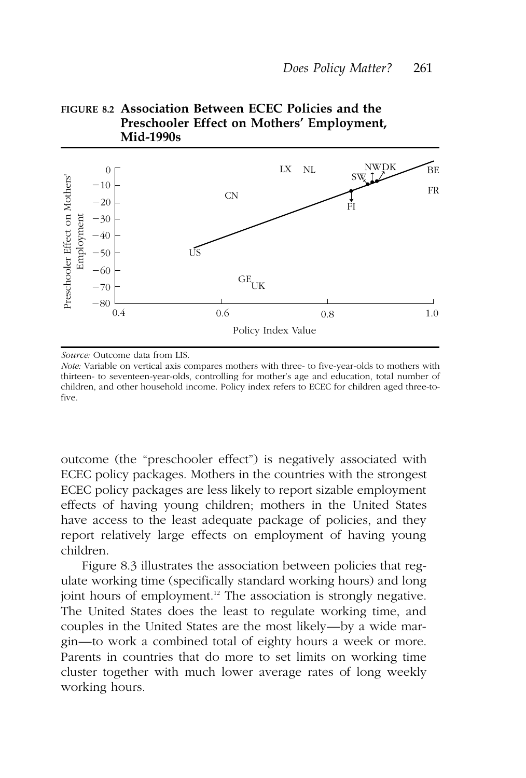**FIGURE 8.2 Association Between ECEC Policies and the Preschooler Effect on Mothers' Employment, Mid-1990s**



*Source:* Outcome data from LIS.

*Note:* Variable on vertical axis compares mothers with three- to five-year-olds to mothers with thirteen- to seventeen-year-olds, controlling for mother's age and education, total number of children, and other household income. Policy index refers to ECEC for children aged three-tofive.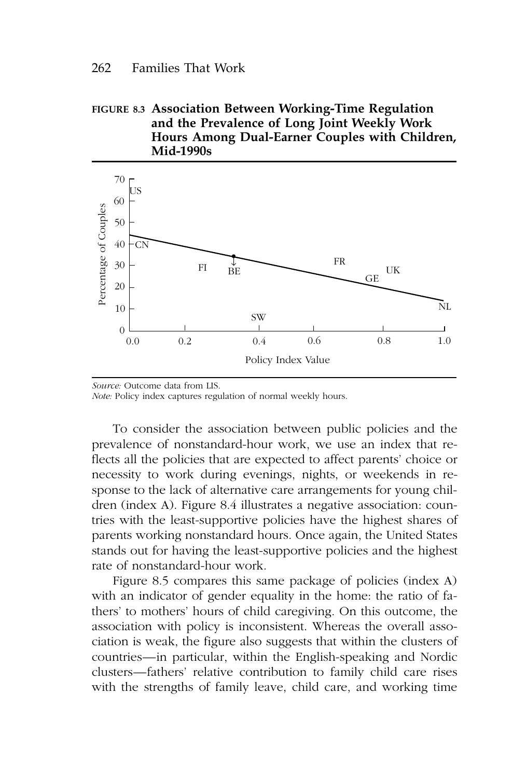**FIGURE 8.3 Association Between Working-Time Regulation and the Prevalence of Long Joint Weekly Work Hours Among Dual-Earner Couples with Children, Mid-1990s**



*Source:* Outcome data from LIS.

*Note:* Policy index captures regulation of normal weekly hours.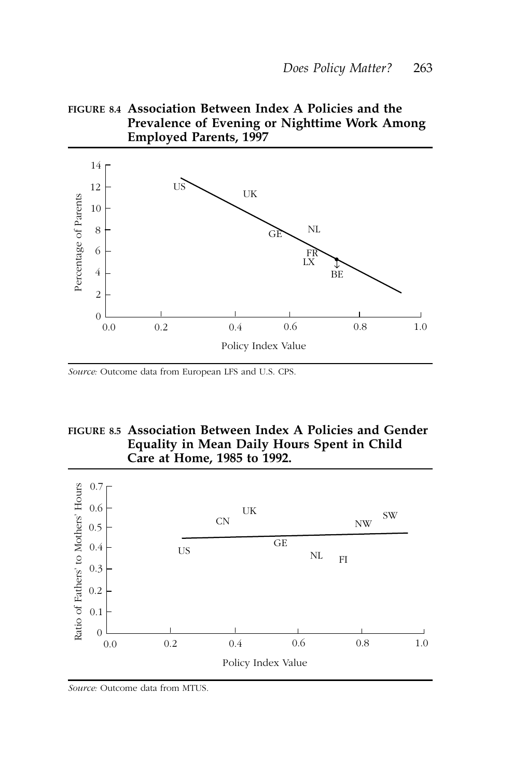



*Source:* Outcome data from European LFS and U.S. CPS.

**FIGURE 8.5 Association Between Index A Policies and Gender Equality in Mean Daily Hours Spent in Child Care at Home, 1985 to 1992.**



*Source:* Outcome data from MTUS.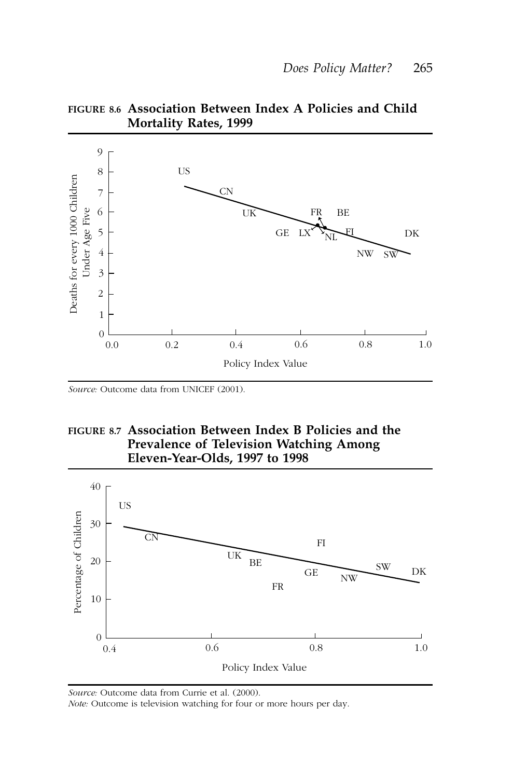**FIGURE 8.6 Association Between Index A Policies and Child Mortality Rates, 1999**



*Source:* Outcome data from UNICEF (2001).

#### **FIGURE 8.7 Association Between Index B Policies and the Prevalence of Television Watching Among Eleven-Year-Olds, 1997 to 1998**



*Source:* Outcome data from Currie et al. (2000). *Note:* Outcome is television watching for four or more hours per day.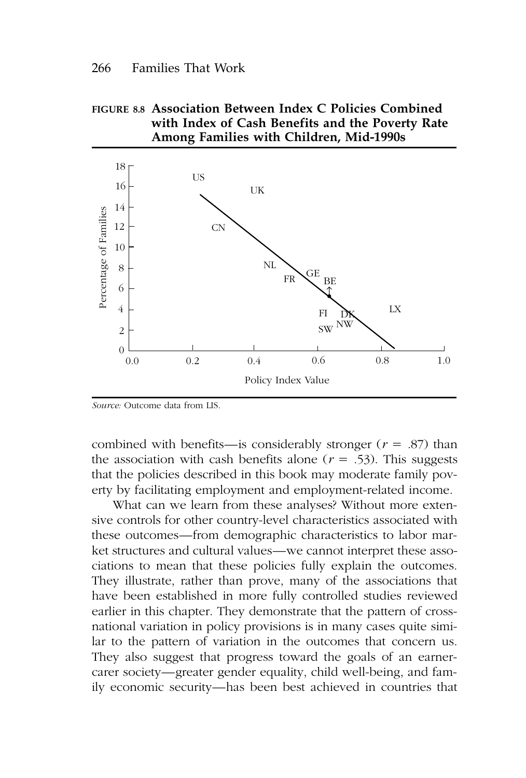### **FIGURE 8.8 Association Between Index C Policies Combined with Index of Cash Benefits and the Poverty Rate Among Families with Children, Mid-1990s**



*Source:* Outcome data from LIS.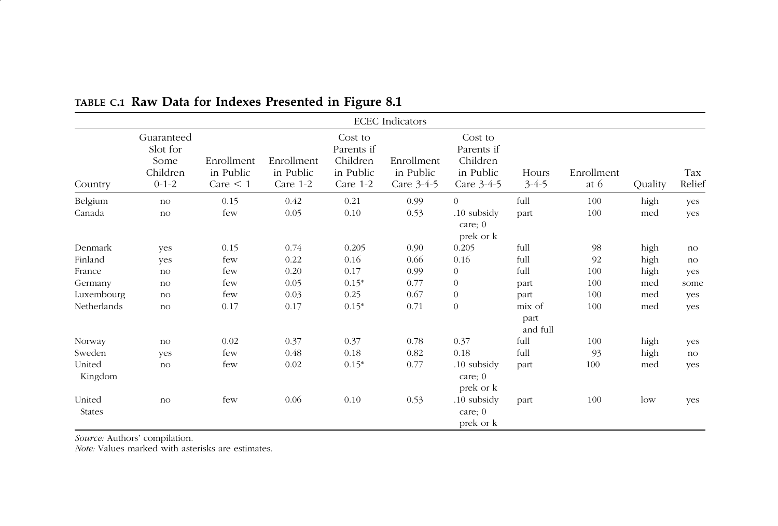|                         |                                                           |                                          |                                     |                                                            | <b>ECEC</b> Indicators                |                                                              |                            |                      |             |               |
|-------------------------|-----------------------------------------------------------|------------------------------------------|-------------------------------------|------------------------------------------------------------|---------------------------------------|--------------------------------------------------------------|----------------------------|----------------------|-------------|---------------|
| Country                 | Guaranteed<br>Slot for<br>Some<br>Children<br>$0 - 1 - 2$ | Enrollment<br>in Public<br>Care $\leq 1$ | Enrollment<br>in Public<br>Care 1-2 | Cost to<br>Parents if<br>Children<br>in Public<br>Care 1-2 | Enrollment<br>in Public<br>Care 3-4-5 | Cost to<br>Parents if<br>Children<br>in Public<br>Care 3-4-5 | Hours<br>$3-4-5$           | Enrollment<br>at $6$ | Quality     | Tax<br>Relief |
| Belgium<br>Canada       | no<br>no                                                  | 0.15<br>few                              | 0.42<br>0.05                        | 0.21<br>0.10                                               | 0.99<br>0.53                          | $\Omega$<br>.10 subsidy<br>care; 0<br>prek or k              | full<br>part               | 100<br>100           | high<br>med | yes<br>yes    |
| Denmark                 | yes                                                       | 0.15                                     | 0.74                                | 0.205                                                      | 0.90                                  | 0.205                                                        | full                       | 98                   | high        | no            |
| Finland                 | yes                                                       | few                                      | 0.22                                | 0.16                                                       | 0.66                                  | 0.16                                                         | full                       | 92                   | high        | no            |
| France                  | no                                                        | few                                      | 0.20                                | 0.17                                                       | 0.99                                  | $\overline{0}$                                               | full                       | 100                  | high        | yes           |
| Germany                 | no                                                        | few                                      | 0.05                                | $0.15*$                                                    | 0.77                                  | $\overline{0}$                                               | part                       | 100                  | med         | some          |
| Luxembourg              | no                                                        | few                                      | 0.03                                | 0.25                                                       | 0.67                                  | $\overline{0}$                                               | part                       | 100                  | med         | yes           |
| Netherlands             | no                                                        | 0.17                                     | 0.17                                | $0.15*$                                                    | 0.71                                  | $\theta$                                                     | mix of<br>part<br>and full | 100                  | med         | yes           |
| Norway                  | no                                                        | 0.02                                     | 0.37                                | 0.37                                                       | 0.78                                  | 0.37                                                         | full                       | 100                  | high        | yes           |
| Sweden                  | yes                                                       | few                                      | 0.48                                | 0.18                                                       | 0.82                                  | 0.18                                                         | full                       | 93                   | high        | no            |
| United<br>Kingdom       | no                                                        | few                                      | 0.02                                | $0.15*$                                                    | 0.77                                  | .10 subsidy<br>care; 0<br>prek or k                          | part                       | 100                  | med         | yes           |
| United<br><b>States</b> | no                                                        | few                                      | 0.06                                | 0.10                                                       | 0.53                                  | .10 subsidy<br>care; 0<br>prek or k                          | part                       | 100                  | low         | yes           |

## **TABLE C.1 Raw Data for Indexes Presented in Figure 8.1**

*Source:* Authors' compilation. *Note:* Values marked with asterisks are estimates.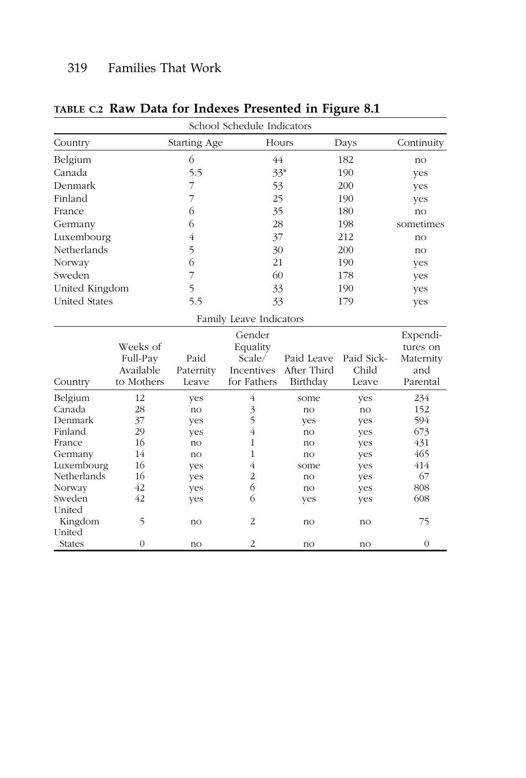|                      |                                   |                   | School Schedule Indicators                 |                           |                     |                                          |
|----------------------|-----------------------------------|-------------------|--------------------------------------------|---------------------------|---------------------|------------------------------------------|
| Country              |                                   | Starting Age      | Hours                                      |                           | Days                | Continuity                               |
| Belgium              |                                   | 6                 | 44                                         |                           | 182                 | no                                       |
| Canada               |                                   | 5.5               | $33*$                                      |                           | 190                 | yes                                      |
| Denmark              |                                   | 7                 | 53                                         |                           | 200                 | yes                                      |
| Finland              |                                   | 7                 | 25                                         |                           | 190                 | yes                                      |
| France               |                                   | 6                 | 35                                         |                           | 180                 | no                                       |
| Germany              |                                   | 6                 | 28                                         |                           | 198                 | sometimes                                |
| Luxembourg           |                                   | 4                 | 37                                         |                           | 212                 | no                                       |
| Netherlands          |                                   | 5                 | 30                                         |                           | 200                 | no                                       |
| Norway               |                                   | 6                 | 21                                         |                           | 190                 | yes                                      |
| Sweden               |                                   | 7                 | 60                                         |                           | 178                 | yes                                      |
| United Kingdom       |                                   | 5                 | 33                                         |                           | 190                 | yes                                      |
| <b>United States</b> |                                   | 5.5               | 33                                         |                           | 179                 | yes                                      |
|                      |                                   |                   | Family Leave Indicators                    |                           |                     |                                          |
|                      | Weeks of<br>Full-Pay<br>Available | Paid<br>Paternity | Gender<br>Equality<br>Scale/<br>Incentives | Paid Leave<br>After Third | Paid Sick-<br>Child | Expendi-<br>tures on<br>Maternity<br>and |
| Country              | to Mothers                        | Leave             | for Fathers                                | Birthday                  | Leave               | Parental                                 |
| Belgium              | 12                                | yes               | 4                                          | some                      | yes                 | 234                                      |
| Canada<br>Denmark    | 28                                | no                | 3<br>5                                     | no                        | no                  | 152                                      |
| Finland              | 37<br>29                          | yes<br>yes        | $\overline{4}$                             | yes<br>no                 | yes<br>yes          | 594<br>673                               |
| France               | 16                                | no                | $\mathbf{1}$                               | no                        | yes                 | 431                                      |
| Germany              | 14                                | no                | $\mathbf{1}$                               | no                        | yes                 | 465                                      |
| Luxembourg           | 16                                | yes               | 4                                          | some                      | yes                 | 414                                      |
| Netherlands          | 16                                | yes               | $\overline{c}$                             | no                        | yes                 | 67                                       |
| Norway               | 42                                | yes               | 6                                          | no                        | yes                 | 808                                      |
| Sweden               | 42                                | yes               | 6                                          | yes                       | yes                 | 608                                      |
| United               |                                   |                   |                                            |                           |                     |                                          |
| Kingdom              | 5                                 | no                | $\overline{2}$                             | no                        | no                  | 75                                       |
| United<br>States     | $\overline{0}$                    | no                | 2                                          | no                        | no                  | $\overline{0}$                           |

# **TABLE C.2 Raw Data for Indexes Presented in Figure 8.1**